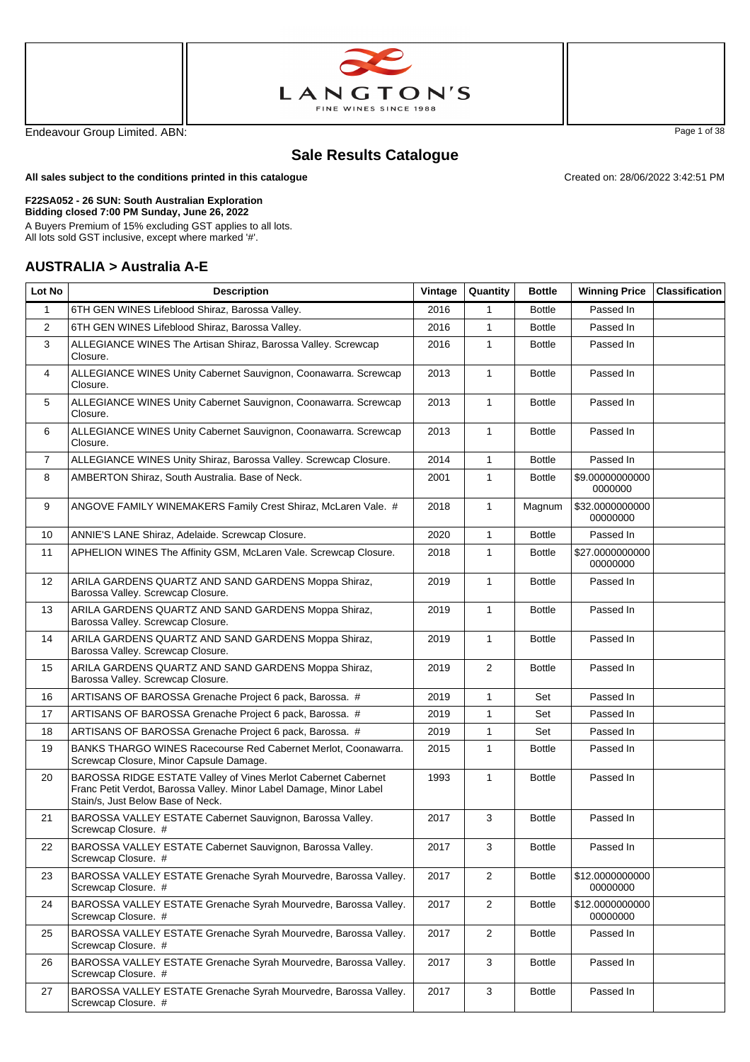



Endeavour Group Limited. ABN: Page 1 of 38

Created on: 28/06/2022 3:42:51 PM

# **Sale Results Catalogue**

**All sales subject to the conditions printed in this catalogue**

#### **F22SA052 - 26 SUN: South Australian Exploration**

**Bidding closed 7:00 PM Sunday, June 26, 2022**

A Buyers Premium of 15% excluding GST applies to all lots. All lots sold GST inclusive, except where marked '#'.

#### **AUSTRALIA > Australia A-E**

| Lot No         | <b>Description</b>                                                                                                                                                        | Vintage | Quantity       | <b>Bottle</b> | <b>Winning Price</b>        | <b>Classification</b> |
|----------------|---------------------------------------------------------------------------------------------------------------------------------------------------------------------------|---------|----------------|---------------|-----------------------------|-----------------------|
| $\mathbf{1}$   | 6TH GEN WINES Lifeblood Shiraz, Barossa Valley.                                                                                                                           | 2016    | $\mathbf{1}$   | <b>Bottle</b> | Passed In                   |                       |
| $\overline{2}$ | 6TH GEN WINES Lifeblood Shiraz, Barossa Valley.                                                                                                                           | 2016    | $\mathbf{1}$   | <b>Bottle</b> | Passed In                   |                       |
| 3              | ALLEGIANCE WINES The Artisan Shiraz, Barossa Valley. Screwcap<br>Closure.                                                                                                 | 2016    | $\mathbf{1}$   | <b>Bottle</b> | Passed In                   |                       |
| $\overline{4}$ | ALLEGIANCE WINES Unity Cabernet Sauvignon, Coonawarra. Screwcap<br>Closure.                                                                                               | 2013    | $\mathbf{1}$   | <b>Bottle</b> | Passed In                   |                       |
| 5              | ALLEGIANCE WINES Unity Cabernet Sauvignon, Coonawarra. Screwcap<br>Closure.                                                                                               | 2013    | $\mathbf{1}$   | <b>Bottle</b> | Passed In                   |                       |
| 6              | ALLEGIANCE WINES Unity Cabernet Sauvignon, Coonawarra. Screwcap<br>Closure.                                                                                               | 2013    | $\mathbf{1}$   | <b>Bottle</b> | Passed In                   |                       |
| $\overline{7}$ | ALLEGIANCE WINES Unity Shiraz, Barossa Valley. Screwcap Closure.                                                                                                          | 2014    | $\mathbf{1}$   | <b>Bottle</b> | Passed In                   |                       |
| 8              | AMBERTON Shiraz, South Australia. Base of Neck.                                                                                                                           | 2001    | $\mathbf{1}$   | <b>Bottle</b> | \$9.00000000000<br>0000000  |                       |
| 9              | ANGOVE FAMILY WINEMAKERS Family Crest Shiraz, McLaren Vale. #                                                                                                             | 2018    | $\mathbf{1}$   | Magnum        | \$32.0000000000<br>00000000 |                       |
| 10             | ANNIE'S LANE Shiraz, Adelaide. Screwcap Closure.                                                                                                                          | 2020    | $\mathbf{1}$   | <b>Bottle</b> | Passed In                   |                       |
| 11             | APHELION WINES The Affinity GSM, McLaren Vale. Screwcap Closure.                                                                                                          | 2018    | $\mathbf{1}$   | <b>Bottle</b> | \$27.0000000000<br>00000000 |                       |
| 12             | ARILA GARDENS QUARTZ AND SAND GARDENS Moppa Shiraz,<br>Barossa Valley. Screwcap Closure.                                                                                  | 2019    | $\mathbf{1}$   | <b>Bottle</b> | Passed In                   |                       |
| 13             | ARILA GARDENS QUARTZ AND SAND GARDENS Moppa Shiraz,<br>Barossa Valley. Screwcap Closure.                                                                                  | 2019    | $\mathbf{1}$   | <b>Bottle</b> | Passed In                   |                       |
| 14             | ARILA GARDENS QUARTZ AND SAND GARDENS Moppa Shiraz,<br>Barossa Valley. Screwcap Closure.                                                                                  | 2019    | $\mathbf{1}$   | <b>Bottle</b> | Passed In                   |                       |
| 15             | ARILA GARDENS QUARTZ AND SAND GARDENS Moppa Shiraz,<br>Barossa Valley. Screwcap Closure.                                                                                  | 2019    | $\overline{2}$ | <b>Bottle</b> | Passed In                   |                       |
| 16             | ARTISANS OF BAROSSA Grenache Project 6 pack, Barossa. #                                                                                                                   | 2019    | $\mathbf{1}$   | Set           | Passed In                   |                       |
| 17             | ARTISANS OF BAROSSA Grenache Project 6 pack, Barossa. #                                                                                                                   | 2019    | $\mathbf{1}$   | Set           | Passed In                   |                       |
| 18             | ARTISANS OF BAROSSA Grenache Project 6 pack, Barossa. #                                                                                                                   | 2019    | $\mathbf{1}$   | Set           | Passed In                   |                       |
| 19             | BANKS THARGO WINES Racecourse Red Cabernet Merlot, Coonawarra.<br>Screwcap Closure, Minor Capsule Damage.                                                                 | 2015    | $\mathbf{1}$   | <b>Bottle</b> | Passed In                   |                       |
| 20             | BAROSSA RIDGE ESTATE Valley of Vines Merlot Cabernet Cabernet<br>Franc Petit Verdot, Barossa Valley. Minor Label Damage, Minor Label<br>Stain/s, Just Below Base of Neck. | 1993    | $\mathbf{1}$   | <b>Bottle</b> | Passed In                   |                       |
| 21             | BAROSSA VALLEY ESTATE Cabernet Sauvignon, Barossa Valley.<br>Screwcap Closure. #                                                                                          | 2017    | 3              | <b>Bottle</b> | Passed In                   |                       |
| 22             | BAROSSA VALLEY ESTATE Cabernet Sauvignon, Barossa Valley.<br>Screwcap Closure. #                                                                                          | 2017    | 3              | <b>Bottle</b> | Passed In                   |                       |
| 23             | BAROSSA VALLEY ESTATE Grenache Syrah Mourvedre, Barossa Valley.<br>Screwcap Closure. #                                                                                    | 2017    | $\overline{2}$ | <b>Bottle</b> | \$12.0000000000<br>00000000 |                       |
| 24             | BAROSSA VALLEY ESTATE Grenache Syrah Mourvedre, Barossa Valley.<br>Screwcap Closure. #                                                                                    | 2017    | $\overline{2}$ | <b>Bottle</b> | \$12.0000000000<br>00000000 |                       |
| 25             | BAROSSA VALLEY ESTATE Grenache Syrah Mourvedre, Barossa Valley.<br>Screwcap Closure. #                                                                                    | 2017    | $\overline{2}$ | <b>Bottle</b> | Passed In                   |                       |
| 26             | BAROSSA VALLEY ESTATE Grenache Syrah Mourvedre, Barossa Valley.<br>Screwcap Closure. #                                                                                    | 2017    | 3              | <b>Bottle</b> | Passed In                   |                       |
| 27             | BAROSSA VALLEY ESTATE Grenache Syrah Mourvedre, Barossa Valley.<br>Screwcap Closure. #                                                                                    | 2017    | 3              | <b>Bottle</b> | Passed In                   |                       |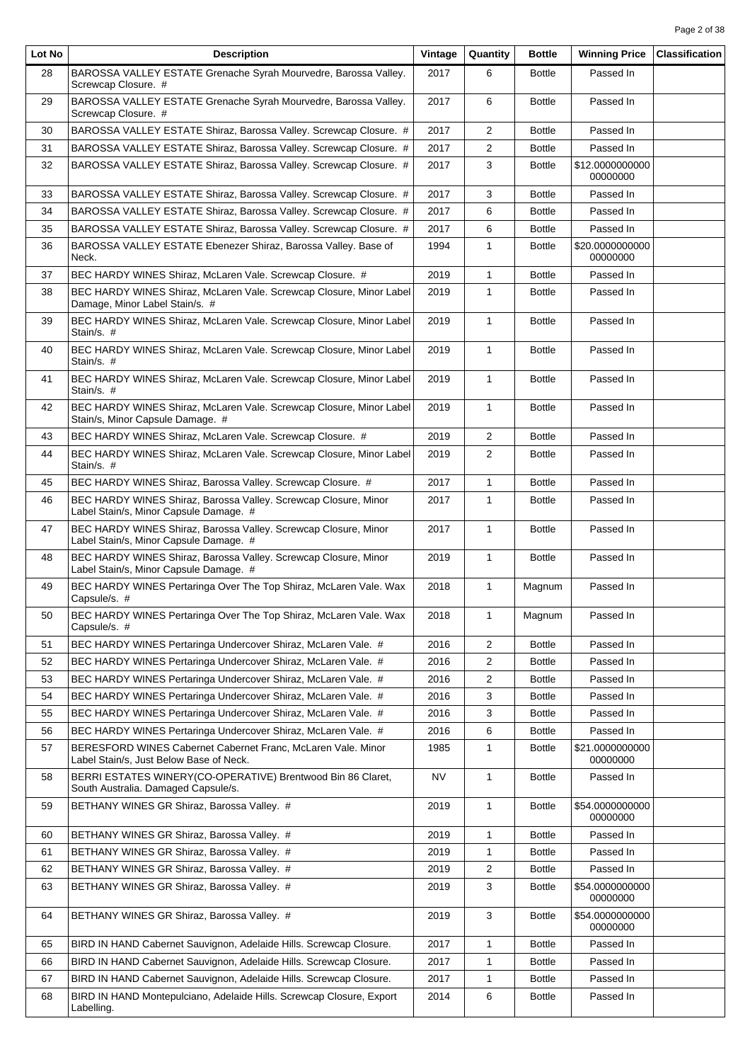| Lot No | <b>Description</b>                                                                                        | Vintage | Quantity       | <b>Bottle</b> | <b>Winning Price</b>        | <b>Classification</b> |
|--------|-----------------------------------------------------------------------------------------------------------|---------|----------------|---------------|-----------------------------|-----------------------|
| 28     | BAROSSA VALLEY ESTATE Grenache Syrah Mourvedre, Barossa Valley.<br>Screwcap Closure. #                    | 2017    | 6              | <b>Bottle</b> | Passed In                   |                       |
| 29     | BAROSSA VALLEY ESTATE Grenache Syrah Mourvedre, Barossa Valley.<br>Screwcap Closure. #                    | 2017    | 6              | <b>Bottle</b> | Passed In                   |                       |
| 30     | BAROSSA VALLEY ESTATE Shiraz, Barossa Valley. Screwcap Closure. #                                         | 2017    | 2              | <b>Bottle</b> | Passed In                   |                       |
| 31     | BAROSSA VALLEY ESTATE Shiraz, Barossa Valley. Screwcap Closure. #                                         | 2017    | 2              | <b>Bottle</b> | Passed In                   |                       |
| 32     | BAROSSA VALLEY ESTATE Shiraz, Barossa Valley. Screwcap Closure. #                                         | 2017    | 3              | <b>Bottle</b> | \$12.0000000000<br>00000000 |                       |
| 33     | BAROSSA VALLEY ESTATE Shiraz, Barossa Valley. Screwcap Closure. #                                         | 2017    | 3              | <b>Bottle</b> | Passed In                   |                       |
| 34     | BAROSSA VALLEY ESTATE Shiraz, Barossa Valley. Screwcap Closure. #                                         | 2017    | 6              | <b>Bottle</b> | Passed In                   |                       |
| 35     | BAROSSA VALLEY ESTATE Shiraz, Barossa Valley. Screwcap Closure. #                                         | 2017    | 6              | <b>Bottle</b> | Passed In                   |                       |
| 36     | BAROSSA VALLEY ESTATE Ebenezer Shiraz, Barossa Valley. Base of<br>Neck.                                   | 1994    | $\mathbf{1}$   | <b>Bottle</b> | \$20.0000000000<br>00000000 |                       |
| 37     | BEC HARDY WINES Shiraz, McLaren Vale. Screwcap Closure. #                                                 | 2019    | $\mathbf{1}$   | <b>Bottle</b> | Passed In                   |                       |
| 38     | BEC HARDY WINES Shiraz, McLaren Vale. Screwcap Closure, Minor Label<br>Damage, Minor Label Stain/s. #     | 2019    | $\mathbf{1}$   | <b>Bottle</b> | Passed In                   |                       |
| 39     | BEC HARDY WINES Shiraz, McLaren Vale. Screwcap Closure, Minor Label<br>Stain/s. #                         | 2019    | $\mathbf{1}$   | <b>Bottle</b> | Passed In                   |                       |
| 40     | BEC HARDY WINES Shiraz, McLaren Vale. Screwcap Closure, Minor Label<br>Stain/s. #                         | 2019    | $\mathbf{1}$   | <b>Bottle</b> | Passed In                   |                       |
| 41     | BEC HARDY WINES Shiraz, McLaren Vale. Screwcap Closure, Minor Label<br>Stain/s. #                         | 2019    | $\mathbf{1}$   | <b>Bottle</b> | Passed In                   |                       |
| 42     | BEC HARDY WINES Shiraz, McLaren Vale. Screwcap Closure, Minor Label<br>Stain/s, Minor Capsule Damage. #   | 2019    | $\mathbf{1}$   | <b>Bottle</b> | Passed In                   |                       |
| 43     | BEC HARDY WINES Shiraz, McLaren Vale. Screwcap Closure. #                                                 | 2019    | $\overline{2}$ | <b>Bottle</b> | Passed In                   |                       |
| 44     | BEC HARDY WINES Shiraz, McLaren Vale. Screwcap Closure, Minor Label<br>Stain/s. #                         | 2019    | $\overline{2}$ | <b>Bottle</b> | Passed In                   |                       |
| 45     | BEC HARDY WINES Shiraz, Barossa Valley. Screwcap Closure. #                                               | 2017    | $\mathbf{1}$   | <b>Bottle</b> | Passed In                   |                       |
| 46     | BEC HARDY WINES Shiraz, Barossa Valley. Screwcap Closure, Minor<br>Label Stain/s, Minor Capsule Damage. # | 2017    | $\mathbf{1}$   | <b>Bottle</b> | Passed In                   |                       |
| 47     | BEC HARDY WINES Shiraz, Barossa Valley. Screwcap Closure, Minor<br>Label Stain/s, Minor Capsule Damage. # | 2017    | $\mathbf{1}$   | <b>Bottle</b> | Passed In                   |                       |
| 48     | BEC HARDY WINES Shiraz, Barossa Valley. Screwcap Closure, Minor<br>Label Stain/s, Minor Capsule Damage. # | 2019    | $\mathbf{1}$   | <b>Bottle</b> | Passed In                   |                       |
| 49     | BEC HARDY WINES Pertaringa Over The Top Shiraz, McLaren Vale. Wax<br>Capsule/s. #                         | 2018    | $\mathbf{1}$   | Magnum        | Passed In                   |                       |
| 50     | BEC HARDY WINES Pertaringa Over The Top Shiraz, McLaren Vale. Wax<br>Capsule/s. #                         | 2018    | 1              | Magnum        | Passed In                   |                       |
| 51     | BEC HARDY WINES Pertaringa Undercover Shiraz, McLaren Vale. #                                             | 2016    | $\overline{2}$ | <b>Bottle</b> | Passed In                   |                       |
| 52     | BEC HARDY WINES Pertaringa Undercover Shiraz, McLaren Vale. #                                             | 2016    | $\overline{2}$ | <b>Bottle</b> | Passed In                   |                       |
| 53     | BEC HARDY WINES Pertaringa Undercover Shiraz, McLaren Vale. #                                             | 2016    | 2              | <b>Bottle</b> | Passed In                   |                       |
| 54     | BEC HARDY WINES Pertaringa Undercover Shiraz, McLaren Vale. #                                             | 2016    | 3              | <b>Bottle</b> | Passed In                   |                       |
| 55     | BEC HARDY WINES Pertaringa Undercover Shiraz, McLaren Vale. #                                             | 2016    | 3              | <b>Bottle</b> | Passed In                   |                       |
| 56     | BEC HARDY WINES Pertaringa Undercover Shiraz, McLaren Vale. #                                             | 2016    | 6              | <b>Bottle</b> | Passed In                   |                       |
| 57     | BERESFORD WINES Cabernet Cabernet Franc, McLaren Vale. Minor<br>Label Stain/s, Just Below Base of Neck.   | 1985    | $\mathbf{1}$   | <b>Bottle</b> | \$21.0000000000<br>00000000 |                       |
| 58     | BERRI ESTATES WINERY(CO-OPERATIVE) Brentwood Bin 86 Claret,<br>South Australia. Damaged Capsule/s.        | NV      | $\mathbf{1}$   | <b>Bottle</b> | Passed In                   |                       |
| 59     | BETHANY WINES GR Shiraz, Barossa Valley. #                                                                | 2019    | $\mathbf{1}$   | <b>Bottle</b> | \$54.0000000000<br>00000000 |                       |
| 60     | BETHANY WINES GR Shiraz, Barossa Valley. #                                                                | 2019    | 1              | <b>Bottle</b> | Passed In                   |                       |
| 61     | BETHANY WINES GR Shiraz, Barossa Valley. #                                                                | 2019    | $\mathbf{1}$   | <b>Bottle</b> | Passed In                   |                       |
| 62     | BETHANY WINES GR Shiraz, Barossa Valley. #                                                                | 2019    | 2              | <b>Bottle</b> | Passed In                   |                       |
| 63     | BETHANY WINES GR Shiraz, Barossa Valley. #                                                                | 2019    | 3              | <b>Bottle</b> | \$54.0000000000<br>00000000 |                       |
| 64     | BETHANY WINES GR Shiraz, Barossa Valley. #                                                                | 2019    | 3              | <b>Bottle</b> | \$54.0000000000<br>00000000 |                       |
| 65     | BIRD IN HAND Cabernet Sauvignon, Adelaide Hills. Screwcap Closure.                                        | 2017    | $\mathbf{1}$   | <b>Bottle</b> | Passed In                   |                       |
| 66     | BIRD IN HAND Cabernet Sauvignon, Adelaide Hills. Screwcap Closure.                                        | 2017    | $\mathbf{1}$   | <b>Bottle</b> | Passed In                   |                       |
| 67     | BIRD IN HAND Cabernet Sauvignon, Adelaide Hills. Screwcap Closure.                                        | 2017    | 1              | <b>Bottle</b> | Passed In                   |                       |
| 68     | BIRD IN HAND Montepulciano, Adelaide Hills. Screwcap Closure, Export<br>Labelling.                        | 2014    | 6              | <b>Bottle</b> | Passed In                   |                       |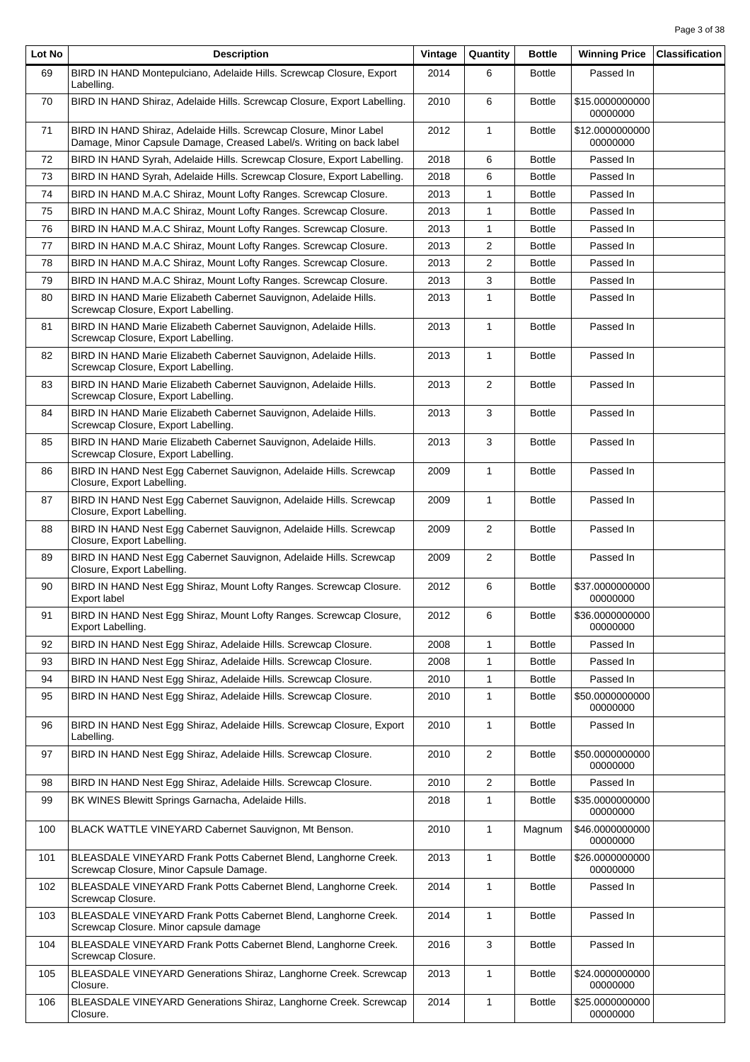| Lot No | <b>Description</b>                                                                                                                         | Vintage | Quantity       | <b>Bottle</b> | <b>Winning Price</b>        | <b>Classification</b> |
|--------|--------------------------------------------------------------------------------------------------------------------------------------------|---------|----------------|---------------|-----------------------------|-----------------------|
| 69     | BIRD IN HAND Montepulciano, Adelaide Hills. Screwcap Closure, Export<br>Labelling.                                                         | 2014    | 6              | <b>Bottle</b> | Passed In                   |                       |
| 70     | BIRD IN HAND Shiraz, Adelaide Hills. Screwcap Closure, Export Labelling.                                                                   | 2010    | 6              | <b>Bottle</b> | \$15.0000000000<br>00000000 |                       |
| 71     | BIRD IN HAND Shiraz, Adelaide Hills. Screwcap Closure, Minor Label<br>Damage, Minor Capsule Damage, Creased Label/s. Writing on back label | 2012    | $\mathbf{1}$   | <b>Bottle</b> | \$12.0000000000<br>00000000 |                       |
| 72     | BIRD IN HAND Syrah, Adelaide Hills. Screwcap Closure, Export Labelling.                                                                    | 2018    | 6              | <b>Bottle</b> | Passed In                   |                       |
| 73     | BIRD IN HAND Syrah, Adelaide Hills. Screwcap Closure, Export Labelling.                                                                    | 2018    | 6              | <b>Bottle</b> | Passed In                   |                       |
| 74     | BIRD IN HAND M.A.C Shiraz, Mount Lofty Ranges. Screwcap Closure.                                                                           | 2013    | 1              | <b>Bottle</b> | Passed In                   |                       |
| 75     | BIRD IN HAND M.A.C Shiraz, Mount Lofty Ranges. Screwcap Closure.                                                                           | 2013    | $\mathbf{1}$   | <b>Bottle</b> | Passed In                   |                       |
| 76     | BIRD IN HAND M.A.C Shiraz, Mount Lofty Ranges. Screwcap Closure.                                                                           | 2013    | 1              | <b>Bottle</b> | Passed In                   |                       |
| 77     | BIRD IN HAND M.A.C Shiraz, Mount Lofty Ranges. Screwcap Closure.                                                                           | 2013    | 2              | <b>Bottle</b> | Passed In                   |                       |
| 78     | BIRD IN HAND M.A.C Shiraz, Mount Lofty Ranges. Screwcap Closure.                                                                           | 2013    | 2              | <b>Bottle</b> | Passed In                   |                       |
| 79     | BIRD IN HAND M.A.C Shiraz, Mount Lofty Ranges. Screwcap Closure.                                                                           | 2013    | 3              | <b>Bottle</b> | Passed In                   |                       |
| 80     | BIRD IN HAND Marie Elizabeth Cabernet Sauvignon, Adelaide Hills.<br>Screwcap Closure, Export Labelling.                                    | 2013    | $\mathbf{1}$   | <b>Bottle</b> | Passed In                   |                       |
| 81     | BIRD IN HAND Marie Elizabeth Cabernet Sauvignon, Adelaide Hills.<br>Screwcap Closure, Export Labelling.                                    | 2013    | $\mathbf{1}$   | <b>Bottle</b> | Passed In                   |                       |
| 82     | BIRD IN HAND Marie Elizabeth Cabernet Sauvignon, Adelaide Hills.<br>Screwcap Closure, Export Labelling.                                    | 2013    | $\mathbf{1}$   | <b>Bottle</b> | Passed In                   |                       |
| 83     | BIRD IN HAND Marie Elizabeth Cabernet Sauvignon, Adelaide Hills.<br>Screwcap Closure, Export Labelling.                                    | 2013    | $\overline{2}$ | <b>Bottle</b> | Passed In                   |                       |
| 84     | BIRD IN HAND Marie Elizabeth Cabernet Sauvignon, Adelaide Hills.<br>Screwcap Closure, Export Labelling.                                    | 2013    | 3              | <b>Bottle</b> | Passed In                   |                       |
| 85     | BIRD IN HAND Marie Elizabeth Cabernet Sauvignon, Adelaide Hills.<br>Screwcap Closure, Export Labelling.                                    | 2013    | 3              | <b>Bottle</b> | Passed In                   |                       |
| 86     | BIRD IN HAND Nest Egg Cabernet Sauvignon, Adelaide Hills. Screwcap<br>Closure, Export Labelling.                                           | 2009    | $\mathbf{1}$   | <b>Bottle</b> | Passed In                   |                       |
| 87     | BIRD IN HAND Nest Egg Cabernet Sauvignon, Adelaide Hills. Screwcap<br>Closure, Export Labelling.                                           | 2009    | $\mathbf{1}$   | <b>Bottle</b> | Passed In                   |                       |
| 88     | BIRD IN HAND Nest Egg Cabernet Sauvignon, Adelaide Hills. Screwcap<br>Closure, Export Labelling.                                           | 2009    | $\overline{2}$ | <b>Bottle</b> | Passed In                   |                       |
| 89     | BIRD IN HAND Nest Egg Cabernet Sauvignon, Adelaide Hills. Screwcap<br>Closure, Export Labelling.                                           | 2009    | 2              | <b>Bottle</b> | Passed In                   |                       |
| 90     | BIRD IN HAND Nest Egg Shiraz, Mount Lofty Ranges. Screwcap Closure.<br>Export label                                                        | 2012    | 6              | <b>Bottle</b> | \$37.0000000000<br>00000000 |                       |
| 91     | BIRD IN HAND Nest Egg Shiraz, Mount Lofty Ranges. Screwcap Closure,<br>Export Labelling.                                                   | 2012    | 6              | <b>Bottle</b> | \$36.0000000000<br>00000000 |                       |
| 92     | BIRD IN HAND Nest Egg Shiraz, Adelaide Hills. Screwcap Closure.                                                                            | 2008    | $\mathbf{1}$   | <b>Bottle</b> | Passed In                   |                       |
| 93     | BIRD IN HAND Nest Egg Shiraz, Adelaide Hills. Screwcap Closure.                                                                            | 2008    | $\mathbf{1}$   | <b>Bottle</b> | Passed In                   |                       |
| 94     | BIRD IN HAND Nest Egg Shiraz, Adelaide Hills. Screwcap Closure.                                                                            | 2010    | 1              | <b>Bottle</b> | Passed In                   |                       |
| 95     | BIRD IN HAND Nest Egg Shiraz, Adelaide Hills. Screwcap Closure.                                                                            | 2010    | $\mathbf{1}$   | <b>Bottle</b> | \$50.0000000000<br>00000000 |                       |
| 96     | BIRD IN HAND Nest Egg Shiraz, Adelaide Hills. Screwcap Closure, Export<br>Labelling.                                                       | 2010    | $\mathbf{1}$   | <b>Bottle</b> | Passed In                   |                       |
| 97     | BIRD IN HAND Nest Egg Shiraz, Adelaide Hills. Screwcap Closure.                                                                            | 2010    | $\overline{2}$ | <b>Bottle</b> | \$50.0000000000<br>00000000 |                       |
| 98     | BIRD IN HAND Nest Egg Shiraz, Adelaide Hills. Screwcap Closure.                                                                            | 2010    | $\overline{2}$ | <b>Bottle</b> | Passed In                   |                       |
| 99     | BK WINES Blewitt Springs Garnacha, Adelaide Hills.                                                                                         | 2018    | 1              | <b>Bottle</b> | \$35.0000000000<br>00000000 |                       |
| 100    | BLACK WATTLE VINEYARD Cabernet Sauvignon, Mt Benson.                                                                                       | 2010    | $\mathbf{1}$   | Magnum        | \$46.0000000000<br>00000000 |                       |
| 101    | BLEASDALE VINEYARD Frank Potts Cabernet Blend, Langhorne Creek.<br>Screwcap Closure, Minor Capsule Damage.                                 | 2013    | $\mathbf{1}$   | <b>Bottle</b> | \$26.0000000000<br>00000000 |                       |
| 102    | BLEASDALE VINEYARD Frank Potts Cabernet Blend, Langhorne Creek.<br>Screwcap Closure.                                                       | 2014    | $\mathbf{1}$   | <b>Bottle</b> | Passed In                   |                       |
| 103    | BLEASDALE VINEYARD Frank Potts Cabernet Blend, Langhorne Creek.<br>Screwcap Closure. Minor capsule damage                                  | 2014    | $\mathbf{1}$   | <b>Bottle</b> | Passed In                   |                       |
| 104    | BLEASDALE VINEYARD Frank Potts Cabernet Blend, Langhorne Creek.<br>Screwcap Closure.                                                       | 2016    | 3              | <b>Bottle</b> | Passed In                   |                       |
| 105    | BLEASDALE VINEYARD Generations Shiraz, Langhorne Creek. Screwcap<br>Closure.                                                               | 2013    | 1              | <b>Bottle</b> | \$24.0000000000<br>00000000 |                       |
| 106    | BLEASDALE VINEYARD Generations Shiraz, Langhorne Creek. Screwcap<br>Closure.                                                               | 2014    | $\mathbf{1}$   | <b>Bottle</b> | \$25.0000000000<br>00000000 |                       |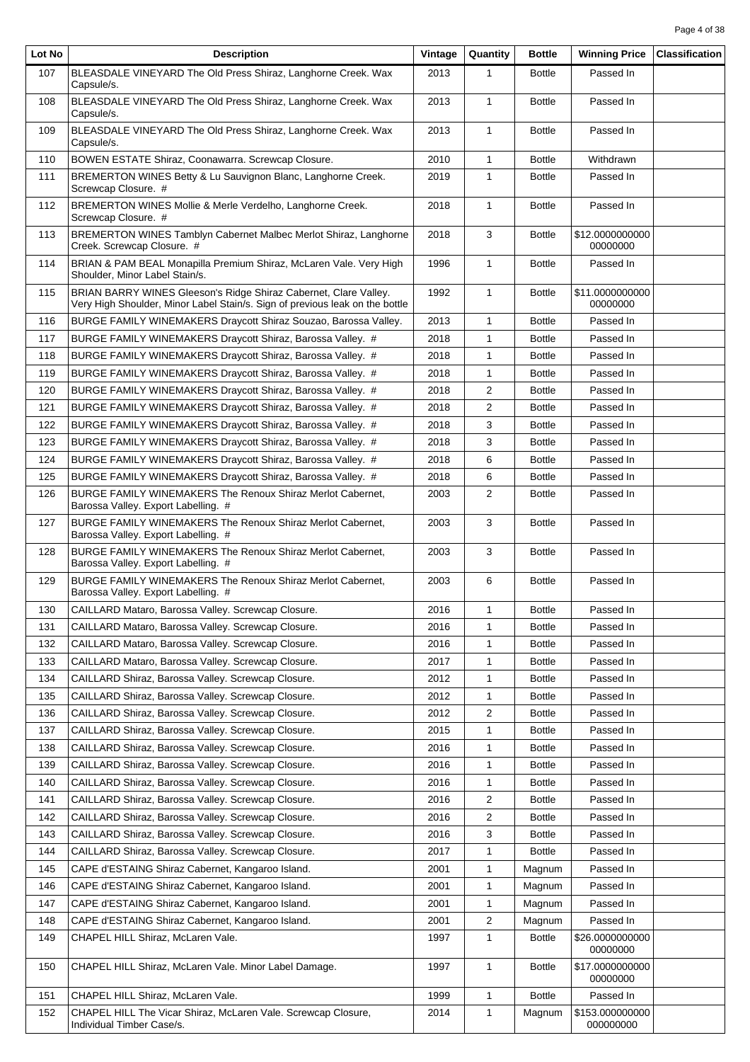| Lot No | <b>Description</b>                                                                                                                               | Vintage | Quantity                | <b>Bottle</b> | <b>Winning Price</b>         | <b>Classification</b> |
|--------|--------------------------------------------------------------------------------------------------------------------------------------------------|---------|-------------------------|---------------|------------------------------|-----------------------|
| 107    | BLEASDALE VINEYARD The Old Press Shiraz, Langhorne Creek. Wax<br>Capsule/s.                                                                      | 2013    | 1                       | <b>Bottle</b> | Passed In                    |                       |
| 108    | BLEASDALE VINEYARD The Old Press Shiraz, Langhorne Creek. Wax<br>Capsule/s.                                                                      | 2013    | $\mathbf{1}$            | <b>Bottle</b> | Passed In                    |                       |
| 109    | BLEASDALE VINEYARD The Old Press Shiraz, Langhorne Creek. Wax<br>Capsule/s.                                                                      | 2013    | $\mathbf{1}$            | <b>Bottle</b> | Passed In                    |                       |
| 110    | BOWEN ESTATE Shiraz, Coonawarra. Screwcap Closure.                                                                                               | 2010    | $\mathbf{1}$            | <b>Bottle</b> | Withdrawn                    |                       |
| 111    | BREMERTON WINES Betty & Lu Sauvignon Blanc, Langhorne Creek.<br>Screwcap Closure. #                                                              | 2019    | $\mathbf{1}$            | <b>Bottle</b> | Passed In                    |                       |
| 112    | BREMERTON WINES Mollie & Merle Verdelho, Langhorne Creek.<br>Screwcap Closure. #                                                                 | 2018    | $\mathbf{1}$            | <b>Bottle</b> | Passed In                    |                       |
| 113    | BREMERTON WINES Tamblyn Cabernet Malbec Merlot Shiraz, Langhorne<br>Creek. Screwcap Closure. #                                                   | 2018    | 3                       | <b>Bottle</b> | \$12.0000000000<br>00000000  |                       |
| 114    | BRIAN & PAM BEAL Monapilla Premium Shiraz, McLaren Vale. Very High<br>Shoulder, Minor Label Stain/s.                                             | 1996    | 1                       | <b>Bottle</b> | Passed In                    |                       |
| 115    | BRIAN BARRY WINES Gleeson's Ridge Shiraz Cabernet, Clare Valley.<br>Very High Shoulder, Minor Label Stain/s. Sign of previous leak on the bottle | 1992    | $\mathbf{1}$            | <b>Bottle</b> | \$11.0000000000<br>00000000  |                       |
| 116    | BURGE FAMILY WINEMAKERS Draycott Shiraz Souzao, Barossa Valley.                                                                                  | 2013    | 1                       | <b>Bottle</b> | Passed In                    |                       |
| 117    | BURGE FAMILY WINEMAKERS Draycott Shiraz, Barossa Valley. #                                                                                       | 2018    | 1                       | <b>Bottle</b> | Passed In                    |                       |
| 118    | BURGE FAMILY WINEMAKERS Draycott Shiraz, Barossa Valley. #                                                                                       | 2018    | 1                       | <b>Bottle</b> | Passed In                    |                       |
| 119    | BURGE FAMILY WINEMAKERS Draycott Shiraz, Barossa Valley. #                                                                                       | 2018    | 1                       | <b>Bottle</b> | Passed In                    |                       |
| 120    | BURGE FAMILY WINEMAKERS Draycott Shiraz, Barossa Valley. #                                                                                       | 2018    | $\overline{2}$          | <b>Bottle</b> | Passed In                    |                       |
| 121    | BURGE FAMILY WINEMAKERS Draycott Shiraz, Barossa Valley. #                                                                                       | 2018    | 2                       | <b>Bottle</b> | Passed In                    |                       |
| 122    | BURGE FAMILY WINEMAKERS Draycott Shiraz, Barossa Valley. #                                                                                       | 2018    | 3                       | <b>Bottle</b> | Passed In                    |                       |
| 123    | BURGE FAMILY WINEMAKERS Draycott Shiraz, Barossa Valley. #                                                                                       | 2018    | 3                       | <b>Bottle</b> | Passed In                    |                       |
| 124    | BURGE FAMILY WINEMAKERS Draycott Shiraz, Barossa Valley. #                                                                                       | 2018    | 6                       | <b>Bottle</b> | Passed In                    |                       |
| 125    | BURGE FAMILY WINEMAKERS Draycott Shiraz, Barossa Valley. #                                                                                       | 2018    | 6                       | <b>Bottle</b> | Passed In                    |                       |
| 126    | BURGE FAMILY WINEMAKERS The Renoux Shiraz Merlot Cabernet,<br>Barossa Valley. Export Labelling. #                                                | 2003    | 2                       | <b>Bottle</b> | Passed In                    |                       |
| 127    | BURGE FAMILY WINEMAKERS The Renoux Shiraz Merlot Cabernet,<br>Barossa Valley. Export Labelling. #                                                | 2003    | 3                       | <b>Bottle</b> | Passed In                    |                       |
| 128    | BURGE FAMILY WINEMAKERS The Renoux Shiraz Merlot Cabernet.<br>Barossa Valley. Export Labelling. #                                                | 2003    | 3                       | <b>Bottle</b> | Passed In                    |                       |
| 129    | BURGE FAMILY WINEMAKERS The Renoux Shiraz Merlot Cabernet,<br>Barossa Valley. Export Labelling. #                                                | 2003    | 6                       | <b>Bottle</b> | Passed In                    |                       |
| 130    | CAILLARD Mataro, Barossa Valley. Screwcap Closure.                                                                                               | 2016    | $\mathbf{1}$            | <b>Bottle</b> | Passed In                    |                       |
| 131    | CAILLARD Mataro, Barossa Valley. Screwcap Closure.                                                                                               | 2016    | 1                       | <b>Bottle</b> | Passed In                    |                       |
| 132    | CAILLARD Mataro, Barossa Valley. Screwcap Closure.                                                                                               | 2016    | 1                       | <b>Bottle</b> | Passed In                    |                       |
| 133    | CAILLARD Mataro, Barossa Valley. Screwcap Closure.                                                                                               | 2017    | 1                       | <b>Bottle</b> | Passed In                    |                       |
| 134    | CAILLARD Shiraz, Barossa Valley. Screwcap Closure.                                                                                               | 2012    | 1                       | <b>Bottle</b> | Passed In                    |                       |
| 135    | CAILLARD Shiraz, Barossa Valley. Screwcap Closure.                                                                                               | 2012    | 1                       | <b>Bottle</b> | Passed In                    |                       |
| 136    | CAILLARD Shiraz, Barossa Valley. Screwcap Closure.                                                                                               | 2012    | $\overline{\mathbf{c}}$ | <b>Bottle</b> | Passed In                    |                       |
| 137    | CAILLARD Shiraz, Barossa Valley. Screwcap Closure.                                                                                               | 2015    | 1                       | <b>Bottle</b> | Passed In                    |                       |
| 138    | CAILLARD Shiraz, Barossa Valley. Screwcap Closure.                                                                                               | 2016    | 1                       | <b>Bottle</b> | Passed In                    |                       |
| 139    | CAILLARD Shiraz, Barossa Valley. Screwcap Closure.                                                                                               | 2016    | 1                       | <b>Bottle</b> | Passed In                    |                       |
| 140    | CAILLARD Shiraz, Barossa Valley. Screwcap Closure.                                                                                               | 2016    | 1                       | <b>Bottle</b> | Passed In                    |                       |
| 141    | CAILLARD Shiraz, Barossa Valley. Screwcap Closure.                                                                                               | 2016    | 2                       | <b>Bottle</b> | Passed In                    |                       |
| 142    | CAILLARD Shiraz, Barossa Valley. Screwcap Closure.                                                                                               | 2016    | 2                       | <b>Bottle</b> | Passed In                    |                       |
| 143    | CAILLARD Shiraz, Barossa Valley. Screwcap Closure.                                                                                               | 2016    | 3                       | <b>Bottle</b> | Passed In                    |                       |
| 144    | CAILLARD Shiraz, Barossa Valley. Screwcap Closure.                                                                                               | 2017    | 1                       | <b>Bottle</b> | Passed In                    |                       |
| 145    | CAPE d'ESTAING Shiraz Cabernet, Kangaroo Island.                                                                                                 | 2001    | 1                       | Magnum        | Passed In                    |                       |
| 146    | CAPE d'ESTAING Shiraz Cabernet, Kangaroo Island.                                                                                                 | 2001    | 1                       | Magnum        | Passed In                    |                       |
| 147    | CAPE d'ESTAING Shiraz Cabernet, Kangaroo Island.                                                                                                 | 2001    | 1                       | Magnum        | Passed In                    |                       |
| 148    | CAPE d'ESTAING Shiraz Cabernet, Kangaroo Island.                                                                                                 | 2001    | $\overline{2}$          | Magnum        | Passed In                    |                       |
| 149    | CHAPEL HILL Shiraz, McLaren Vale.                                                                                                                | 1997    | $\mathbf{1}$            | <b>Bottle</b> | \$26.0000000000<br>00000000  |                       |
| 150    | CHAPEL HILL Shiraz, McLaren Vale. Minor Label Damage.                                                                                            | 1997    | 1                       | <b>Bottle</b> | \$17.0000000000<br>00000000  |                       |
| 151    | CHAPEL HILL Shiraz, McLaren Vale.                                                                                                                | 1999    | $\mathbf{1}$            | <b>Bottle</b> | Passed In                    |                       |
| 152    | CHAPEL HILL The Vicar Shiraz, McLaren Vale. Screwcap Closure,<br>Individual Timber Case/s.                                                       | 2014    | 1                       | Magnum        | \$153.000000000<br>000000000 |                       |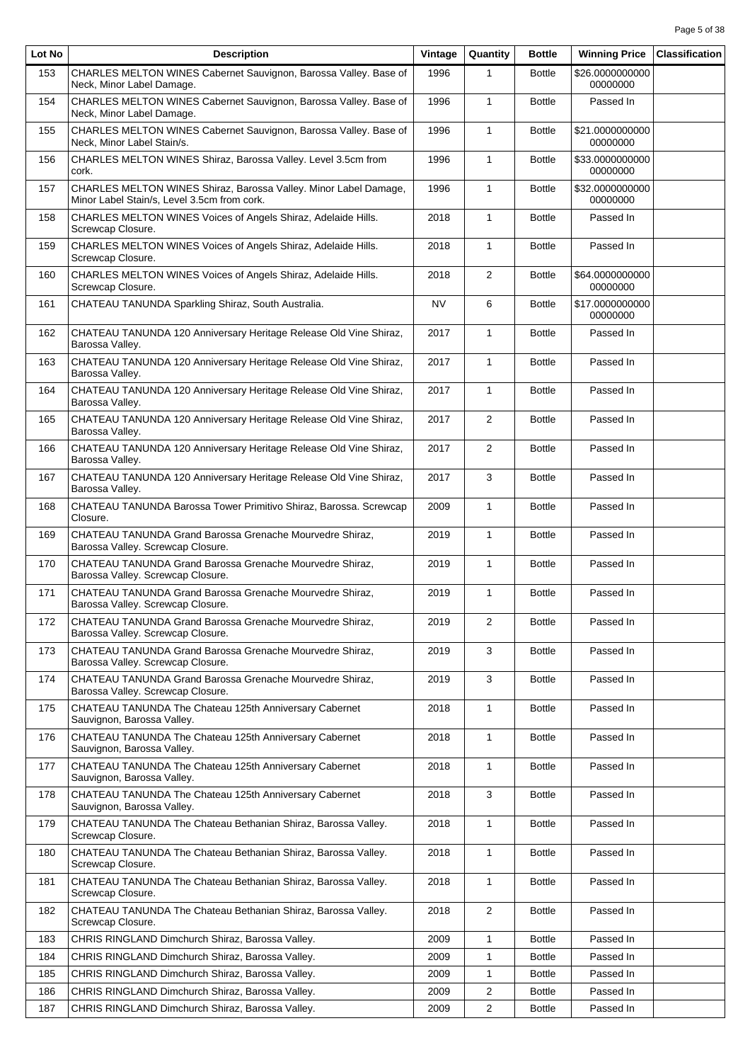| Lot No | <b>Description</b>                                                                                              | Vintage   | Quantity       | <b>Bottle</b> | <b>Winning Price</b>        | <b>Classification</b> |
|--------|-----------------------------------------------------------------------------------------------------------------|-----------|----------------|---------------|-----------------------------|-----------------------|
| 153    | CHARLES MELTON WINES Cabernet Sauvignon, Barossa Valley. Base of<br>Neck, Minor Label Damage.                   | 1996      | 1              | <b>Bottle</b> | \$26.0000000000<br>00000000 |                       |
| 154    | CHARLES MELTON WINES Cabernet Sauvignon, Barossa Valley. Base of<br>Neck, Minor Label Damage.                   | 1996      | $\mathbf{1}$   | <b>Bottle</b> | Passed In                   |                       |
| 155    | CHARLES MELTON WINES Cabernet Sauvignon, Barossa Valley. Base of<br>Neck, Minor Label Stain/s.                  | 1996      | $\mathbf{1}$   | <b>Bottle</b> | \$21.0000000000<br>00000000 |                       |
| 156    | CHARLES MELTON WINES Shiraz, Barossa Valley. Level 3.5cm from<br>cork.                                          | 1996      | $\mathbf{1}$   | <b>Bottle</b> | \$33.0000000000<br>00000000 |                       |
| 157    | CHARLES MELTON WINES Shiraz, Barossa Valley. Minor Label Damage,<br>Minor Label Stain/s, Level 3.5cm from cork. | 1996      | $\mathbf{1}$   | <b>Bottle</b> | \$32.0000000000<br>00000000 |                       |
| 158    | CHARLES MELTON WINES Voices of Angels Shiraz, Adelaide Hills.<br>Screwcap Closure.                              | 2018      | 1              | <b>Bottle</b> | Passed In                   |                       |
| 159    | CHARLES MELTON WINES Voices of Angels Shiraz, Adelaide Hills.<br>Screwcap Closure.                              | 2018      | $\mathbf{1}$   | <b>Bottle</b> | Passed In                   |                       |
| 160    | CHARLES MELTON WINES Voices of Angels Shiraz, Adelaide Hills.<br>Screwcap Closure.                              | 2018      | 2              | <b>Bottle</b> | \$64.0000000000<br>00000000 |                       |
| 161    | CHATEAU TANUNDA Sparkling Shiraz, South Australia.                                                              | <b>NV</b> | 6              | <b>Bottle</b> | \$17.0000000000<br>00000000 |                       |
| 162    | CHATEAU TANUNDA 120 Anniversary Heritage Release Old Vine Shiraz,<br>Barossa Valley.                            | 2017      | $\mathbf{1}$   | <b>Bottle</b> | Passed In                   |                       |
| 163    | CHATEAU TANUNDA 120 Anniversary Heritage Release Old Vine Shiraz,<br>Barossa Valley.                            | 2017      | $\mathbf{1}$   | <b>Bottle</b> | Passed In                   |                       |
| 164    | CHATEAU TANUNDA 120 Anniversary Heritage Release Old Vine Shiraz,<br>Barossa Valley.                            | 2017      | $\mathbf{1}$   | <b>Bottle</b> | Passed In                   |                       |
| 165    | CHATEAU TANUNDA 120 Anniversary Heritage Release Old Vine Shiraz,<br>Barossa Valley.                            | 2017      | 2              | <b>Bottle</b> | Passed In                   |                       |
| 166    | CHATEAU TANUNDA 120 Anniversary Heritage Release Old Vine Shiraz,<br>Barossa Valley.                            | 2017      | $\overline{2}$ | <b>Bottle</b> | Passed In                   |                       |
| 167    | CHATEAU TANUNDA 120 Anniversary Heritage Release Old Vine Shiraz,<br>Barossa Valley.                            | 2017      | 3              | <b>Bottle</b> | Passed In                   |                       |
| 168    | CHATEAU TANUNDA Barossa Tower Primitivo Shiraz, Barossa. Screwcap<br>Closure.                                   | 2009      | $\mathbf{1}$   | <b>Bottle</b> | Passed In                   |                       |
| 169    | CHATEAU TANUNDA Grand Barossa Grenache Mourvedre Shiraz,<br>Barossa Valley. Screwcap Closure.                   | 2019      | 1              | <b>Bottle</b> | Passed In                   |                       |
| 170    | CHATEAU TANUNDA Grand Barossa Grenache Mourvedre Shiraz,<br>Barossa Valley. Screwcap Closure.                   | 2019      | $\mathbf{1}$   | <b>Bottle</b> | Passed In                   |                       |
| 171    | CHATEAU TANUNDA Grand Barossa Grenache Mourvedre Shiraz.<br>Barossa Valley. Screwcap Closure.                   | 2019      | $\mathbf{1}$   | <b>Bottle</b> | Passed In                   |                       |
| 172    | CHATEAU TANUNDA Grand Barossa Grenache Mourvedre Shiraz,<br>Barossa Valley. Screwcap Closure.                   | 2019      | $\overline{2}$ | <b>Bottle</b> | Passed In                   |                       |
| 173    | CHATEAU TANUNDA Grand Barossa Grenache Mourvedre Shiraz.<br>Barossa Valley. Screwcap Closure.                   | 2019      | 3              | <b>Bottle</b> | Passed In                   |                       |
| 174    | CHATEAU TANUNDA Grand Barossa Grenache Mourvedre Shiraz,<br>Barossa Valley. Screwcap Closure.                   | 2019      | 3              | <b>Bottle</b> | Passed In                   |                       |
| 175    | CHATEAU TANUNDA The Chateau 125th Anniversary Cabernet<br>Sauvignon, Barossa Valley.                            | 2018      | 1              | <b>Bottle</b> | Passed In                   |                       |
| 176    | CHATEAU TANUNDA The Chateau 125th Anniversary Cabernet<br>Sauvignon, Barossa Valley.                            | 2018      | $\mathbf{1}$   | <b>Bottle</b> | Passed In                   |                       |
| 177    | CHATEAU TANUNDA The Chateau 125th Anniversary Cabernet<br>Sauvignon, Barossa Valley.                            | 2018      | $\mathbf{1}$   | <b>Bottle</b> | Passed In                   |                       |
| 178    | CHATEAU TANUNDA The Chateau 125th Anniversary Cabernet<br>Sauvignon, Barossa Valley.                            | 2018      | 3              | <b>Bottle</b> | Passed In                   |                       |
| 179    | CHATEAU TANUNDA The Chateau Bethanian Shiraz, Barossa Valley.<br>Screwcap Closure.                              | 2018      | 1              | <b>Bottle</b> | Passed In                   |                       |
| 180    | CHATEAU TANUNDA The Chateau Bethanian Shiraz, Barossa Valley.<br>Screwcap Closure.                              | 2018      | 1              | <b>Bottle</b> | Passed In                   |                       |
| 181    | CHATEAU TANUNDA The Chateau Bethanian Shiraz, Barossa Valley.<br>Screwcap Closure.                              | 2018      | $\mathbf{1}$   | <b>Bottle</b> | Passed In                   |                       |
| 182    | CHATEAU TANUNDA The Chateau Bethanian Shiraz, Barossa Valley.<br>Screwcap Closure.                              | 2018      | $\overline{2}$ | <b>Bottle</b> | Passed In                   |                       |
| 183    | CHRIS RINGLAND Dimchurch Shiraz, Barossa Valley.                                                                | 2009      | $\mathbf{1}$   | <b>Bottle</b> | Passed In                   |                       |
| 184    | CHRIS RINGLAND Dimchurch Shiraz, Barossa Valley.                                                                | 2009      | 1              | <b>Bottle</b> | Passed In                   |                       |
| 185    | CHRIS RINGLAND Dimchurch Shiraz, Barossa Valley.                                                                | 2009      | 1              | <b>Bottle</b> | Passed In                   |                       |
| 186    | CHRIS RINGLAND Dimchurch Shiraz, Barossa Valley.                                                                | 2009      | $\overline{2}$ | <b>Bottle</b> | Passed In                   |                       |
| 187    | CHRIS RINGLAND Dimchurch Shiraz, Barossa Valley.                                                                | 2009      | $\overline{2}$ | <b>Bottle</b> | Passed In                   |                       |
|        |                                                                                                                 |           |                |               |                             |                       |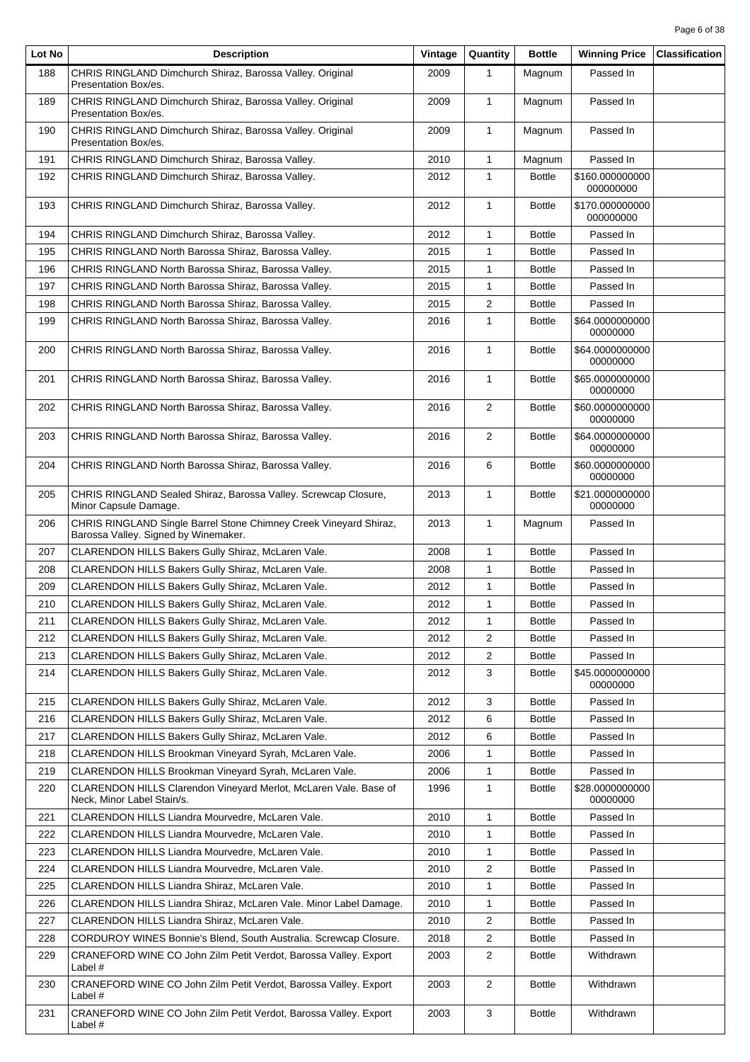| Lot No | <b>Description</b>                                                                                        | Vintage | Quantity       | <b>Bottle</b> | <b>Winning Price</b>         | <b>Classification</b> |
|--------|-----------------------------------------------------------------------------------------------------------|---------|----------------|---------------|------------------------------|-----------------------|
| 188    | CHRIS RINGLAND Dimchurch Shiraz, Barossa Valley. Original<br>Presentation Box/es.                         | 2009    | $\mathbf{1}$   | Magnum        | Passed In                    |                       |
| 189    | CHRIS RINGLAND Dimchurch Shiraz, Barossa Valley. Original<br>Presentation Box/es.                         | 2009    | $\mathbf{1}$   | Magnum        | Passed In                    |                       |
| 190    | CHRIS RINGLAND Dimchurch Shiraz, Barossa Valley. Original<br>Presentation Box/es.                         | 2009    | $\mathbf{1}$   | Magnum        | Passed In                    |                       |
| 191    | CHRIS RINGLAND Dimchurch Shiraz, Barossa Valley.                                                          | 2010    | $\mathbf{1}$   | Magnum        | Passed In                    |                       |
| 192    | CHRIS RINGLAND Dimchurch Shiraz, Barossa Valley.                                                          | 2012    | $\mathbf{1}$   | <b>Bottle</b> | \$160.000000000<br>000000000 |                       |
| 193    | CHRIS RINGLAND Dimchurch Shiraz, Barossa Valley.                                                          | 2012    | $\mathbf{1}$   | <b>Bottle</b> | \$170.000000000<br>000000000 |                       |
| 194    | CHRIS RINGLAND Dimchurch Shiraz, Barossa Valley.                                                          | 2012    | $\mathbf{1}$   | <b>Bottle</b> | Passed In                    |                       |
| 195    | CHRIS RINGLAND North Barossa Shiraz, Barossa Valley.                                                      | 2015    | $\mathbf{1}$   | <b>Bottle</b> | Passed In                    |                       |
| 196    | CHRIS RINGLAND North Barossa Shiraz, Barossa Valley.                                                      | 2015    | 1              | <b>Bottle</b> | Passed In                    |                       |
| 197    | CHRIS RINGLAND North Barossa Shiraz, Barossa Valley.                                                      | 2015    | $\mathbf{1}$   | <b>Bottle</b> | Passed In                    |                       |
| 198    | CHRIS RINGLAND North Barossa Shiraz, Barossa Valley.                                                      | 2015    | 2              | <b>Bottle</b> | Passed In                    |                       |
| 199    | CHRIS RINGLAND North Barossa Shiraz, Barossa Valley.                                                      | 2016    | $\mathbf{1}$   | <b>Bottle</b> | \$64.0000000000<br>00000000  |                       |
| 200    | CHRIS RINGLAND North Barossa Shiraz, Barossa Valley.                                                      | 2016    | $\mathbf{1}$   | <b>Bottle</b> | \$64.0000000000<br>00000000  |                       |
| 201    | CHRIS RINGLAND North Barossa Shiraz, Barossa Valley.                                                      | 2016    | $\mathbf{1}$   | <b>Bottle</b> | \$65.0000000000<br>00000000  |                       |
| 202    | CHRIS RINGLAND North Barossa Shiraz, Barossa Valley.                                                      | 2016    | $\overline{2}$ | <b>Bottle</b> | \$60.0000000000<br>00000000  |                       |
| 203    | CHRIS RINGLAND North Barossa Shiraz, Barossa Valley.                                                      | 2016    | $\overline{2}$ | <b>Bottle</b> | \$64.0000000000<br>00000000  |                       |
| 204    | CHRIS RINGLAND North Barossa Shiraz, Barossa Valley.                                                      | 2016    | 6              | <b>Bottle</b> | \$60.0000000000<br>00000000  |                       |
| 205    | CHRIS RINGLAND Sealed Shiraz, Barossa Valley. Screwcap Closure,<br>Minor Capsule Damage.                  | 2013    | $\mathbf{1}$   | <b>Bottle</b> | \$21.0000000000<br>00000000  |                       |
| 206    | CHRIS RINGLAND Single Barrel Stone Chimney Creek Vineyard Shiraz,<br>Barossa Valley. Signed by Winemaker. | 2013    | $\mathbf{1}$   | Magnum        | Passed In                    |                       |
| 207    | CLARENDON HILLS Bakers Gully Shiraz, McLaren Vale.                                                        | 2008    | $\mathbf{1}$   | <b>Bottle</b> | Passed In                    |                       |
| 208    | CLARENDON HILLS Bakers Gully Shiraz, McLaren Vale.                                                        | 2008    | $\mathbf{1}$   | <b>Bottle</b> | Passed In                    |                       |
| 209    | CLARENDON HILLS Bakers Gully Shiraz, McLaren Vale.                                                        | 2012    | $\mathbf{1}$   | <b>Bottle</b> | Passed In                    |                       |
| 210    | CLARENDON HILLS Bakers Gully Shiraz, McLaren Vale.                                                        | 2012    | $\mathbf{1}$   | <b>Bottle</b> | Passed In                    |                       |
| 211    | CLARENDON HILLS Bakers Gully Shiraz, McLaren Vale.                                                        | 2012    | $\mathbf{1}$   | <b>Bottle</b> | Passed In                    |                       |
| 212    | CLARENDON HILLS Bakers Gully Shiraz, McLaren Vale.                                                        | 2012    | 2              | <b>Bottle</b> | Passed In                    |                       |
| 213    | CLARENDON HILLS Bakers Gully Shiraz, McLaren Vale.                                                        | 2012    | $\overline{2}$ | <b>Bottle</b> | Passed In                    |                       |
| 214    | CLARENDON HILLS Bakers Gully Shiraz, McLaren Vale.                                                        | 2012    | 3              | <b>Bottle</b> | \$45.0000000000<br>00000000  |                       |
| 215    | CLARENDON HILLS Bakers Gully Shiraz, McLaren Vale.                                                        | 2012    | 3              | <b>Bottle</b> | Passed In                    |                       |
| 216    | CLARENDON HILLS Bakers Gully Shiraz, McLaren Vale.                                                        | 2012    | 6              | <b>Bottle</b> | Passed In                    |                       |
| 217    | CLARENDON HILLS Bakers Gully Shiraz, McLaren Vale.                                                        | 2012    | 6              | <b>Bottle</b> | Passed In                    |                       |
| 218    | CLARENDON HILLS Brookman Vineyard Syrah, McLaren Vale.                                                    | 2006    | 1              | <b>Bottle</b> | Passed In                    |                       |
| 219    | CLARENDON HILLS Brookman Vineyard Syrah, McLaren Vale.                                                    | 2006    | $\mathbf{1}$   | <b>Bottle</b> | Passed In                    |                       |
| 220    | CLARENDON HILLS Clarendon Vineyard Merlot, McLaren Vale. Base of<br>Neck, Minor Label Stain/s.            | 1996    | 1              | <b>Bottle</b> | \$28.0000000000<br>00000000  |                       |
| 221    | CLARENDON HILLS Liandra Mourvedre, McLaren Vale.                                                          | 2010    | $\mathbf{1}$   | <b>Bottle</b> | Passed In                    |                       |
| 222    | CLARENDON HILLS Liandra Mourvedre, McLaren Vale.                                                          | 2010    | $\mathbf{1}$   | <b>Bottle</b> | Passed In                    |                       |
| 223    | CLARENDON HILLS Liandra Mourvedre, McLaren Vale.                                                          | 2010    | 1              | <b>Bottle</b> | Passed In                    |                       |
| 224    | CLARENDON HILLS Liandra Mourvedre, McLaren Vale.                                                          | 2010    | $\overline{2}$ | <b>Bottle</b> | Passed In                    |                       |
| 225    | CLARENDON HILLS Liandra Shiraz, McLaren Vale.                                                             | 2010    | 1              | <b>Bottle</b> | Passed In                    |                       |
| 226    | CLARENDON HILLS Liandra Shiraz, McLaren Vale. Minor Label Damage.                                         | 2010    | 1              | <b>Bottle</b> | Passed In                    |                       |
| 227    | CLARENDON HILLS Liandra Shiraz, McLaren Vale.                                                             | 2010    | $\overline{2}$ | <b>Bottle</b> | Passed In                    |                       |
| 228    | CORDUROY WINES Bonnie's Blend, South Australia. Screwcap Closure.                                         | 2018    | $\overline{2}$ | <b>Bottle</b> | Passed In                    |                       |
| 229    | CRANEFORD WINE CO John Zilm Petit Verdot, Barossa Valley. Export<br>Label #                               | 2003    | $\overline{2}$ | <b>Bottle</b> | Withdrawn                    |                       |
| 230    | CRANEFORD WINE CO John Zilm Petit Verdot, Barossa Valley. Export<br>Label #                               | 2003    | $\overline{2}$ | <b>Bottle</b> | Withdrawn                    |                       |
| 231    | CRANEFORD WINE CO John Zilm Petit Verdot, Barossa Valley. Export<br>Label #                               | 2003    | 3              | <b>Bottle</b> | Withdrawn                    |                       |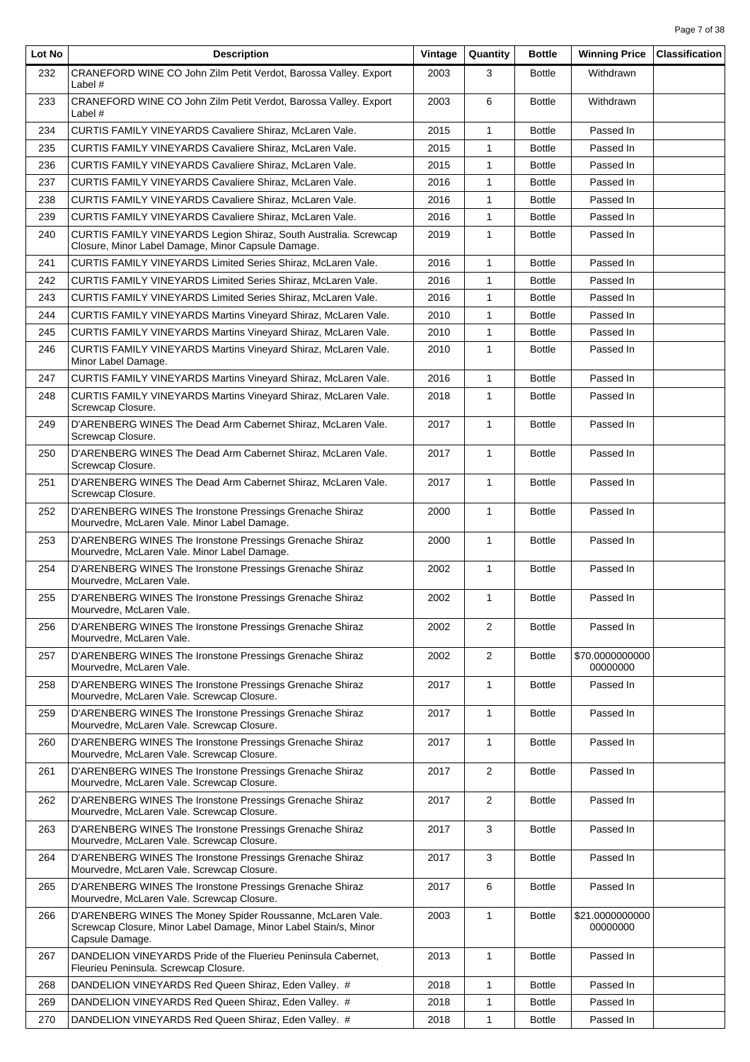| Lot No | <b>Description</b>                                                                                                                                | Vintage | Quantity       | <b>Bottle</b> | <b>Winning Price</b>        | <b>Classification</b> |
|--------|---------------------------------------------------------------------------------------------------------------------------------------------------|---------|----------------|---------------|-----------------------------|-----------------------|
| 232    | CRANEFORD WINE CO John Zilm Petit Verdot, Barossa Valley. Export<br>Label $#$                                                                     | 2003    | 3              | <b>Bottle</b> | Withdrawn                   |                       |
| 233    | CRANEFORD WINE CO John Zilm Petit Verdot, Barossa Valley. Export<br>Label $#$                                                                     | 2003    | 6              | <b>Bottle</b> | Withdrawn                   |                       |
| 234    | <b>CURTIS FAMILY VINEYARDS Cavaliere Shiraz, McLaren Vale.</b>                                                                                    | 2015    | $\mathbf{1}$   | <b>Bottle</b> | Passed In                   |                       |
| 235    | <b>CURTIS FAMILY VINEYARDS Cavaliere Shiraz, McLaren Vale.</b>                                                                                    | 2015    | $\mathbf{1}$   | <b>Bottle</b> | Passed In                   |                       |
| 236    | CURTIS FAMILY VINEYARDS Cavaliere Shiraz, McLaren Vale.                                                                                           | 2015    | $\mathbf{1}$   | <b>Bottle</b> | Passed In                   |                       |
| 237    | CURTIS FAMILY VINEYARDS Cavaliere Shiraz, McLaren Vale.                                                                                           | 2016    | 1              | <b>Bottle</b> | Passed In                   |                       |
| 238    | CURTIS FAMILY VINEYARDS Cavaliere Shiraz, McLaren Vale.                                                                                           | 2016    | $\mathbf{1}$   | <b>Bottle</b> | Passed In                   |                       |
| 239    | CURTIS FAMILY VINEYARDS Cavaliere Shiraz, McLaren Vale.                                                                                           | 2016    | $\mathbf{1}$   | <b>Bottle</b> | Passed In                   |                       |
| 240    | CURTIS FAMILY VINEYARDS Legion Shiraz, South Australia. Screwcap<br>Closure, Minor Label Damage, Minor Capsule Damage.                            | 2019    | $\mathbf{1}$   | <b>Bottle</b> | Passed In                   |                       |
| 241    | CURTIS FAMILY VINEYARDS Limited Series Shiraz, McLaren Vale.                                                                                      | 2016    | $\mathbf{1}$   | <b>Bottle</b> | Passed In                   |                       |
| 242    | <b>CURTIS FAMILY VINEYARDS Limited Series Shiraz, McLaren Vale.</b>                                                                               | 2016    | 1              | <b>Bottle</b> | Passed In                   |                       |
| 243    | CURTIS FAMILY VINEYARDS Limited Series Shiraz, McLaren Vale.                                                                                      | 2016    | $\mathbf{1}$   | <b>Bottle</b> | Passed In                   |                       |
| 244    | CURTIS FAMILY VINEYARDS Martins Vineyard Shiraz, McLaren Vale.                                                                                    | 2010    | $\mathbf{1}$   | <b>Bottle</b> | Passed In                   |                       |
| 245    | CURTIS FAMILY VINEYARDS Martins Vineyard Shiraz, McLaren Vale.                                                                                    | 2010    | $\mathbf{1}$   | <b>Bottle</b> | Passed In                   |                       |
| 246    | CURTIS FAMILY VINEYARDS Martins Vineyard Shiraz, McLaren Vale.<br>Minor Label Damage.                                                             | 2010    | $\mathbf{1}$   | <b>Bottle</b> | Passed In                   |                       |
| 247    | CURTIS FAMILY VINEYARDS Martins Vineyard Shiraz, McLaren Vale.                                                                                    | 2016    | $\mathbf{1}$   | <b>Bottle</b> | Passed In                   |                       |
| 248    | CURTIS FAMILY VINEYARDS Martins Vineyard Shiraz, McLaren Vale.<br>Screwcap Closure.                                                               | 2018    | $\mathbf{1}$   | <b>Bottle</b> | Passed In                   |                       |
| 249    | D'ARENBERG WINES The Dead Arm Cabernet Shiraz, McLaren Vale.<br>Screwcap Closure.                                                                 | 2017    | $\mathbf{1}$   | <b>Bottle</b> | Passed In                   |                       |
| 250    | D'ARENBERG WINES The Dead Arm Cabernet Shiraz, McLaren Vale.<br>Screwcap Closure.                                                                 | 2017    | $\mathbf{1}$   | <b>Bottle</b> | Passed In                   |                       |
| 251    | D'ARENBERG WINES The Dead Arm Cabernet Shiraz, McLaren Vale.<br>Screwcap Closure.                                                                 | 2017    | $\mathbf{1}$   | <b>Bottle</b> | Passed In                   |                       |
| 252    | D'ARENBERG WINES The Ironstone Pressings Grenache Shiraz<br>Mourvedre, McLaren Vale. Minor Label Damage.                                          | 2000    | $\mathbf{1}$   | <b>Bottle</b> | Passed In                   |                       |
| 253    | D'ARENBERG WINES The Ironstone Pressings Grenache Shiraz<br>Mourvedre, McLaren Vale. Minor Label Damage.                                          | 2000    | $\mathbf{1}$   | <b>Bottle</b> | Passed In                   |                       |
| 254    | D'ARENBERG WINES The Ironstone Pressings Grenache Shiraz<br>Mourvedre, McLaren Vale.                                                              | 2002    | $\mathbf{1}$   | <b>Bottle</b> | Passed In                   |                       |
| 255    | D'ARENBERG WINES The Ironstone Pressings Grenache Shiraz<br>Mourvedre, McLaren Vale.                                                              | 2002    | $\mathbf{1}$   | <b>Bottle</b> | Passed In                   |                       |
| 256    | D'ARENBERG WINES The Ironstone Pressings Grenache Shiraz<br>Mourvedre, McLaren Vale.                                                              | 2002    | $\overline{2}$ | <b>Bottle</b> | Passed In                   |                       |
| 257    | D'ARENBERG WINES The Ironstone Pressings Grenache Shiraz<br>Mourvedre, McLaren Vale.                                                              | 2002    | $\overline{2}$ | <b>Bottle</b> | \$70,0000000000<br>00000000 |                       |
| 258    | D'ARENBERG WINES The Ironstone Pressings Grenache Shiraz<br>Mourvedre, McLaren Vale. Screwcap Closure.                                            | 2017    | $\mathbf{1}$   | <b>Bottle</b> | Passed In                   |                       |
| 259    | D'ARENBERG WINES The Ironstone Pressings Grenache Shiraz<br>Mourvedre, McLaren Vale. Screwcap Closure.                                            | 2017    | $\mathbf{1}$   | <b>Bottle</b> | Passed In                   |                       |
| 260    | D'ARENBERG WINES The Ironstone Pressings Grenache Shiraz<br>Mourvedre, McLaren Vale. Screwcap Closure.                                            | 2017    | $\mathbf{1}$   | <b>Bottle</b> | Passed In                   |                       |
| 261    | D'ARENBERG WINES The Ironstone Pressings Grenache Shiraz<br>Mourvedre, McLaren Vale. Screwcap Closure.                                            | 2017    | 2              | <b>Bottle</b> | Passed In                   |                       |
| 262    | D'ARENBERG WINES The Ironstone Pressings Grenache Shiraz<br>Mourvedre, McLaren Vale. Screwcap Closure.                                            | 2017    | $\overline{2}$ | <b>Bottle</b> | Passed In                   |                       |
| 263    | D'ARENBERG WINES The Ironstone Pressings Grenache Shiraz<br>Mourvedre, McLaren Vale. Screwcap Closure.                                            | 2017    | 3              | <b>Bottle</b> | Passed In                   |                       |
| 264    | D'ARENBERG WINES The Ironstone Pressings Grenache Shiraz<br>Mourvedre, McLaren Vale. Screwcap Closure.                                            | 2017    | 3              | <b>Bottle</b> | Passed In                   |                       |
| 265    | D'ARENBERG WINES The Ironstone Pressings Grenache Shiraz<br>Mourvedre, McLaren Vale. Screwcap Closure.                                            | 2017    | 6              | <b>Bottle</b> | Passed In                   |                       |
| 266    | D'ARENBERG WINES The Money Spider Roussanne, McLaren Vale.<br>Screwcap Closure, Minor Label Damage, Minor Label Stain/s, Minor<br>Capsule Damage. | 2003    | $\mathbf{1}$   | <b>Bottle</b> | \$21.0000000000<br>00000000 |                       |
| 267    | DANDELION VINEYARDS Pride of the Fluerieu Peninsula Cabernet,<br>Fleurieu Peninsula. Screwcap Closure.                                            | 2013    | $\mathbf{1}$   | <b>Bottle</b> | Passed In                   |                       |
| 268    | DANDELION VINEYARDS Red Queen Shiraz, Eden Valley. #                                                                                              | 2018    | $\mathbf{1}$   | <b>Bottle</b> | Passed In                   |                       |
| 269    | DANDELION VINEYARDS Red Queen Shiraz, Eden Valley. #                                                                                              | 2018    | $\mathbf{1}$   | <b>Bottle</b> | Passed In                   |                       |
| 270    | DANDELION VINEYARDS Red Queen Shiraz, Eden Valley. #                                                                                              | 2018    | $\mathbf{1}$   | <b>Bottle</b> | Passed In                   |                       |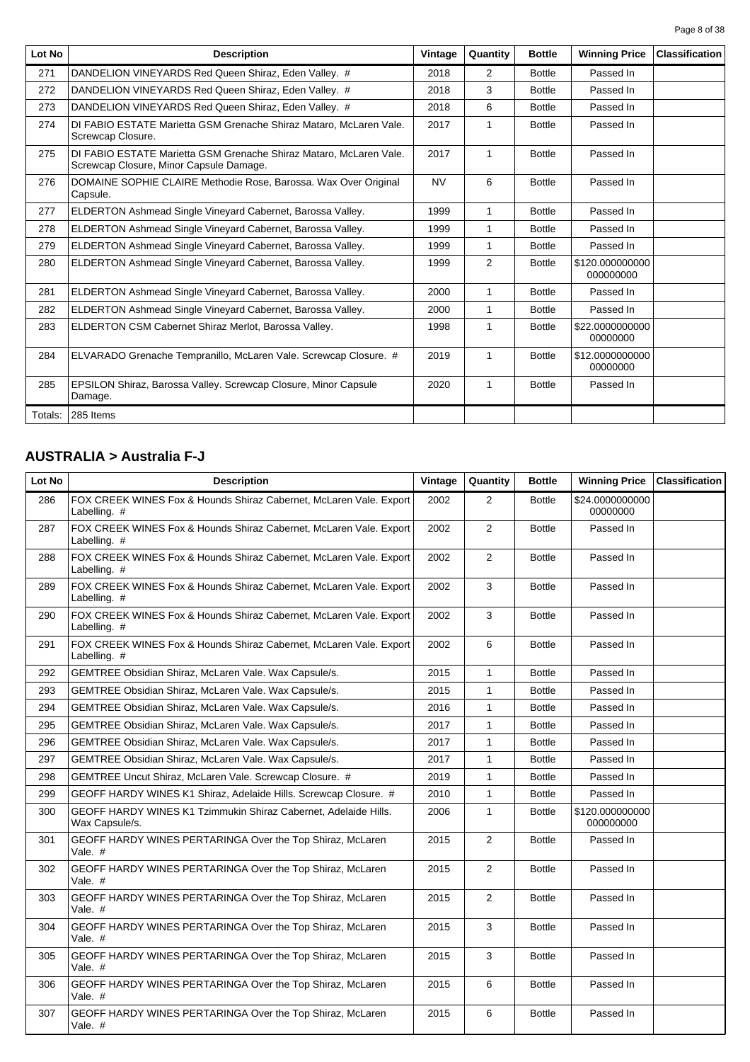Page 8 of 38

| Lot No  | <b>Description</b>                                                                                            | Vintage   | Quantity       | <b>Bottle</b> | <b>Winning Price</b>         | <b>Classification</b> |
|---------|---------------------------------------------------------------------------------------------------------------|-----------|----------------|---------------|------------------------------|-----------------------|
| 271     | DANDELION VINEYARDS Red Queen Shiraz, Eden Valley. #                                                          | 2018      | $\overline{2}$ | <b>Bottle</b> | Passed In                    |                       |
| 272     | DANDELION VINEYARDS Red Queen Shiraz, Eden Valley. #                                                          | 2018      | 3              | <b>Bottle</b> | Passed In                    |                       |
| 273     | DANDELION VINEYARDS Red Queen Shiraz, Eden Valley. #                                                          | 2018      | 6              | <b>Bottle</b> | Passed In                    |                       |
| 274     | DI FABIO ESTATE Marietta GSM Grenache Shiraz Mataro, McLaren Vale.<br>Screwcap Closure.                       | 2017      | 1              | <b>Bottle</b> | Passed In                    |                       |
| 275     | DI FABIO ESTATE Marietta GSM Grenache Shiraz Mataro, McLaren Vale.<br>Screwcap Closure, Minor Capsule Damage. | 2017      | 1              | <b>Bottle</b> | Passed In                    |                       |
| 276     | DOMAINE SOPHIE CLAIRE Methodie Rose, Barossa. Wax Over Original<br>Capsule.                                   | <b>NV</b> | 6              | <b>Bottle</b> | Passed In                    |                       |
| 277     | ELDERTON Ashmead Single Vineyard Cabernet, Barossa Valley.                                                    | 1999      | 1              | <b>Bottle</b> | Passed In                    |                       |
| 278     | ELDERTON Ashmead Single Vineyard Cabernet, Barossa Valley.                                                    | 1999      | 1              | <b>Bottle</b> | Passed In                    |                       |
| 279     | ELDERTON Ashmead Single Vineyard Cabernet, Barossa Valley.                                                    | 1999      | 1              | <b>Bottle</b> | Passed In                    |                       |
| 280     | ELDERTON Ashmead Single Vineyard Cabernet, Barossa Valley.                                                    | 1999      | 2              | <b>Bottle</b> | \$120.000000000<br>000000000 |                       |
| 281     | ELDERTON Ashmead Single Vineyard Cabernet, Barossa Valley.                                                    | 2000      | 1              | <b>Bottle</b> | Passed In                    |                       |
| 282     | ELDERTON Ashmead Single Vineyard Cabernet, Barossa Valley.                                                    | 2000      | $\mathbf{1}$   | <b>Bottle</b> | Passed In                    |                       |
| 283     | ELDERTON CSM Cabernet Shiraz Merlot, Barossa Valley.                                                          | 1998      | 1              | <b>Bottle</b> | \$22,0000000000<br>00000000  |                       |
| 284     | ELVARADO Grenache Tempranillo, McLaren Vale. Screwcap Closure. #                                              | 2019      | 1              | <b>Bottle</b> | \$12.0000000000<br>00000000  |                       |
| 285     | EPSILON Shiraz, Barossa Valley. Screwcap Closure, Minor Capsule<br>Damage.                                    | 2020      | 1              | <b>Bottle</b> | Passed In                    |                       |
| Totals: | 285 Items                                                                                                     |           |                |               |                              |                       |

### **AUSTRALIA > Australia F-J**

| Lot No | <b>Description</b>                                                                 | Vintage | Quantity       | <b>Bottle</b> | <b>Winning Price</b>         | Classification |
|--------|------------------------------------------------------------------------------------|---------|----------------|---------------|------------------------------|----------------|
| 286    | FOX CREEK WINES Fox & Hounds Shiraz Cabernet, McLaren Vale. Export<br>Labelling. # | 2002    | $\overline{2}$ | <b>Bottle</b> | \$24.0000000000<br>00000000  |                |
| 287    | FOX CREEK WINES Fox & Hounds Shiraz Cabernet, McLaren Vale. Export<br>Labelling. # | 2002    | 2              | <b>Bottle</b> | Passed In                    |                |
| 288    | FOX CREEK WINES Fox & Hounds Shiraz Cabernet, McLaren Vale. Export<br>Labelling. # | 2002    | 2              | <b>Bottle</b> | Passed In                    |                |
| 289    | FOX CREEK WINES Fox & Hounds Shiraz Cabernet, McLaren Vale. Export<br>Labelling. # | 2002    | 3              | <b>Bottle</b> | Passed In                    |                |
| 290    | FOX CREEK WINES Fox & Hounds Shiraz Cabernet, McLaren Vale. Export<br>Labelling. # | 2002    | 3              | <b>Bottle</b> | Passed In                    |                |
| 291    | FOX CREEK WINES Fox & Hounds Shiraz Cabernet, McLaren Vale. Export<br>Labelling. # | 2002    | 6              | <b>Bottle</b> | Passed In                    |                |
| 292    | GEMTREE Obsidian Shiraz, McLaren Vale. Wax Capsule/s.                              | 2015    | $\mathbf{1}$   | <b>Bottle</b> | Passed In                    |                |
| 293    | GEMTREE Obsidian Shiraz, McLaren Vale. Wax Capsule/s.                              | 2015    | $\mathbf{1}$   | <b>Bottle</b> | Passed In                    |                |
| 294    | GEMTREE Obsidian Shiraz, McLaren Vale. Wax Capsule/s.                              | 2016    | $\mathbf{1}$   | <b>Bottle</b> | Passed In                    |                |
| 295    | GEMTREE Obsidian Shiraz, McLaren Vale. Wax Capsule/s.                              | 2017    | $\mathbf{1}$   | <b>Bottle</b> | Passed In                    |                |
| 296    | GEMTREE Obsidian Shiraz, McLaren Vale. Wax Capsule/s.                              | 2017    | $\mathbf{1}$   | <b>Bottle</b> | Passed In                    |                |
| 297    | GEMTREE Obsidian Shiraz, McLaren Vale. Wax Capsule/s.                              | 2017    | $\mathbf{1}$   | <b>Bottle</b> | Passed In                    |                |
| 298    | GEMTREE Uncut Shiraz, McLaren Vale. Screwcap Closure. #                            | 2019    | $\mathbf{1}$   | <b>Bottle</b> | Passed In                    |                |
| 299    | GEOFF HARDY WINES K1 Shiraz, Adelaide Hills. Screwcap Closure. #                   | 2010    | $\mathbf{1}$   | <b>Bottle</b> | Passed In                    |                |
| 300    | GEOFF HARDY WINES K1 Tzimmukin Shiraz Cabernet, Adelaide Hills.<br>Wax Capsule/s.  | 2006    | $\mathbf{1}$   | <b>Bottle</b> | \$120.000000000<br>000000000 |                |
| 301    | GEOFF HARDY WINES PERTARINGA Over the Top Shiraz, McLaren<br>Vale. #               | 2015    | 2              | <b>Bottle</b> | Passed In                    |                |
| 302    | GEOFF HARDY WINES PERTARINGA Over the Top Shiraz, McLaren<br>Vale. #               | 2015    | $\overline{2}$ | <b>Bottle</b> | Passed In                    |                |
| 303    | GEOFF HARDY WINES PERTARINGA Over the Top Shiraz, McLaren<br>Vale, #               | 2015    | $\overline{2}$ | <b>Bottle</b> | Passed In                    |                |
| 304    | GEOFF HARDY WINES PERTARINGA Over the Top Shiraz, McLaren<br>Vale. $#$             | 2015    | 3              | <b>Bottle</b> | Passed In                    |                |
| 305    | GEOFF HARDY WINES PERTARINGA Over the Top Shiraz, McLaren<br>Vale. $#$             | 2015    | 3              | <b>Bottle</b> | Passed In                    |                |
| 306    | GEOFF HARDY WINES PERTARINGA Over the Top Shiraz, McLaren<br>Vale. $#$             | 2015    | 6              | <b>Bottle</b> | Passed In                    |                |
| 307    | GEOFF HARDY WINES PERTARINGA Over the Top Shiraz, McLaren<br>Vale. #               | 2015    | 6              | <b>Bottle</b> | Passed In                    |                |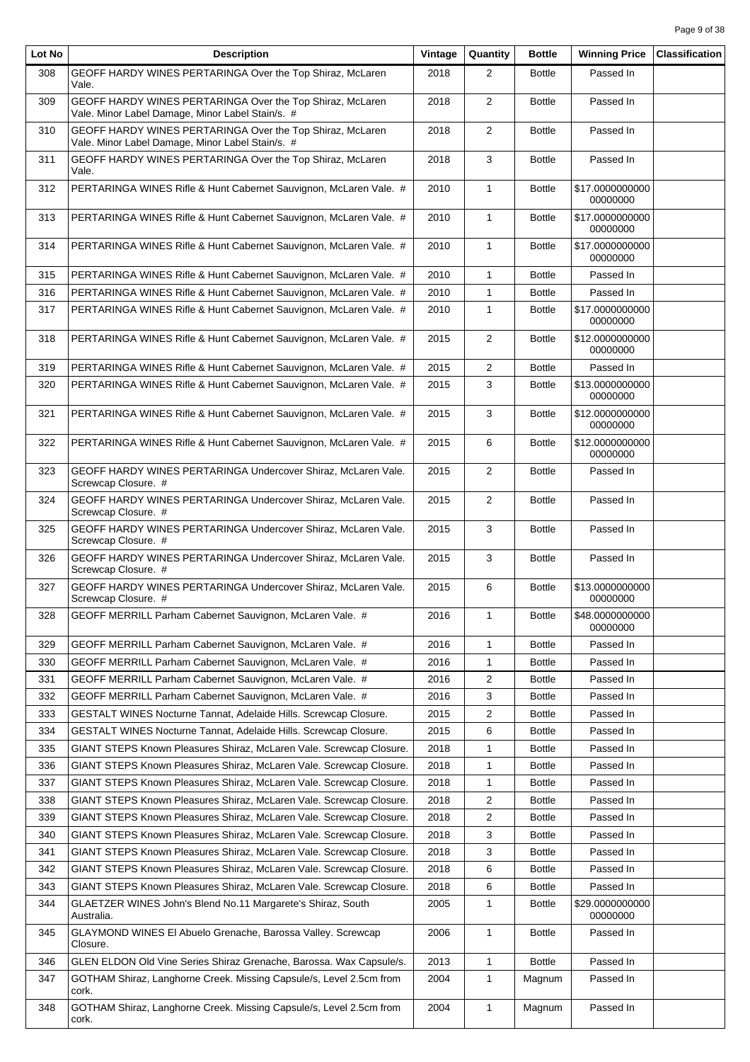| Lot No | <b>Description</b>                                                                                            | Vintage | Quantity                | <b>Bottle</b> | <b>Winning Price</b>        | <b>Classification</b> |
|--------|---------------------------------------------------------------------------------------------------------------|---------|-------------------------|---------------|-----------------------------|-----------------------|
| 308    | GEOFF HARDY WINES PERTARINGA Over the Top Shiraz, McLaren<br>Vale.                                            | 2018    | $\overline{2}$          | <b>Bottle</b> | Passed In                   |                       |
| 309    | GEOFF HARDY WINES PERTARINGA Over the Top Shiraz, McLaren<br>Vale. Minor Label Damage, Minor Label Stain/s. # | 2018    | $\overline{2}$          | <b>Bottle</b> | Passed In                   |                       |
| 310    | GEOFF HARDY WINES PERTARINGA Over the Top Shiraz, McLaren<br>Vale. Minor Label Damage, Minor Label Stain/s. # | 2018    | $\overline{2}$          | <b>Bottle</b> | Passed In                   |                       |
| 311    | GEOFF HARDY WINES PERTARINGA Over the Top Shiraz, McLaren<br>Vale.                                            | 2018    | 3                       | <b>Bottle</b> | Passed In                   |                       |
| 312    | PERTARINGA WINES Rifle & Hunt Cabernet Sauvignon, McLaren Vale. #                                             | 2010    | $\mathbf{1}$            | <b>Bottle</b> | \$17.0000000000<br>00000000 |                       |
| 313    | PERTARINGA WINES Rifle & Hunt Cabernet Sauvignon, McLaren Vale. #                                             | 2010    | $\mathbf{1}$            | <b>Bottle</b> | \$17.0000000000<br>00000000 |                       |
| 314    | PERTARINGA WINES Rifle & Hunt Cabernet Sauvignon, McLaren Vale. #                                             | 2010    | $\mathbf{1}$            | <b>Bottle</b> | \$17.0000000000<br>00000000 |                       |
| 315    | PERTARINGA WINES Rifle & Hunt Cabernet Sauvignon, McLaren Vale. #                                             | 2010    | $\mathbf{1}$            | <b>Bottle</b> | Passed In                   |                       |
| 316    | PERTARINGA WINES Rifle & Hunt Cabernet Sauvignon, McLaren Vale. #                                             | 2010    | $\mathbf{1}$            | <b>Bottle</b> | Passed In                   |                       |
| 317    | PERTARINGA WINES Rifle & Hunt Cabernet Sauvignon, McLaren Vale. #                                             | 2010    | 1                       | <b>Bottle</b> | \$17.0000000000<br>00000000 |                       |
| 318    | PERTARINGA WINES Rifle & Hunt Cabernet Sauvignon, McLaren Vale. #                                             | 2015    | 2                       | <b>Bottle</b> | \$12.0000000000<br>00000000 |                       |
| 319    | PERTARINGA WINES Rifle & Hunt Cabernet Sauvignon, McLaren Vale. #                                             | 2015    | $\overline{2}$          | <b>Bottle</b> | Passed In                   |                       |
| 320    | PERTARINGA WINES Rifle & Hunt Cabernet Sauvignon, McLaren Vale. #                                             | 2015    | 3                       | <b>Bottle</b> | \$13.0000000000<br>00000000 |                       |
| 321    | PERTARINGA WINES Rifle & Hunt Cabernet Sauvignon, McLaren Vale. #                                             | 2015    | 3                       | <b>Bottle</b> | \$12.0000000000<br>00000000 |                       |
| 322    | PERTARINGA WINES Rifle & Hunt Cabernet Sauvignon, McLaren Vale. #                                             | 2015    | 6                       | <b>Bottle</b> | \$12.0000000000<br>00000000 |                       |
| 323    | GEOFF HARDY WINES PERTARINGA Undercover Shiraz, McLaren Vale.<br>Screwcap Closure. #                          | 2015    | 2                       | <b>Bottle</b> | Passed In                   |                       |
| 324    | GEOFF HARDY WINES PERTARINGA Undercover Shiraz, McLaren Vale.<br>Screwcap Closure. #                          | 2015    | $\overline{2}$          | <b>Bottle</b> | Passed In                   |                       |
| 325    | GEOFF HARDY WINES PERTARINGA Undercover Shiraz, McLaren Vale.<br>Screwcap Closure. #                          | 2015    | 3                       | <b>Bottle</b> | Passed In                   |                       |
| 326    | GEOFF HARDY WINES PERTARINGA Undercover Shiraz, McLaren Vale.<br>Screwcap Closure. #                          | 2015    | 3                       | <b>Bottle</b> | Passed In                   |                       |
| 327    | GEOFF HARDY WINES PERTARINGA Undercover Shiraz, McLaren Vale.<br>Screwcap Closure. #                          | 2015    | 6                       | <b>Bottle</b> | \$13.0000000000<br>00000000 |                       |
| 328    | GEOFF MERRILL Parham Cabernet Sauvignon, McLaren Vale. #                                                      | 2016    | $\mathbf{1}$            | <b>Bottle</b> | \$48.0000000000<br>00000000 |                       |
| 329    | GEOFF MERRILL Parham Cabernet Sauvignon, McLaren Vale. #                                                      | 2016    | $\mathbf{1}$            | <b>Bottle</b> | Passed In                   |                       |
| 330    | GEOFF MERRILL Parham Cabernet Sauvignon, McLaren Vale. #                                                      | 2016    | 1                       | <b>Bottle</b> | Passed In                   |                       |
| 331    | GEOFF MERRILL Parham Cabernet Sauvignon, McLaren Vale. #                                                      | 2016    | 2                       | <b>Bottle</b> | Passed In                   |                       |
| 332    | GEOFF MERRILL Parham Cabernet Sauvignon, McLaren Vale. #                                                      | 2016    | 3                       | <b>Bottle</b> | Passed In                   |                       |
| 333    | GESTALT WINES Nocturne Tannat, Adelaide Hills. Screwcap Closure.                                              | 2015    | $\overline{\mathbf{c}}$ | <b>Bottle</b> | Passed In                   |                       |
| 334    | GESTALT WINES Nocturne Tannat, Adelaide Hills. Screwcap Closure.                                              | 2015    | 6                       | <b>Bottle</b> | Passed In                   |                       |
| 335    | GIANT STEPS Known Pleasures Shiraz, McLaren Vale. Screwcap Closure.                                           | 2018    | 1                       | <b>Bottle</b> | Passed In                   |                       |
| 336    | GIANT STEPS Known Pleasures Shiraz, McLaren Vale. Screwcap Closure.                                           | 2018    | 1                       | <b>Bottle</b> | Passed In                   |                       |
| 337    | GIANT STEPS Known Pleasures Shiraz, McLaren Vale. Screwcap Closure.                                           | 2018    | 1                       | <b>Bottle</b> | Passed In                   |                       |
| 338    | GIANT STEPS Known Pleasures Shiraz, McLaren Vale. Screwcap Closure.                                           | 2018    | 2                       | <b>Bottle</b> | Passed In                   |                       |
| 339    | GIANT STEPS Known Pleasures Shiraz, McLaren Vale. Screwcap Closure.                                           | 2018    | 2                       | <b>Bottle</b> | Passed In                   |                       |
| 340    | GIANT STEPS Known Pleasures Shiraz, McLaren Vale. Screwcap Closure.                                           | 2018    | 3                       | <b>Bottle</b> | Passed In                   |                       |
| 341    | GIANT STEPS Known Pleasures Shiraz, McLaren Vale. Screwcap Closure.                                           | 2018    | 3                       | <b>Bottle</b> | Passed In                   |                       |
| 342    | GIANT STEPS Known Pleasures Shiraz, McLaren Vale. Screwcap Closure.                                           | 2018    | 6                       | <b>Bottle</b> | Passed In                   |                       |
| 343    | GIANT STEPS Known Pleasures Shiraz, McLaren Vale. Screwcap Closure.                                           | 2018    | 6                       | <b>Bottle</b> | Passed In                   |                       |
| 344    | GLAETZER WINES John's Blend No.11 Margarete's Shiraz, South<br>Australia.                                     | 2005    | $\mathbf{1}$            | <b>Bottle</b> | \$29.0000000000<br>00000000 |                       |
| 345    | GLAYMOND WINES EI Abuelo Grenache, Barossa Valley. Screwcap<br>Closure.                                       | 2006    | $\mathbf{1}$            | <b>Bottle</b> | Passed In                   |                       |
| 346    | GLEN ELDON Old Vine Series Shiraz Grenache, Barossa. Wax Capsule/s.                                           | 2013    | $\mathbf{1}$            | <b>Bottle</b> | Passed In                   |                       |
| 347    | GOTHAM Shiraz, Langhorne Creek. Missing Capsule/s, Level 2.5cm from<br>cork.                                  | 2004    | 1                       | Magnum        | Passed In                   |                       |
| 348    | GOTHAM Shiraz, Langhorne Creek. Missing Capsule/s, Level 2.5cm from<br>cork.                                  | 2004    | 1                       | Magnum        | Passed In                   |                       |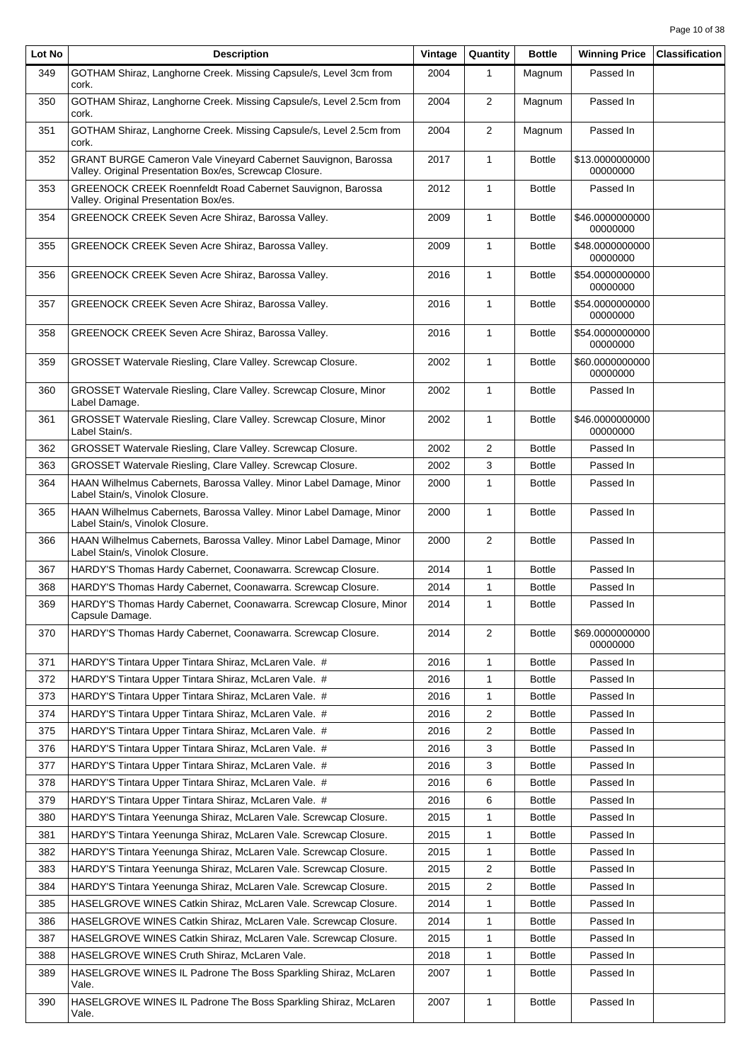| Lot No | <b>Description</b>                                                                                                       | Vintage | Quantity                | <b>Bottle</b> | <b>Winning Price</b>        | <b>Classification</b> |
|--------|--------------------------------------------------------------------------------------------------------------------------|---------|-------------------------|---------------|-----------------------------|-----------------------|
| 349    | GOTHAM Shiraz, Langhorne Creek. Missing Capsule/s, Level 3cm from<br>cork.                                               | 2004    | 1                       | Magnum        | Passed In                   |                       |
| 350    | GOTHAM Shiraz, Langhorne Creek. Missing Capsule/s, Level 2.5cm from<br>cork.                                             | 2004    | 2                       | Magnum        | Passed In                   |                       |
| 351    | GOTHAM Shiraz, Langhorne Creek. Missing Capsule/s, Level 2.5cm from<br>cork.                                             | 2004    | $\overline{2}$          | Magnum        | Passed In                   |                       |
| 352    | GRANT BURGE Cameron Vale Vineyard Cabernet Sauvignon, Barossa<br>Valley. Original Presentation Box/es, Screwcap Closure. | 2017    | $\mathbf{1}$            | <b>Bottle</b> | \$13.0000000000<br>00000000 |                       |
| 353    | GREENOCK CREEK Roennfeldt Road Cabernet Sauvignon, Barossa<br>Valley. Original Presentation Box/es.                      | 2012    | $\mathbf{1}$            | <b>Bottle</b> | Passed In                   |                       |
| 354    | GREENOCK CREEK Seven Acre Shiraz, Barossa Valley.                                                                        | 2009    | $\mathbf{1}$            | <b>Bottle</b> | \$46.0000000000<br>00000000 |                       |
| 355    | <b>GREENOCK CREEK Seven Acre Shiraz, Barossa Valley.</b>                                                                 | 2009    | $\mathbf{1}$            | <b>Bottle</b> | \$48.0000000000<br>00000000 |                       |
| 356    | GREENOCK CREEK Seven Acre Shiraz, Barossa Valley.                                                                        | 2016    | $\mathbf{1}$            | <b>Bottle</b> | \$54.0000000000<br>00000000 |                       |
| 357    | <b>GREENOCK CREEK Seven Acre Shiraz, Barossa Valley.</b>                                                                 | 2016    | $\mathbf{1}$            | <b>Bottle</b> | \$54.0000000000<br>00000000 |                       |
| 358    | GREENOCK CREEK Seven Acre Shiraz, Barossa Valley.                                                                        | 2016    | $\mathbf{1}$            | <b>Bottle</b> | \$54.0000000000<br>00000000 |                       |
| 359    | GROSSET Watervale Riesling, Clare Valley. Screwcap Closure.                                                              | 2002    | 1                       | <b>Bottle</b> | \$60.0000000000<br>00000000 |                       |
| 360    | GROSSET Watervale Riesling, Clare Valley. Screwcap Closure, Minor<br>Label Damage.                                       | 2002    | $\mathbf{1}$            | <b>Bottle</b> | Passed In                   |                       |
| 361    | GROSSET Watervale Riesling, Clare Valley. Screwcap Closure, Minor<br>Label Stain/s.                                      | 2002    | $\mathbf{1}$            | <b>Bottle</b> | \$46.0000000000<br>00000000 |                       |
| 362    | GROSSET Watervale Riesling, Clare Valley. Screwcap Closure.                                                              | 2002    | $\overline{2}$          | <b>Bottle</b> | Passed In                   |                       |
| 363    | GROSSET Watervale Riesling, Clare Valley. Screwcap Closure.                                                              | 2002    | 3                       | <b>Bottle</b> | Passed In                   |                       |
| 364    | HAAN Wilhelmus Cabernets, Barossa Valley. Minor Label Damage, Minor<br>Label Stain/s, Vinolok Closure.                   | 2000    | 1                       | <b>Bottle</b> | Passed In                   |                       |
| 365    | HAAN Wilhelmus Cabernets, Barossa Valley. Minor Label Damage, Minor<br>Label Stain/s, Vinolok Closure.                   | 2000    | $\mathbf{1}$            | <b>Bottle</b> | Passed In                   |                       |
| 366    | HAAN Wilhelmus Cabernets, Barossa Valley. Minor Label Damage, Minor<br>Label Stain/s, Vinolok Closure.                   | 2000    | $\overline{2}$          | <b>Bottle</b> | Passed In                   |                       |
| 367    | HARDY'S Thomas Hardy Cabernet, Coonawarra. Screwcap Closure.                                                             | 2014    | $\mathbf{1}$            | <b>Bottle</b> | Passed In                   |                       |
| 368    | HARDY'S Thomas Hardy Cabernet, Coonawarra. Screwcap Closure.                                                             | 2014    | $\mathbf{1}$            | <b>Bottle</b> | Passed In                   |                       |
| 369    | HARDY'S Thomas Hardy Cabernet, Coonawarra. Screwcap Closure, Minor<br>Capsule Damage.                                    | 2014    | $\mathbf{1}$            | <b>Bottle</b> | Passed In                   |                       |
| 370    | HARDY'S Thomas Hardy Cabernet, Coonawarra. Screwcap Closure.                                                             | 2014    | 2                       | <b>Bottle</b> | \$69.0000000000<br>00000000 |                       |
| 371    | HARDY'S Tintara Upper Tintara Shiraz, McLaren Vale. #                                                                    | 2016    | 1                       | <b>Bottle</b> | Passed In                   |                       |
| 372    | HARDY'S Tintara Upper Tintara Shiraz, McLaren Vale. #                                                                    | 2016    | 1                       | <b>Bottle</b> | Passed In                   |                       |
| 373    | HARDY'S Tintara Upper Tintara Shiraz, McLaren Vale. #                                                                    | 2016    | 1                       | <b>Bottle</b> | Passed In                   |                       |
| 374    | HARDY'S Tintara Upper Tintara Shiraz, McLaren Vale. #                                                                    | 2016    | $\overline{\mathbf{c}}$ | <b>Bottle</b> | Passed In                   |                       |
| 375    | HARDY'S Tintara Upper Tintara Shiraz, McLaren Vale. #                                                                    | 2016    | 2                       | <b>Bottle</b> | Passed In                   |                       |
| 376    | HARDY'S Tintara Upper Tintara Shiraz, McLaren Vale. #                                                                    | 2016    | 3                       | <b>Bottle</b> | Passed In                   |                       |
| 377    | HARDY'S Tintara Upper Tintara Shiraz, McLaren Vale. #                                                                    | 2016    | 3                       | <b>Bottle</b> | Passed In                   |                       |
| 378    | HARDY'S Tintara Upper Tintara Shiraz, McLaren Vale. #                                                                    | 2016    | 6                       | <b>Bottle</b> | Passed In                   |                       |
| 379    | HARDY'S Tintara Upper Tintara Shiraz, McLaren Vale. #                                                                    | 2016    | 6                       | <b>Bottle</b> | Passed In                   |                       |
| 380    | HARDY'S Tintara Yeenunga Shiraz, McLaren Vale. Screwcap Closure.                                                         | 2015    | 1                       | <b>Bottle</b> | Passed In                   |                       |
| 381    | HARDY'S Tintara Yeenunga Shiraz, McLaren Vale. Screwcap Closure.                                                         | 2015    | 1                       | <b>Bottle</b> | Passed In                   |                       |
| 382    | HARDY'S Tintara Yeenunga Shiraz, McLaren Vale. Screwcap Closure.                                                         | 2015    | 1                       | <b>Bottle</b> | Passed In                   |                       |
| 383    | HARDY'S Tintara Yeenunga Shiraz, McLaren Vale. Screwcap Closure.                                                         | 2015    | 2                       | <b>Bottle</b> | Passed In                   |                       |
| 384    | HARDY'S Tintara Yeenunga Shiraz, McLaren Vale. Screwcap Closure.                                                         | 2015    | $\overline{2}$          | <b>Bottle</b> | Passed In                   |                       |
| 385    | HASELGROVE WINES Catkin Shiraz, McLaren Vale. Screwcap Closure.                                                          | 2014    | 1                       | <b>Bottle</b> | Passed In                   |                       |
| 386    | HASELGROVE WINES Catkin Shiraz, McLaren Vale. Screwcap Closure.                                                          | 2014    | 1                       | <b>Bottle</b> | Passed In                   |                       |
| 387    | HASELGROVE WINES Catkin Shiraz, McLaren Vale. Screwcap Closure.                                                          | 2015    | 1                       | <b>Bottle</b> | Passed In                   |                       |
| 388    | HASELGROVE WINES Cruth Shiraz, McLaren Vale.                                                                             | 2018    | 1                       | <b>Bottle</b> | Passed In                   |                       |
| 389    | HASELGROVE WINES IL Padrone The Boss Sparkling Shiraz, McLaren<br>Vale.                                                  | 2007    | 1                       | <b>Bottle</b> | Passed In                   |                       |
| 390    | HASELGROVE WINES IL Padrone The Boss Sparkling Shiraz, McLaren<br>Vale.                                                  | 2007    | 1                       | <b>Bottle</b> | Passed In                   |                       |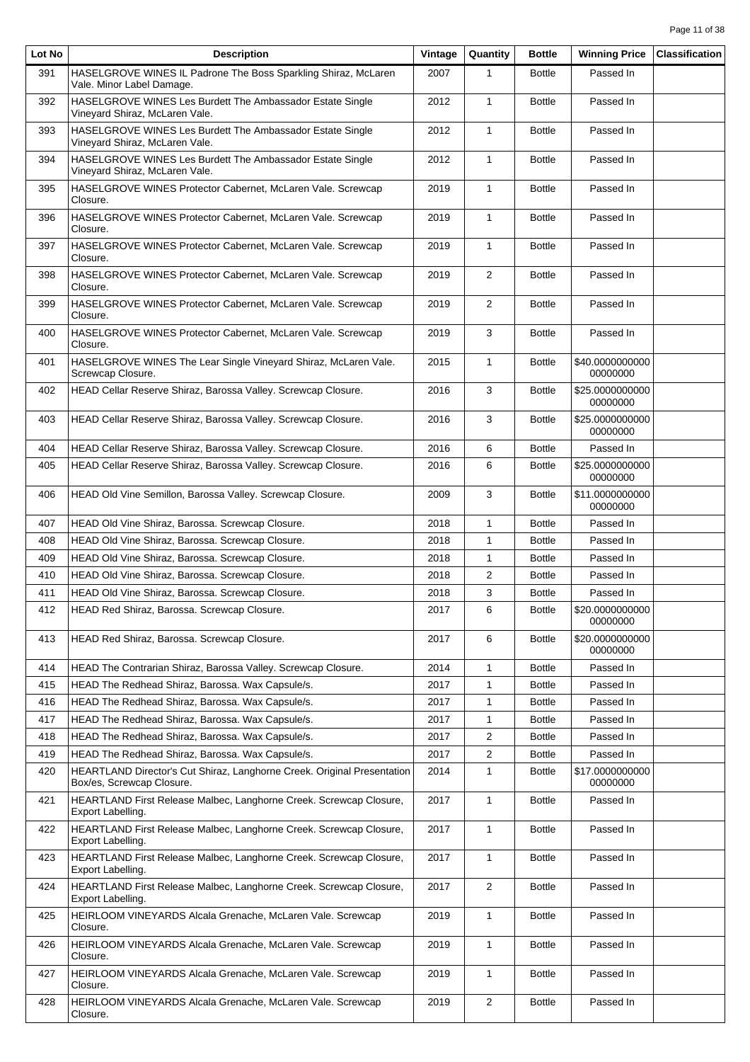| Lot No | <b>Description</b>                                                                                   | Vintage | Quantity       | <b>Bottle</b> | <b>Winning Price</b>        | <b>Classification</b> |
|--------|------------------------------------------------------------------------------------------------------|---------|----------------|---------------|-----------------------------|-----------------------|
| 391    | HASELGROVE WINES IL Padrone The Boss Sparkling Shiraz, McLaren<br>Vale. Minor Label Damage.          | 2007    | 1              | <b>Bottle</b> | Passed In                   |                       |
| 392    | HASELGROVE WINES Les Burdett The Ambassador Estate Single<br>Vinevard Shiraz. McLaren Vale.          | 2012    | $\mathbf{1}$   | <b>Bottle</b> | Passed In                   |                       |
| 393    | HASELGROVE WINES Les Burdett The Ambassador Estate Single<br>Vineyard Shiraz, McLaren Vale.          | 2012    | $\mathbf{1}$   | <b>Bottle</b> | Passed In                   |                       |
| 394    | HASELGROVE WINES Les Burdett The Ambassador Estate Single<br>Vineyard Shiraz, McLaren Vale.          | 2012    | $\mathbf{1}$   | <b>Bottle</b> | Passed In                   |                       |
| 395    | HASELGROVE WINES Protector Cabernet, McLaren Vale. Screwcap<br>Closure.                              | 2019    | $\mathbf{1}$   | <b>Bottle</b> | Passed In                   |                       |
| 396    | HASELGROVE WINES Protector Cabernet, McLaren Vale. Screwcap<br>Closure.                              | 2019    | $\mathbf{1}$   | <b>Bottle</b> | Passed In                   |                       |
| 397    | HASELGROVE WINES Protector Cabernet, McLaren Vale. Screwcap<br>Closure.                              | 2019    | $\mathbf{1}$   | <b>Bottle</b> | Passed In                   |                       |
| 398    | HASELGROVE WINES Protector Cabernet, McLaren Vale. Screwcap<br>Closure.                              | 2019    | $\mathbf{2}$   | <b>Bottle</b> | Passed In                   |                       |
| 399    | HASELGROVE WINES Protector Cabernet, McLaren Vale. Screwcap<br>Closure.                              | 2019    | 2              | <b>Bottle</b> | Passed In                   |                       |
| 400    | HASELGROVE WINES Protector Cabernet, McLaren Vale. Screwcap<br>Closure.                              | 2019    | 3              | <b>Bottle</b> | Passed In                   |                       |
| 401    | HASELGROVE WINES The Lear Single Vineyard Shiraz, McLaren Vale.<br>Screwcap Closure.                 | 2015    | $\mathbf{1}$   | <b>Bottle</b> | \$40.0000000000<br>00000000 |                       |
| 402    | HEAD Cellar Reserve Shiraz, Barossa Valley. Screwcap Closure.                                        | 2016    | 3              | <b>Bottle</b> | \$25.0000000000<br>00000000 |                       |
| 403    | HEAD Cellar Reserve Shiraz, Barossa Valley. Screwcap Closure.                                        | 2016    | 3              | <b>Bottle</b> | \$25.0000000000<br>00000000 |                       |
| 404    | HEAD Cellar Reserve Shiraz, Barossa Valley. Screwcap Closure.                                        | 2016    | 6              | <b>Bottle</b> | Passed In                   |                       |
| 405    | HEAD Cellar Reserve Shiraz, Barossa Valley. Screwcap Closure.                                        | 2016    | 6              | <b>Bottle</b> | \$25.0000000000<br>00000000 |                       |
| 406    | HEAD Old Vine Semillon, Barossa Valley. Screwcap Closure.                                            | 2009    | 3              | <b>Bottle</b> | \$11.0000000000<br>00000000 |                       |
| 407    | HEAD Old Vine Shiraz, Barossa. Screwcap Closure.                                                     | 2018    | $\mathbf{1}$   | <b>Bottle</b> | Passed In                   |                       |
| 408    | HEAD Old Vine Shiraz, Barossa. Screwcap Closure.                                                     | 2018    | $\mathbf{1}$   | <b>Bottle</b> | Passed In                   |                       |
| 409    | HEAD Old Vine Shiraz, Barossa. Screwcap Closure.                                                     | 2018    | $\mathbf{1}$   | <b>Bottle</b> | Passed In                   |                       |
| 410    | HEAD Old Vine Shiraz, Barossa. Screwcap Closure.                                                     | 2018    | $\overline{2}$ | <b>Bottle</b> | Passed In                   |                       |
| 411    | HEAD Old Vine Shiraz, Barossa. Screwcap Closure.                                                     | 2018    | 3              | <b>Bottle</b> | Passed In                   |                       |
| 412    | HEAD Red Shiraz, Barossa. Screwcap Closure.                                                          | 2017    | 6              | <b>Bottle</b> | \$20.0000000000<br>00000000 |                       |
| 413    | HEAD Red Shiraz, Barossa. Screwcap Closure.                                                          | 2017    | 6              | <b>Bottle</b> | \$20.0000000000<br>00000000 |                       |
| 414    | HEAD The Contrarian Shiraz, Barossa Valley. Screwcap Closure.                                        | 2014    | $\mathbf{1}$   | <b>Bottle</b> | Passed In                   |                       |
| 415    | HEAD The Redhead Shiraz, Barossa. Wax Capsule/s.                                                     | 2017    | 1              | <b>Bottle</b> | Passed In                   |                       |
| 416    | HEAD The Redhead Shiraz, Barossa. Wax Capsule/s.                                                     | 2017    | $\mathbf{1}$   | <b>Bottle</b> | Passed In                   |                       |
| 417    | HEAD The Redhead Shiraz, Barossa. Wax Capsule/s.                                                     | 2017    | $\mathbf{1}$   | <b>Bottle</b> | Passed In                   |                       |
| 418    | HEAD The Redhead Shiraz, Barossa. Wax Capsule/s.                                                     | 2017    | 2              | <b>Bottle</b> | Passed In                   |                       |
| 419    | HEAD The Redhead Shiraz, Barossa. Wax Capsule/s.                                                     | 2017    | 2              | <b>Bottle</b> | Passed In                   |                       |
| 420    | HEARTLAND Director's Cut Shiraz, Langhorne Creek. Original Presentation<br>Box/es, Screwcap Closure. | 2014    | $\mathbf{1}$   | <b>Bottle</b> | \$17.0000000000<br>00000000 |                       |
| 421    | HEARTLAND First Release Malbec, Langhorne Creek. Screwcap Closure,<br>Export Labelling.              | 2017    | $\mathbf{1}$   | <b>Bottle</b> | Passed In                   |                       |
| 422    | HEARTLAND First Release Malbec, Langhorne Creek. Screwcap Closure,<br>Export Labelling.              | 2017    | $\mathbf{1}$   | <b>Bottle</b> | Passed In                   |                       |
| 423    | HEARTLAND First Release Malbec, Langhorne Creek. Screwcap Closure,<br>Export Labelling.              | 2017    | $\mathbf{1}$   | <b>Bottle</b> | Passed In                   |                       |
| 424    | HEARTLAND First Release Malbec, Langhorne Creek. Screwcap Closure,<br>Export Labelling.              | 2017    | $\overline{2}$ | <b>Bottle</b> | Passed In                   |                       |
| 425    | HEIRLOOM VINEYARDS Alcala Grenache, McLaren Vale. Screwcap<br>Closure.                               | 2019    | $\mathbf{1}$   | <b>Bottle</b> | Passed In                   |                       |
| 426    | HEIRLOOM VINEYARDS Alcala Grenache, McLaren Vale. Screwcap<br>Closure.                               | 2019    | $\mathbf{1}$   | <b>Bottle</b> | Passed In                   |                       |
| 427    | HEIRLOOM VINEYARDS Alcala Grenache, McLaren Vale. Screwcap<br>Closure.                               | 2019    | 1              | <b>Bottle</b> | Passed In                   |                       |
| 428    | HEIRLOOM VINEYARDS Alcala Grenache, McLaren Vale. Screwcap<br>Closure.                               | 2019    | $\overline{c}$ | <b>Bottle</b> | Passed In                   |                       |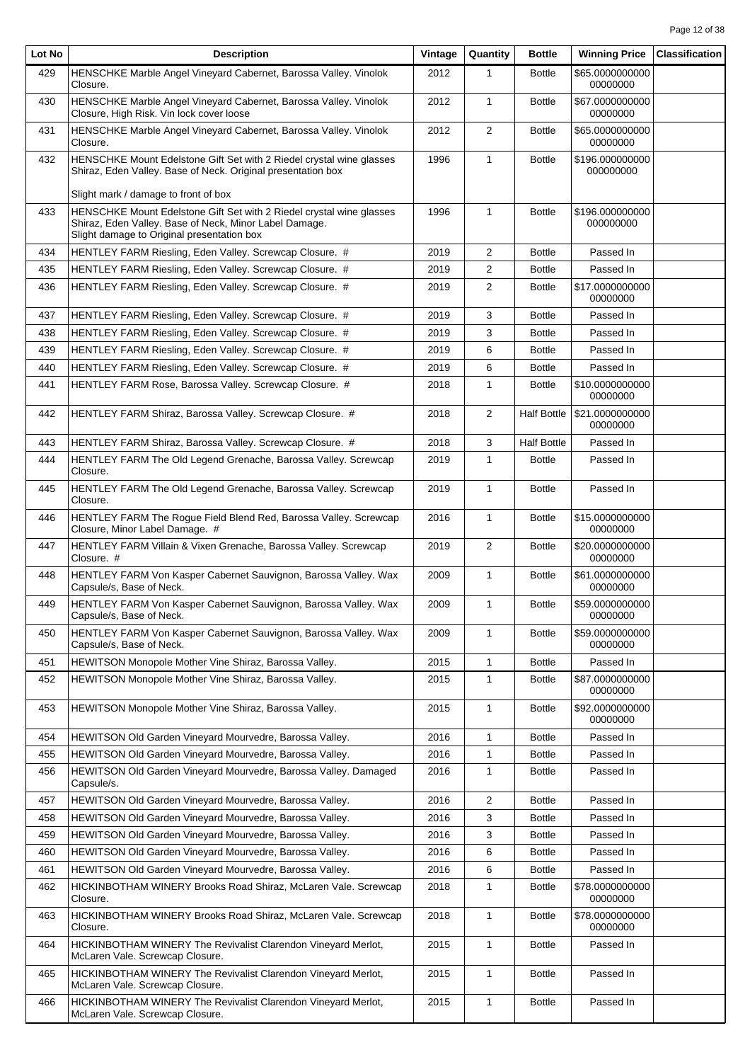| Lot No | <b>Description</b>                                                                                                                                                           | Vintage | Quantity       | <b>Bottle</b>      | <b>Winning Price</b>         | <b>Classification</b> |
|--------|------------------------------------------------------------------------------------------------------------------------------------------------------------------------------|---------|----------------|--------------------|------------------------------|-----------------------|
| 429    | HENSCHKE Marble Angel Vineyard Cabernet, Barossa Valley. Vinolok<br>Closure.                                                                                                 | 2012    | 1              | <b>Bottle</b>      | \$65.0000000000<br>00000000  |                       |
| 430    | HENSCHKE Marble Angel Vineyard Cabernet, Barossa Valley. Vinolok<br>Closure, High Risk. Vin lock cover loose                                                                 | 2012    | $\mathbf{1}$   | <b>Bottle</b>      | \$67.0000000000<br>00000000  |                       |
| 431    | HENSCHKE Marble Angel Vineyard Cabernet, Barossa Valley. Vinolok<br>Closure.                                                                                                 | 2012    | 2              | <b>Bottle</b>      | \$65.0000000000<br>00000000  |                       |
| 432    | HENSCHKE Mount Edelstone Gift Set with 2 Riedel crystal wine glasses<br>Shiraz, Eden Valley. Base of Neck. Original presentation box                                         | 1996    | $\mathbf{1}$   | <b>Bottle</b>      | \$196.000000000<br>000000000 |                       |
|        | Slight mark / damage to front of box                                                                                                                                         |         |                |                    |                              |                       |
| 433    | HENSCHKE Mount Edelstone Gift Set with 2 Riedel crystal wine glasses<br>Shiraz, Eden Valley. Base of Neck, Minor Label Damage.<br>Slight damage to Original presentation box | 1996    | $\mathbf{1}$   | <b>Bottle</b>      | \$196.000000000<br>000000000 |                       |
| 434    | HENTLEY FARM Riesling, Eden Valley. Screwcap Closure. #                                                                                                                      | 2019    | $\overline{2}$ | <b>Bottle</b>      | Passed In                    |                       |
| 435    | HENTLEY FARM Riesling, Eden Valley. Screwcap Closure. #                                                                                                                      | 2019    | 2              | <b>Bottle</b>      | Passed In                    |                       |
| 436    | HENTLEY FARM Riesling, Eden Valley. Screwcap Closure. #                                                                                                                      | 2019    | 2              | <b>Bottle</b>      | \$17.0000000000<br>00000000  |                       |
| 437    | HENTLEY FARM Riesling, Eden Valley. Screwcap Closure. #                                                                                                                      | 2019    | 3              | <b>Bottle</b>      | Passed In                    |                       |
| 438    | HENTLEY FARM Riesling, Eden Valley. Screwcap Closure. #                                                                                                                      | 2019    | 3              | <b>Bottle</b>      | Passed In                    |                       |
| 439    | HENTLEY FARM Riesling, Eden Valley. Screwcap Closure. #                                                                                                                      | 2019    | 6              | <b>Bottle</b>      | Passed In                    |                       |
| 440    | HENTLEY FARM Riesling, Eden Valley. Screwcap Closure. #                                                                                                                      | 2019    | 6              | <b>Bottle</b>      | Passed In                    |                       |
| 441    | HENTLEY FARM Rose, Barossa Valley. Screwcap Closure. #                                                                                                                       | 2018    | $\mathbf{1}$   | <b>Bottle</b>      | \$10.0000000000<br>00000000  |                       |
| 442    | HENTLEY FARM Shiraz, Barossa Valley. Screwcap Closure. #                                                                                                                     | 2018    | 2              | <b>Half Bottle</b> | \$21.0000000000<br>00000000  |                       |
| 443    | HENTLEY FARM Shiraz, Barossa Valley. Screwcap Closure. #                                                                                                                     | 2018    | 3              | <b>Half Bottle</b> | Passed In                    |                       |
| 444    | HENTLEY FARM The Old Legend Grenache, Barossa Valley. Screwcap<br>Closure.                                                                                                   | 2019    | $\mathbf{1}$   | <b>Bottle</b>      | Passed In                    |                       |
| 445    | HENTLEY FARM The Old Legend Grenache, Barossa Valley. Screwcap<br>Closure.                                                                                                   | 2019    | $\mathbf{1}$   | <b>Bottle</b>      | Passed In                    |                       |
| 446    | HENTLEY FARM The Rogue Field Blend Red, Barossa Valley. Screwcap<br>Closure, Minor Label Damage. #                                                                           | 2016    | $\mathbf{1}$   | <b>Bottle</b>      | \$15.0000000000<br>00000000  |                       |
| 447    | HENTLEY FARM Villain & Vixen Grenache, Barossa Valley. Screwcap<br>Closure. #                                                                                                | 2019    | $\overline{2}$ | <b>Bottle</b>      | \$20.0000000000<br>00000000  |                       |
| 448    | HENTLEY FARM Von Kasper Cabernet Sauvignon, Barossa Valley. Wax<br>Capsule/s, Base of Neck.                                                                                  | 2009    | $\mathbf{1}$   | <b>Bottle</b>      | \$61.0000000000<br>00000000  |                       |
| 449    | HENTLEY FARM Von Kasper Cabernet Sauvignon, Barossa Valley. Wax<br>Capsule/s, Base of Neck.                                                                                  | 2009    | $\mathbf{1}$   | <b>Bottle</b>      | \$59.0000000000<br>00000000  |                       |
| 450    | HENTLEY FARM Von Kasper Cabernet Sauvignon, Barossa Valley. Wax<br>Capsule/s, Base of Neck.                                                                                  | 2009    | 1              | <b>Bottle</b>      | \$59.0000000000<br>00000000  |                       |
| 451    | HEWITSON Monopole Mother Vine Shiraz, Barossa Valley.                                                                                                                        | 2015    | 1              | <b>Bottle</b>      | Passed In                    |                       |
| 452    | HEWITSON Monopole Mother Vine Shiraz, Barossa Valley.                                                                                                                        | 2015    | 1              | <b>Bottle</b>      | \$87.0000000000<br>00000000  |                       |
| 453    | HEWITSON Monopole Mother Vine Shiraz, Barossa Valley.                                                                                                                        | 2015    | $\mathbf{1}$   | <b>Bottle</b>      | \$92.0000000000<br>00000000  |                       |
| 454    | HEWITSON Old Garden Vineyard Mourvedre, Barossa Valley.                                                                                                                      | 2016    | 1              | <b>Bottle</b>      | Passed In                    |                       |
| 455    | HEWITSON Old Garden Vineyard Mourvedre, Barossa Valley.                                                                                                                      | 2016    | 1              | <b>Bottle</b>      | Passed In                    |                       |
| 456    | HEWITSON Old Garden Vineyard Mourvedre, Barossa Valley. Damaged<br>Capsule/s.                                                                                                | 2016    | $\mathbf{1}$   | <b>Bottle</b>      | Passed In                    |                       |
| 457    | HEWITSON Old Garden Vineyard Mourvedre, Barossa Valley.                                                                                                                      | 2016    | 2              | <b>Bottle</b>      | Passed In                    |                       |
| 458    | HEWITSON Old Garden Vineyard Mourvedre, Barossa Valley.                                                                                                                      | 2016    | 3              | <b>Bottle</b>      | Passed In                    |                       |
| 459    | HEWITSON Old Garden Vineyard Mourvedre, Barossa Valley.                                                                                                                      | 2016    | 3              | <b>Bottle</b>      | Passed In                    |                       |
| 460    | HEWITSON Old Garden Vineyard Mourvedre, Barossa Valley.                                                                                                                      | 2016    | 6              | <b>Bottle</b>      | Passed In                    |                       |
| 461    | HEWITSON Old Garden Vineyard Mourvedre, Barossa Valley.                                                                                                                      | 2016    | 6              | <b>Bottle</b>      | Passed In                    |                       |
| 462    | HICKINBOTHAM WINERY Brooks Road Shiraz, McLaren Vale. Screwcap<br>Closure.                                                                                                   | 2018    | $\mathbf{1}$   | <b>Bottle</b>      | \$78.0000000000<br>00000000  |                       |
| 463    | HICKINBOTHAM WINERY Brooks Road Shiraz, McLaren Vale. Screwcap<br>Closure.                                                                                                   | 2018    | $\mathbf{1}$   | <b>Bottle</b>      | \$78.0000000000<br>00000000  |                       |
| 464    | HICKINBOTHAM WINERY The Revivalist Clarendon Vineyard Merlot,<br>McLaren Vale. Screwcap Closure.                                                                             | 2015    | $\mathbf{1}$   | <b>Bottle</b>      | Passed In                    |                       |
| 465    | HICKINBOTHAM WINERY The Revivalist Clarendon Vineyard Merlot,<br>McLaren Vale. Screwcap Closure.                                                                             | 2015    | 1              | <b>Bottle</b>      | Passed In                    |                       |
| 466    | HICKINBOTHAM WINERY The Revivalist Clarendon Vineyard Merlot,<br>McLaren Vale. Screwcap Closure.                                                                             | 2015    | 1              | <b>Bottle</b>      | Passed In                    |                       |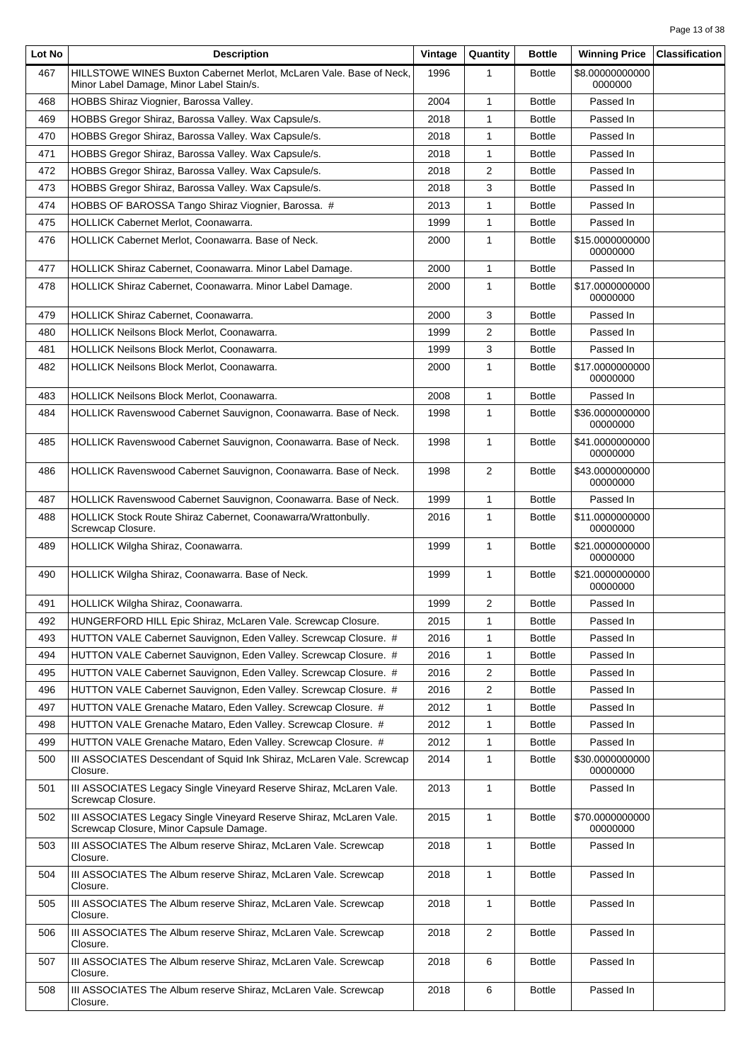| Lot No | <b>Description</b>                                                                                              | Vintage | Quantity       | <b>Bottle</b> | <b>Winning Price</b>        | <b>Classification</b> |
|--------|-----------------------------------------------------------------------------------------------------------------|---------|----------------|---------------|-----------------------------|-----------------------|
| 467    | HILLSTOWE WINES Buxton Cabernet Merlot, McLaren Vale. Base of Neck,<br>Minor Label Damage, Minor Label Stain/s. | 1996    |                | <b>Bottle</b> | \$8.00000000000<br>0000000  |                       |
| 468    | HOBBS Shiraz Viognier, Barossa Valley.                                                                          | 2004    | 1              | <b>Bottle</b> | Passed In                   |                       |
| 469    | HOBBS Gregor Shiraz, Barossa Valley. Wax Capsule/s.                                                             | 2018    | 1              | <b>Bottle</b> | Passed In                   |                       |
| 470    | HOBBS Gregor Shiraz, Barossa Valley. Wax Capsule/s.                                                             | 2018    | 1              | <b>Bottle</b> | Passed In                   |                       |
| 471    | HOBBS Gregor Shiraz, Barossa Valley. Wax Capsule/s.                                                             | 2018    | 1              | <b>Bottle</b> | Passed In                   |                       |
| 472    | HOBBS Gregor Shiraz, Barossa Valley. Wax Capsule/s.                                                             | 2018    | $\overline{c}$ | <b>Bottle</b> | Passed In                   |                       |
| 473    | HOBBS Gregor Shiraz, Barossa Valley. Wax Capsule/s.                                                             | 2018    | 3              | <b>Bottle</b> | Passed In                   |                       |
| 474    | HOBBS OF BAROSSA Tango Shiraz Viognier, Barossa. #                                                              | 2013    | $\mathbf{1}$   | <b>Bottle</b> | Passed In                   |                       |
| 475    | HOLLICK Cabernet Merlot, Coonawarra.<br>1999                                                                    |         | 1              | <b>Bottle</b> | Passed In                   |                       |
| 476    | HOLLICK Cabernet Merlot, Coonawarra. Base of Neck.                                                              | 2000    | 1              | <b>Bottle</b> | \$15.0000000000<br>00000000 |                       |
| 477    | HOLLICK Shiraz Cabernet, Coonawarra. Minor Label Damage.                                                        | 2000    | $\mathbf{1}$   | <b>Bottle</b> | Passed In                   |                       |
| 478    | HOLLICK Shiraz Cabernet, Coonawarra. Minor Label Damage.                                                        | 2000    | 1              | <b>Bottle</b> | \$17.0000000000<br>00000000 |                       |
| 479    | HOLLICK Shiraz Cabernet, Coonawarra.                                                                            | 2000    | 3              | <b>Bottle</b> | Passed In                   |                       |
| 480    | HOLLICK Neilsons Block Merlot, Coonawarra.                                                                      |         | 2              | <b>Bottle</b> | Passed In                   |                       |
| 481    | HOLLICK Neilsons Block Merlot, Coonawarra.                                                                      | 1999    | 3              | <b>Bottle</b> | Passed In                   |                       |
| 482    | <b>HOLLICK Neilsons Block Merlot, Coonawarra.</b>                                                               | 2000    | 1              | <b>Bottle</b> | \$17.0000000000<br>00000000 |                       |
| 483    | HOLLICK Neilsons Block Merlot, Coonawarra.                                                                      |         | $\mathbf{1}$   | <b>Bottle</b> | Passed In                   |                       |
| 484    | HOLLICK Ravenswood Cabernet Sauvignon, Coonawarra. Base of Neck.                                                | 1998    | 1              | <b>Bottle</b> | \$36.0000000000<br>00000000 |                       |
| 485    | HOLLICK Ravenswood Cabernet Sauvignon, Coonawarra. Base of Neck.                                                | 1998    | $\mathbf{1}$   | <b>Bottle</b> | \$41.0000000000<br>00000000 |                       |
| 486    | HOLLICK Ravenswood Cabernet Sauvignon, Coonawarra. Base of Neck.                                                |         | $\overline{2}$ | <b>Bottle</b> | \$43.0000000000<br>00000000 |                       |
| 487    | HOLLICK Ravenswood Cabernet Sauvignon, Coonawarra. Base of Neck.                                                | 1999    | 1              | <b>Bottle</b> | Passed In                   |                       |
| 488    | HOLLICK Stock Route Shiraz Cabernet, Coonawarra/Wrattonbully.<br>Screwcap Closure.                              | 2016    | 1              | <b>Bottle</b> | \$11.0000000000<br>00000000 |                       |
| 489    | HOLLICK Wilgha Shiraz, Coonawarra.                                                                              | 1999    | $\mathbf{1}$   | <b>Bottle</b> | \$21.0000000000<br>00000000 |                       |
| 490    | HOLLICK Wilgha Shiraz, Coonawarra. Base of Neck.                                                                | 1999    | 1              | <b>Bottle</b> | \$21.0000000000<br>00000000 |                       |
| 491    | HOLLICK Wilgha Shiraz, Coonawarra.                                                                              |         | $\overline{2}$ | <b>Bottle</b> | Passed In                   |                       |
| 492    | HUNGERFORD HILL Epic Shiraz, McLaren Vale. Screwcap Closure.                                                    | 2015    | 1              | <b>Bottle</b> | Passed In                   |                       |
| 493    | HUTTON VALE Cabernet Sauvignon, Eden Valley. Screwcap Closure. #                                                | 2016    | 1              | <b>Bottle</b> | Passed In                   |                       |
| 494    | HUTTON VALE Cabernet Sauvignon, Eden Valley. Screwcap Closure. #                                                | 2016    | 1              | <b>Bottle</b> | Passed In                   |                       |
| 495    | HUTTON VALE Cabernet Sauvignon, Eden Valley. Screwcap Closure. #                                                | 2016    | $\overline{2}$ | <b>Bottle</b> | Passed In                   |                       |
| 496    | HUTTON VALE Cabernet Sauvignon, Eden Valley. Screwcap Closure. #                                                | 2016    | 2              | <b>Bottle</b> | Passed In                   |                       |
| 497    | HUTTON VALE Grenache Mataro, Eden Valley. Screwcap Closure. #                                                   | 2012    | 1              | <b>Bottle</b> | Passed In                   |                       |
| 498    | HUTTON VALE Grenache Mataro, Eden Valley. Screwcap Closure. #                                                   | 2012    | 1              | <b>Bottle</b> | Passed In                   |                       |
| 499    | HUTTON VALE Grenache Mataro, Eden Valley. Screwcap Closure. #                                                   | 2012    | 1              | <b>Bottle</b> | Passed In                   |                       |
| 500    | III ASSOCIATES Descendant of Squid Ink Shiraz, McLaren Vale. Screwcap<br>Closure.                               | 2014    | 1              | <b>Bottle</b> | \$30.0000000000<br>00000000 |                       |
| 501    | III ASSOCIATES Legacy Single Vineyard Reserve Shiraz, McLaren Vale.<br>Screwcap Closure.                        | 2013    | $\mathbf{1}$   | <b>Bottle</b> | Passed In                   |                       |
| 502    | III ASSOCIATES Legacy Single Vineyard Reserve Shiraz, McLaren Vale.<br>Screwcap Closure, Minor Capsule Damage.  | 2015    | $\mathbf{1}$   | <b>Bottle</b> | \$70.0000000000<br>00000000 |                       |
| 503    | III ASSOCIATES The Album reserve Shiraz, McLaren Vale. Screwcap<br>Closure.                                     | 2018    | 1              | <b>Bottle</b> | Passed In                   |                       |
| 504    | III ASSOCIATES The Album reserve Shiraz, McLaren Vale. Screwcap<br>Closure.                                     | 2018    | 1              | <b>Bottle</b> | Passed In                   |                       |
| 505    | III ASSOCIATES The Album reserve Shiraz, McLaren Vale. Screwcap<br>Closure.                                     | 2018    | $\mathbf{1}$   | <b>Bottle</b> | Passed In                   |                       |
| 506    | III ASSOCIATES The Album reserve Shiraz, McLaren Vale. Screwcap<br>Closure.                                     | 2018    | 2              | <b>Bottle</b> | Passed In                   |                       |
| 507    | III ASSOCIATES The Album reserve Shiraz, McLaren Vale. Screwcap<br>Closure.                                     | 2018    | 6              | <b>Bottle</b> | Passed In                   |                       |
| 508    | III ASSOCIATES The Album reserve Shiraz, McLaren Vale. Screwcap<br>Closure.                                     | 2018    | 6              | <b>Bottle</b> | Passed In                   |                       |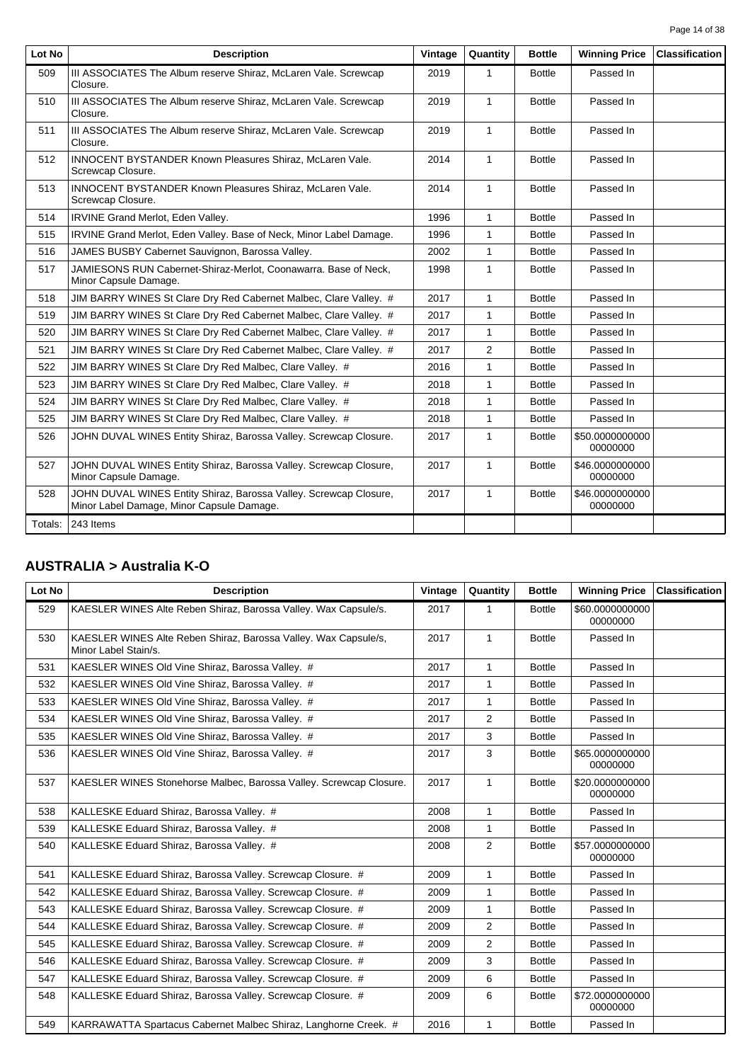| Lot No  | <b>Description</b>                                                                                             | Vintage | Quantity     | <b>Bottle</b> | <b>Winning Price</b>        | <b>Classification</b> |
|---------|----------------------------------------------------------------------------------------------------------------|---------|--------------|---------------|-----------------------------|-----------------------|
| 509     | III ASSOCIATES The Album reserve Shiraz, McLaren Vale. Screwcap<br>Closure.                                    | 2019    | 1            | <b>Bottle</b> | Passed In                   |                       |
| 510     | III ASSOCIATES The Album reserve Shiraz, McLaren Vale. Screwcap<br>Closure.                                    | 2019    | $\mathbf{1}$ | <b>Bottle</b> | Passed In                   |                       |
| 511     | III ASSOCIATES The Album reserve Shiraz, McLaren Vale. Screwcap<br>Closure.                                    | 2019    | $\mathbf{1}$ | <b>Bottle</b> | Passed In                   |                       |
| 512     | <b>INNOCENT BYSTANDER Known Pleasures Shiraz, McLaren Vale.</b><br>Screwcap Closure.                           | 2014    | $\mathbf{1}$ | <b>Bottle</b> | Passed In                   |                       |
| 513     | INNOCENT BYSTANDER Known Pleasures Shiraz, McLaren Vale.<br>Screwcap Closure.                                  | 2014    | $\mathbf{1}$ | <b>Bottle</b> | Passed In                   |                       |
| 514     | IRVINE Grand Merlot, Eden Valley.                                                                              | 1996    | $\mathbf{1}$ | <b>Bottle</b> | Passed In                   |                       |
| 515     | IRVINE Grand Merlot, Eden Valley. Base of Neck, Minor Label Damage.                                            | 1996    | 1            | <b>Bottle</b> | Passed In                   |                       |
| 516     | JAMES BUSBY Cabernet Sauvignon, Barossa Valley.                                                                | 2002    | $\mathbf{1}$ | <b>Bottle</b> | Passed In                   |                       |
| 517     | JAMIESONS RUN Cabernet-Shiraz-Merlot, Coonawarra. Base of Neck,<br>Minor Capsule Damage.                       | 1998    | $\mathbf{1}$ | <b>Bottle</b> | Passed In                   |                       |
| 518     | JIM BARRY WINES St Clare Dry Red Cabernet Malbec, Clare Valley. #                                              | 2017    | $\mathbf{1}$ | <b>Bottle</b> | Passed In                   |                       |
| 519     | JIM BARRY WINES St Clare Dry Red Cabernet Malbec, Clare Valley. #                                              | 2017    | $\mathbf{1}$ | <b>Bottle</b> | Passed In                   |                       |
| 520     | JIM BARRY WINES St Clare Dry Red Cabernet Malbec, Clare Valley. #                                              | 2017    | $\mathbf{1}$ | <b>Bottle</b> | Passed In                   |                       |
| 521     | JIM BARRY WINES St Clare Dry Red Cabernet Malbec, Clare Valley. #                                              | 2017    | 2            | <b>Bottle</b> | Passed In                   |                       |
| 522     | JIM BARRY WINES St Clare Dry Red Malbec, Clare Valley. #                                                       | 2016    | $\mathbf{1}$ | <b>Bottle</b> | Passed In                   |                       |
| 523     | JIM BARRY WINES St Clare Dry Red Malbec, Clare Valley. #                                                       | 2018    | 1            | <b>Bottle</b> | Passed In                   |                       |
| 524     | JIM BARRY WINES St Clare Dry Red Malbec, Clare Valley. #                                                       | 2018    | $\mathbf{1}$ | <b>Bottle</b> | Passed In                   |                       |
| 525     | JIM BARRY WINES St Clare Dry Red Malbec, Clare Valley. #                                                       | 2018    | $\mathbf{1}$ | <b>Bottle</b> | Passed In                   |                       |
| 526     | JOHN DUVAL WINES Entity Shiraz, Barossa Valley. Screwcap Closure.                                              | 2017    | $\mathbf{1}$ | <b>Bottle</b> | \$50.0000000000<br>00000000 |                       |
| 527     | JOHN DUVAL WINES Entity Shiraz, Barossa Valley. Screwcap Closure,<br>Minor Capsule Damage.                     | 2017    | $\mathbf{1}$ | <b>Bottle</b> | \$46.0000000000<br>00000000 |                       |
| 528     | JOHN DUVAL WINES Entity Shiraz, Barossa Valley. Screwcap Closure,<br>Minor Label Damage, Minor Capsule Damage. | 2017    | $\mathbf{1}$ | <b>Bottle</b> | \$46.0000000000<br>00000000 |                       |
| Totals: | 243 Items                                                                                                      |         |              |               |                             |                       |

# **AUSTRALIA > Australia K-O**

| Lot No | <b>Description</b>                                                                      | Vintage | Quantity       | <b>Bottle</b> | <b>Winning Price</b>        | <b>Classification</b> |
|--------|-----------------------------------------------------------------------------------------|---------|----------------|---------------|-----------------------------|-----------------------|
| 529    | KAESLER WINES Alte Reben Shiraz, Barossa Valley. Wax Capsule/s.                         | 2017    | 1              | <b>Bottle</b> | \$60.0000000000<br>00000000 |                       |
| 530    | KAESLER WINES Alte Reben Shiraz, Barossa Valley. Wax Capsule/s,<br>Minor Label Stain/s. | 2017    | $\mathbf{1}$   | <b>Bottle</b> | Passed In                   |                       |
| 531    | KAESLER WINES Old Vine Shiraz, Barossa Valley. #                                        | 2017    | $\mathbf{1}$   | <b>Bottle</b> | Passed In                   |                       |
| 532    | KAESLER WINES Old Vine Shiraz, Barossa Valley. #                                        | 2017    | 1              | <b>Bottle</b> | Passed In                   |                       |
| 533    | KAESLER WINES Old Vine Shiraz, Barossa Valley. #                                        | 2017    | 1              | <b>Bottle</b> | Passed In                   |                       |
| 534    | KAESLER WINES Old Vine Shiraz, Barossa Valley. #                                        | 2017    | 2              | <b>Bottle</b> | Passed In                   |                       |
| 535    | KAESLER WINES Old Vine Shiraz, Barossa Valley. #                                        | 2017    | 3              | <b>Bottle</b> | Passed In                   |                       |
| 536    | KAESLER WINES Old Vine Shiraz, Barossa Valley. #                                        | 2017    | 3              | <b>Bottle</b> | \$65,0000000000<br>00000000 |                       |
| 537    | KAESLER WINES Stonehorse Malbec, Barossa Valley. Screwcap Closure.                      | 2017    | $\mathbf{1}$   | <b>Bottle</b> | \$20.0000000000<br>00000000 |                       |
| 538    | KALLESKE Eduard Shiraz, Barossa Valley. #                                               | 2008    | 1              | <b>Bottle</b> | Passed In                   |                       |
| 539    | KALLESKE Eduard Shiraz, Barossa Valley. #                                               | 2008    | 1              | <b>Bottle</b> | Passed In                   |                       |
| 540    | KALLESKE Eduard Shiraz, Barossa Valley. #                                               | 2008    | $\overline{2}$ | <b>Bottle</b> | \$57.0000000000<br>00000000 |                       |
| 541    | KALLESKE Eduard Shiraz, Barossa Valley. Screwcap Closure. #                             | 2009    | $\mathbf{1}$   | <b>Bottle</b> | Passed In                   |                       |
| 542    | KALLESKE Eduard Shiraz, Barossa Valley. Screwcap Closure. #                             | 2009    | 1              | <b>Bottle</b> | Passed In                   |                       |
| 543    | KALLESKE Eduard Shiraz, Barossa Valley. Screwcap Closure. #                             | 2009    | 1              | <b>Bottle</b> | Passed In                   |                       |
| 544    | KALLESKE Eduard Shiraz, Barossa Valley. Screwcap Closure. #                             | 2009    | 2              | <b>Bottle</b> | Passed In                   |                       |
| 545    | KALLESKE Eduard Shiraz, Barossa Valley. Screwcap Closure. #                             | 2009    | 2              | <b>Bottle</b> | Passed In                   |                       |
| 546    | KALLESKE Eduard Shiraz, Barossa Valley. Screwcap Closure. #                             | 2009    | 3              | <b>Bottle</b> | Passed In                   |                       |
| 547    | KALLESKE Eduard Shiraz, Barossa Valley. Screwcap Closure. #                             | 2009    | 6              | <b>Bottle</b> | Passed In                   |                       |
| 548    | KALLESKE Eduard Shiraz, Barossa Valley. Screwcap Closure. #                             | 2009    | 6              | <b>Bottle</b> | \$72.0000000000<br>00000000 |                       |
| 549    | KARRAWATTA Spartacus Cabernet Malbec Shiraz, Langhorne Creek. #                         | 2016    | 1              | <b>Bottle</b> | Passed In                   |                       |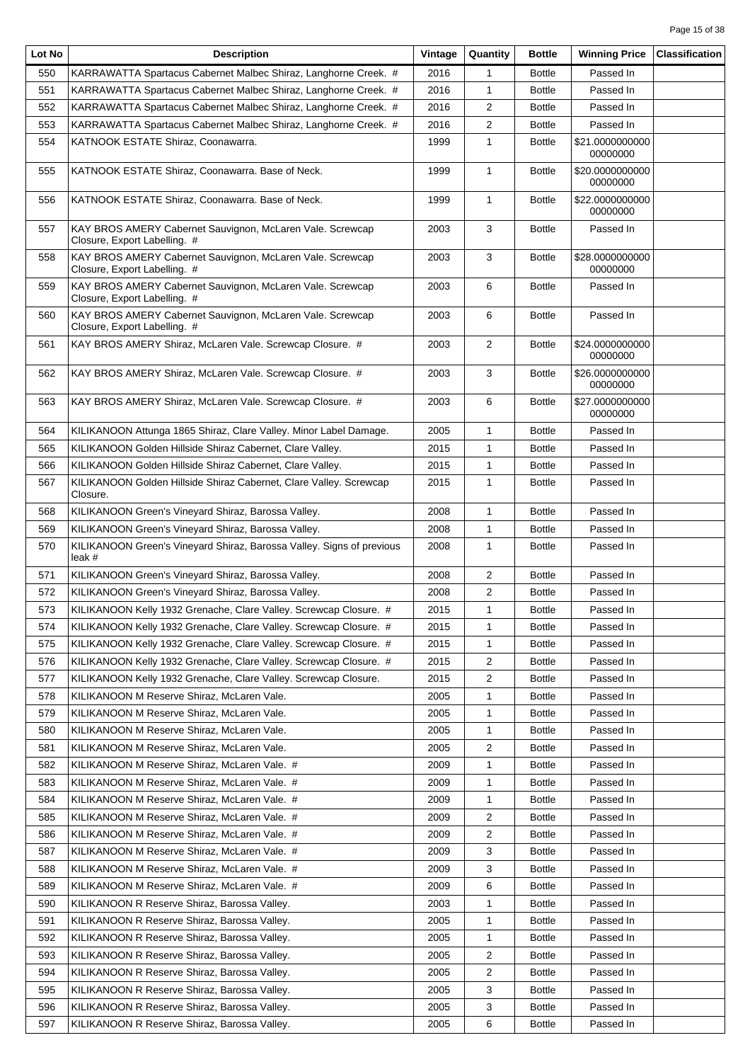| Lot No | <b>Description</b>                                                                                | Vintage | Quantity       | <b>Bottle</b> | <b>Winning Price</b>        | <b>Classification</b> |
|--------|---------------------------------------------------------------------------------------------------|---------|----------------|---------------|-----------------------------|-----------------------|
| 550    | KARRAWATTA Spartacus Cabernet Malbec Shiraz, Langhorne Creek. #                                   | 2016    | 1              | <b>Bottle</b> | Passed In                   |                       |
| 551    | KARRAWATTA Spartacus Cabernet Malbec Shiraz, Langhorne Creek. #                                   | 2016    | 1              | <b>Bottle</b> | Passed In                   |                       |
| 552    | KARRAWATTA Spartacus Cabernet Malbec Shiraz, Langhorne Creek. #                                   | 2016    | 2              | <b>Bottle</b> | Passed In                   |                       |
| 553    | KARRAWATTA Spartacus Cabernet Malbec Shiraz, Langhorne Creek. #                                   | 2016    | 2              | <b>Bottle</b> | Passed In                   |                       |
| 554    | KATNOOK ESTATE Shiraz, Coonawarra.                                                                | 1999    | 1              | <b>Bottle</b> | \$21.0000000000<br>00000000 |                       |
| 555    | KATNOOK ESTATE Shiraz, Coonawarra. Base of Neck.                                                  | 1999    | 1              | <b>Bottle</b> | \$20.0000000000<br>00000000 |                       |
| 556    | KATNOOK ESTATE Shiraz, Coonawarra. Base of Neck.                                                  | 1999    | $\mathbf{1}$   | <b>Bottle</b> | \$22.0000000000<br>00000000 |                       |
| 557    | KAY BROS AMERY Cabernet Sauvignon, McLaren Vale. Screwcap<br>2003<br>Closure, Export Labelling. # |         | 3              | <b>Bottle</b> | Passed In                   |                       |
| 558    | KAY BROS AMERY Cabernet Sauvignon, McLaren Vale. Screwcap<br>Closure, Export Labelling. #         | 2003    | 3              | <b>Bottle</b> | \$28.0000000000<br>00000000 |                       |
| 559    | KAY BROS AMERY Cabernet Sauvignon, McLaren Vale. Screwcap<br>Closure, Export Labelling. #         | 2003    | 6              | <b>Bottle</b> | Passed In                   |                       |
| 560    | KAY BROS AMERY Cabernet Sauvignon, McLaren Vale. Screwcap<br>Closure, Export Labelling. #         | 2003    | 6              | <b>Bottle</b> | Passed In                   |                       |
| 561    | KAY BROS AMERY Shiraz, McLaren Vale. Screwcap Closure. #                                          | 2003    | $\overline{2}$ | <b>Bottle</b> | \$24.0000000000<br>00000000 |                       |
| 562    | KAY BROS AMERY Shiraz, McLaren Vale. Screwcap Closure. #                                          | 2003    | 3              | <b>Bottle</b> | \$26.0000000000<br>00000000 |                       |
| 563    | KAY BROS AMERY Shiraz, McLaren Vale. Screwcap Closure. #                                          | 2003    | 6              | <b>Bottle</b> | \$27.0000000000<br>00000000 |                       |
| 564    | KILIKANOON Attunga 1865 Shiraz, Clare Valley. Minor Label Damage.                                 | 2005    | 1              | <b>Bottle</b> | Passed In                   |                       |
| 565    | KILIKANOON Golden Hillside Shiraz Cabernet, Clare Valley.                                         | 2015    | $\mathbf{1}$   | <b>Bottle</b> | Passed In                   |                       |
| 566    | KILIKANOON Golden Hillside Shiraz Cabernet, Clare Valley.                                         | 2015    | 1              | <b>Bottle</b> | Passed In                   |                       |
| 567    | KILIKANOON Golden Hillside Shiraz Cabernet, Clare Valley. Screwcap<br>Closure.                    | 2015    | $\mathbf{1}$   | <b>Bottle</b> | Passed In                   |                       |
| 568    | KILIKANOON Green's Vineyard Shiraz, Barossa Valley.                                               | 2008    | 1              | <b>Bottle</b> | Passed In                   |                       |
| 569    | KILIKANOON Green's Vineyard Shiraz, Barossa Valley.                                               | 2008    | 1              | <b>Bottle</b> | Passed In                   |                       |
| 570    | KILIKANOON Green's Vineyard Shiraz, Barossa Valley. Signs of previous<br>leak #                   | 2008    | $\mathbf{1}$   | <b>Bottle</b> | Passed In                   |                       |
| 571    | KILIKANOON Green's Vineyard Shiraz, Barossa Valley.                                               | 2008    | 2              | <b>Bottle</b> | Passed In                   |                       |
| 572    | KILIKANOON Green's Vineyard Shiraz, Barossa Valley.                                               | 2008    | 2              | <b>Bottle</b> | Passed In                   |                       |
| 573    | KILIKANOON Kelly 1932 Grenache, Clare Valley. Screwcap Closure. #                                 | 2015    | 1              | <b>Bottle</b> | Passed In                   |                       |
| 574    | KILIKANOON Kelly 1932 Grenache, Clare Valley. Screwcap Closure. #                                 | 2015    | 1              | <b>Bottle</b> | Passed In                   |                       |
| 575    | KILIKANOON Kelly 1932 Grenache, Clare Valley. Screwcap Closure. #                                 | 2015    | 1              | <b>Bottle</b> | Passed In                   |                       |
| 576    | KILIKANOON Kelly 1932 Grenache, Clare Valley. Screwcap Closure. #                                 | 2015    | 2              | <b>Bottle</b> | Passed In                   |                       |
| 577    | KILIKANOON Kelly 1932 Grenache, Clare Valley. Screwcap Closure.                                   | 2015    | 2              | <b>Bottle</b> | Passed In                   |                       |
| 578    | KILIKANOON M Reserve Shiraz, McLaren Vale.                                                        | 2005    | 1              | <b>Bottle</b> | Passed In                   |                       |
| 579    | KILIKANOON M Reserve Shiraz, McLaren Vale.                                                        | 2005    | 1              | <b>Bottle</b> | Passed In                   |                       |
| 580    | KILIKANOON M Reserve Shiraz, McLaren Vale.                                                        | 2005    |                | <b>Bottle</b> | Passed In                   |                       |
| 581    |                                                                                                   | 2005    | 1              | <b>Bottle</b> | Passed In                   |                       |
|        | KILIKANOON M Reserve Shiraz, McLaren Vale.                                                        |         | 2              |               |                             |                       |
| 582    | KILIKANOON M Reserve Shiraz, McLaren Vale. #                                                      | 2009    | 1              | <b>Bottle</b> | Passed In                   |                       |
| 583    | KILIKANOON M Reserve Shiraz, McLaren Vale. #                                                      | 2009    | 1              | <b>Bottle</b> | Passed In                   |                       |
| 584    | KILIKANOON M Reserve Shiraz, McLaren Vale. #                                                      | 2009    | 1              | <b>Bottle</b> | Passed In                   |                       |
| 585    | KILIKANOON M Reserve Shiraz, McLaren Vale. #                                                      | 2009    | 2              | <b>Bottle</b> | Passed In                   |                       |
| 586    | KILIKANOON M Reserve Shiraz, McLaren Vale. #                                                      | 2009    | 2              | <b>Bottle</b> | Passed In                   |                       |
| 587    | KILIKANOON M Reserve Shiraz, McLaren Vale. #                                                      | 2009    | 3              | <b>Bottle</b> | Passed In                   |                       |
| 588    | KILIKANOON M Reserve Shiraz, McLaren Vale. #                                                      | 2009    | 3              | <b>Bottle</b> | Passed In                   |                       |
| 589    | KILIKANOON M Reserve Shiraz, McLaren Vale. #                                                      | 2009    | 6              | <b>Bottle</b> | Passed In                   |                       |
| 590    | KILIKANOON R Reserve Shiraz, Barossa Valley.                                                      | 2003    | 1              | <b>Bottle</b> | Passed In                   |                       |
| 591    | KILIKANOON R Reserve Shiraz, Barossa Valley.                                                      | 2005    | 1              | <b>Bottle</b> | Passed In                   |                       |
| 592    | KILIKANOON R Reserve Shiraz, Barossa Valley.                                                      | 2005    | 1              | <b>Bottle</b> | Passed In                   |                       |
| 593    | KILIKANOON R Reserve Shiraz, Barossa Valley.                                                      | 2005    | 2              | <b>Bottle</b> | Passed In                   |                       |
| 594    | KILIKANOON R Reserve Shiraz, Barossa Valley.                                                      | 2005    | 2              | <b>Bottle</b> | Passed In                   |                       |
| 595    | KILIKANOON R Reserve Shiraz, Barossa Valley.                                                      | 2005    | 3              | <b>Bottle</b> | Passed In                   |                       |
| 596    | KILIKANOON R Reserve Shiraz, Barossa Valley.                                                      | 2005    | 3              | <b>Bottle</b> | Passed In                   |                       |
| 597    | KILIKANOON R Reserve Shiraz, Barossa Valley.                                                      | 2005    | 6              | <b>Bottle</b> | Passed In                   |                       |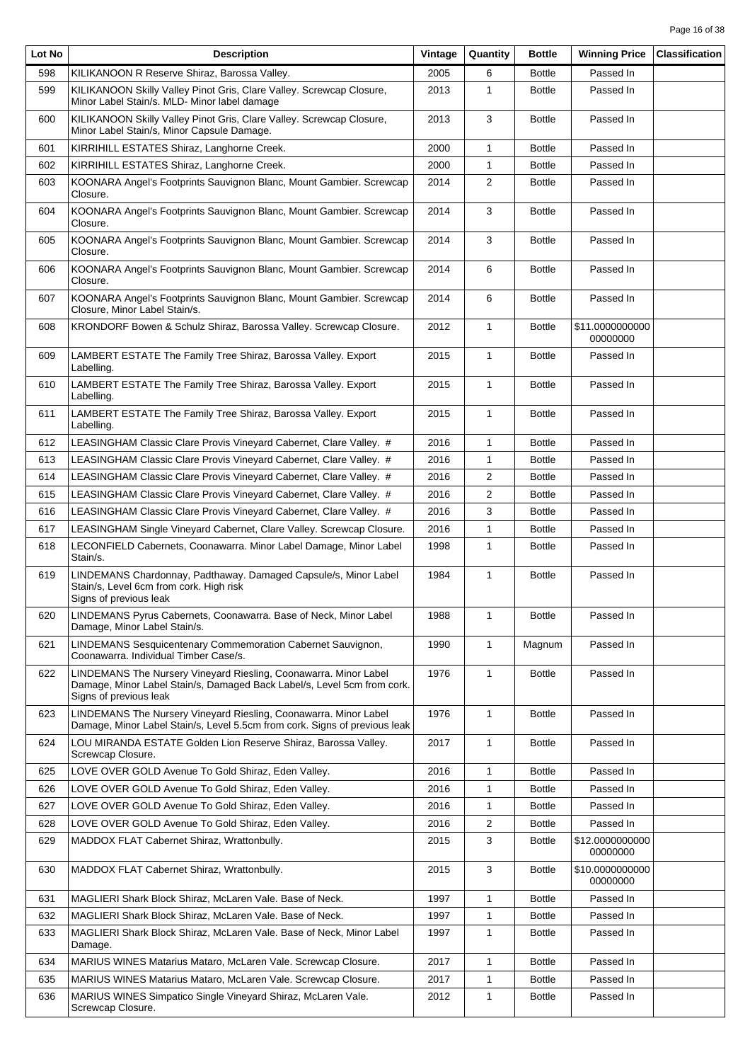| Lot No | <b>Description</b>                                                                                                                                                    | Vintage | Quantity     | <b>Bottle</b> | <b>Winning Price</b>        | <b>Classification</b> |
|--------|-----------------------------------------------------------------------------------------------------------------------------------------------------------------------|---------|--------------|---------------|-----------------------------|-----------------------|
| 598    | KILIKANOON R Reserve Shiraz, Barossa Valley.                                                                                                                          | 2005    | 6            | <b>Bottle</b> | Passed In                   |                       |
| 599    | KILIKANOON Skilly Valley Pinot Gris, Clare Valley. Screwcap Closure,<br>Minor Label Stain/s. MLD- Minor label damage                                                  | 2013    | 1            | <b>Bottle</b> | Passed In                   |                       |
| 600    | KILIKANOON Skilly Valley Pinot Gris, Clare Valley. Screwcap Closure,<br>Minor Label Stain/s, Minor Capsule Damage.                                                    | 2013    | 3            | <b>Bottle</b> | Passed In                   |                       |
| 601    | KIRRIHILL ESTATES Shiraz, Langhorne Creek.                                                                                                                            | 2000    | $\mathbf{1}$ | <b>Bottle</b> | Passed In                   |                       |
| 602    | KIRRIHILL ESTATES Shiraz, Langhorne Creek.                                                                                                                            | 2000    | 1            | <b>Bottle</b> | Passed In                   |                       |
| 603    | KOONARA Angel's Footprints Sauvignon Blanc, Mount Gambier. Screwcap<br>Closure.                                                                                       | 2014    | 2            | <b>Bottle</b> | Passed In                   |                       |
| 604    | KOONARA Angel's Footprints Sauvignon Blanc, Mount Gambier. Screwcap<br>Closure.                                                                                       | 2014    | 3            | <b>Bottle</b> | Passed In                   |                       |
| 605    | KOONARA Angel's Footprints Sauvignon Blanc, Mount Gambier. Screwcap<br>Closure.                                                                                       | 2014    | 3            | <b>Bottle</b> | Passed In                   |                       |
| 606    | KOONARA Angel's Footprints Sauvignon Blanc, Mount Gambier. Screwcap<br>Closure.                                                                                       | 2014    | 6            | <b>Bottle</b> | Passed In                   |                       |
| 607    | KOONARA Angel's Footprints Sauvignon Blanc, Mount Gambier. Screwcap<br>Closure, Minor Label Stain/s.                                                                  | 2014    | 6            | <b>Bottle</b> | Passed In                   |                       |
| 608    | KRONDORF Bowen & Schulz Shiraz, Barossa Valley. Screwcap Closure.                                                                                                     | 2012    | $\mathbf{1}$ | <b>Bottle</b> | \$11.0000000000<br>00000000 |                       |
| 609    | LAMBERT ESTATE The Family Tree Shiraz, Barossa Valley. Export<br>Labelling.                                                                                           | 2015    | 1            | <b>Bottle</b> | Passed In                   |                       |
| 610    | LAMBERT ESTATE The Family Tree Shiraz, Barossa Valley. Export<br>Labelling.                                                                                           | 2015    | 1            | <b>Bottle</b> | Passed In                   |                       |
| 611    | LAMBERT ESTATE The Family Tree Shiraz, Barossa Valley. Export<br>Labelling.                                                                                           | 2015    | $\mathbf{1}$ | <b>Bottle</b> | Passed In                   |                       |
| 612    | LEASINGHAM Classic Clare Provis Vineyard Cabernet, Clare Valley. #                                                                                                    |         | 1            | <b>Bottle</b> | Passed In                   |                       |
| 613    | LEASINGHAM Classic Clare Provis Vineyard Cabernet, Clare Valley. #                                                                                                    | 2016    | 1            | <b>Bottle</b> | Passed In                   |                       |
| 614    | LEASINGHAM Classic Clare Provis Vineyard Cabernet, Clare Valley. #                                                                                                    | 2016    | 2            | <b>Bottle</b> | Passed In                   |                       |
| 615    | LEASINGHAM Classic Clare Provis Vineyard Cabernet, Clare Valley. #                                                                                                    | 2016    | 2            | <b>Bottle</b> | Passed In                   |                       |
| 616    | LEASINGHAM Classic Clare Provis Vineyard Cabernet, Clare Valley. #                                                                                                    | 2016    | 3            | <b>Bottle</b> | Passed In                   |                       |
| 617    | LEASINGHAM Single Vineyard Cabernet, Clare Valley. Screwcap Closure.                                                                                                  | 2016    | 1            | <b>Bottle</b> | Passed In                   |                       |
| 618    | LECONFIELD Cabernets, Coonawarra. Minor Label Damage, Minor Label<br>Stain/s.                                                                                         | 1998    | $\mathbf{1}$ | <b>Bottle</b> | Passed In                   |                       |
| 619    | LINDEMANS Chardonnay, Padthaway. Damaged Capsule/s, Minor Label<br>Stain/s, Level 6cm from cork. High risk<br>Signs of previous leak                                  | 1984    | 1            | <b>Bottle</b> | Passed In                   |                       |
| 620    | LINDEMANS Pyrus Cabernets, Coonawarra. Base of Neck, Minor Label<br>Damage, Minor Label Stain/s.                                                                      | 1988    | $\mathbf{1}$ | <b>Bottle</b> | Passed In                   |                       |
| 621    | LINDEMANS Sesquicentenary Commemoration Cabernet Sauvignon,<br>Coonawarra. Individual Timber Case/s.                                                                  | 1990    | $\mathbf{1}$ | Magnum        | Passed In                   |                       |
| 622    | LINDEMANS The Nursery Vineyard Riesling, Coonawarra. Minor Label<br>Damage, Minor Label Stain/s, Damaged Back Label/s, Level 5cm from cork.<br>Signs of previous leak | 1976    | 1            | <b>Bottle</b> | Passed In                   |                       |
| 623    | LINDEMANS The Nursery Vineyard Riesling, Coonawarra. Minor Label<br>Damage, Minor Label Stain/s, Level 5.5cm from cork. Signs of previous leak                        | 1976    | $\mathbf{1}$ | <b>Bottle</b> | Passed In                   |                       |
| 624    | LOU MIRANDA ESTATE Golden Lion Reserve Shiraz, Barossa Valley.<br>Screwcap Closure.                                                                                   | 2017    | $\mathbf{1}$ | <b>Bottle</b> | Passed In                   |                       |
| 625    | LOVE OVER GOLD Avenue To Gold Shiraz, Eden Valley.                                                                                                                    | 2016    | 1            | <b>Bottle</b> | Passed In                   |                       |
| 626    | LOVE OVER GOLD Avenue To Gold Shiraz, Eden Valley.                                                                                                                    | 2016    | $\mathbf{1}$ | <b>Bottle</b> | Passed In                   |                       |
| 627    | LOVE OVER GOLD Avenue To Gold Shiraz, Eden Valley.                                                                                                                    | 2016    | $\mathbf{1}$ | <b>Bottle</b> | Passed In                   |                       |
| 628    | LOVE OVER GOLD Avenue To Gold Shiraz, Eden Valley.                                                                                                                    | 2016    | 2            | <b>Bottle</b> | Passed In                   |                       |
| 629    | MADDOX FLAT Cabernet Shiraz, Wrattonbully.                                                                                                                            | 2015    | 3            | <b>Bottle</b> | \$12.0000000000<br>00000000 |                       |
| 630    | MADDOX FLAT Cabernet Shiraz, Wrattonbully.                                                                                                                            | 2015    | 3            | <b>Bottle</b> | \$10.0000000000<br>00000000 |                       |
| 631    | MAGLIERI Shark Block Shiraz, McLaren Vale. Base of Neck.                                                                                                              | 1997    | 1            | <b>Bottle</b> | Passed In                   |                       |
| 632    | MAGLIERI Shark Block Shiraz, McLaren Vale. Base of Neck.                                                                                                              | 1997    | 1            | <b>Bottle</b> | Passed In                   |                       |
| 633    | MAGLIERI Shark Block Shiraz, McLaren Vale. Base of Neck, Minor Label<br>Damage.                                                                                       | 1997    | 1            | <b>Bottle</b> | Passed In                   |                       |
| 634    | MARIUS WINES Matarius Mataro, McLaren Vale. Screwcap Closure.                                                                                                         | 2017    | 1            | <b>Bottle</b> | Passed In                   |                       |
| 635    | MARIUS WINES Matarius Mataro, McLaren Vale. Screwcap Closure.                                                                                                         | 2017    | 1            | <b>Bottle</b> | Passed In                   |                       |
| 636    | MARIUS WINES Simpatico Single Vineyard Shiraz, McLaren Vale.<br>Screwcap Closure.                                                                                     | 2012    | 1            | <b>Bottle</b> | Passed In                   |                       |
|        |                                                                                                                                                                       |         |              |               |                             |                       |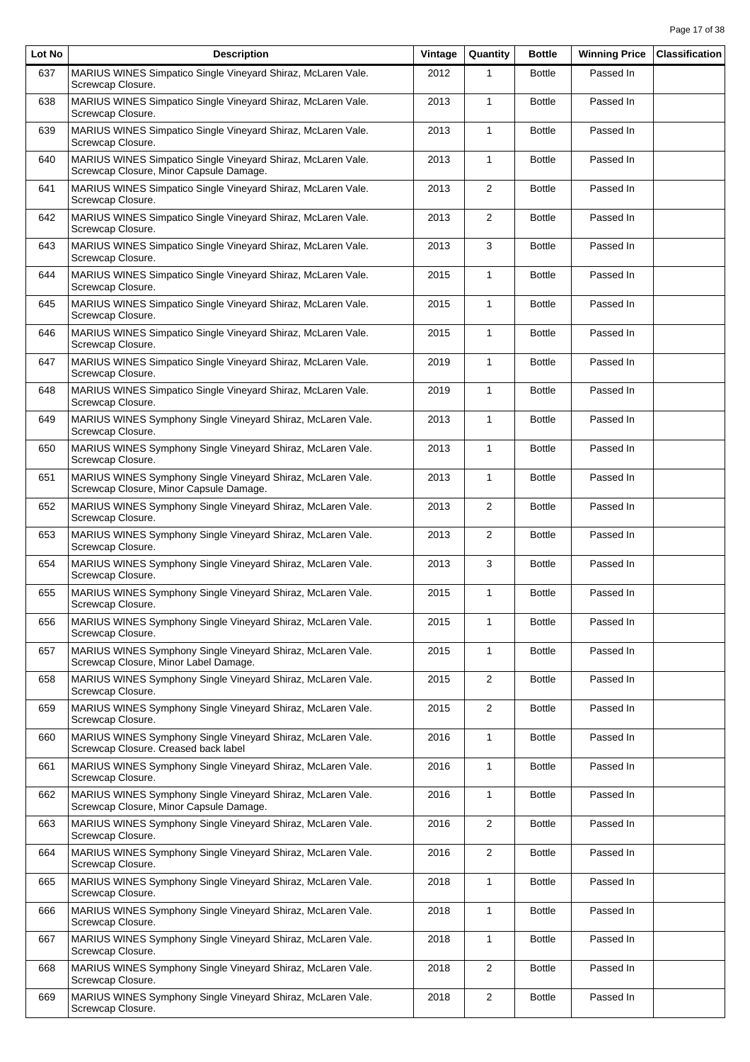| Lot No | <b>Description</b>                                                                                      | Vintage | Quantity       | <b>Bottle</b> | <b>Winning Price</b> | <b>Classification</b> |
|--------|---------------------------------------------------------------------------------------------------------|---------|----------------|---------------|----------------------|-----------------------|
| 637    | MARIUS WINES Simpatico Single Vineyard Shiraz, McLaren Vale.<br>Screwcap Closure.                       | 2012    | 1              | <b>Bottle</b> | Passed In            |                       |
| 638    | MARIUS WINES Simpatico Single Vineyard Shiraz, McLaren Vale.<br>Screwcap Closure.                       | 2013    | $\mathbf{1}$   | <b>Bottle</b> | Passed In            |                       |
| 639    | MARIUS WINES Simpatico Single Vineyard Shiraz, McLaren Vale.<br>Screwcap Closure.                       | 2013    | $\mathbf{1}$   | <b>Bottle</b> | Passed In            |                       |
| 640    | MARIUS WINES Simpatico Single Vineyard Shiraz, McLaren Vale.<br>Screwcap Closure, Minor Capsule Damage. | 2013    | $\mathbf{1}$   | <b>Bottle</b> | Passed In            |                       |
| 641    | MARIUS WINES Simpatico Single Vineyard Shiraz, McLaren Vale.<br>Screwcap Closure.                       | 2013    | 2              | <b>Bottle</b> | Passed In            |                       |
| 642    | MARIUS WINES Simpatico Single Vineyard Shiraz, McLaren Vale.<br>Screwcap Closure.                       | 2013    | $\overline{2}$ | <b>Bottle</b> | Passed In            |                       |
| 643    | MARIUS WINES Simpatico Single Vineyard Shiraz, McLaren Vale.<br>Screwcap Closure.                       | 2013    | 3              | <b>Bottle</b> | Passed In            |                       |
| 644    | MARIUS WINES Simpatico Single Vineyard Shiraz, McLaren Vale.<br>Screwcap Closure.                       | 2015    | $\mathbf{1}$   | <b>Bottle</b> | Passed In            |                       |
| 645    | MARIUS WINES Simpatico Single Vineyard Shiraz, McLaren Vale.<br>Screwcap Closure.                       | 2015    | $\mathbf{1}$   | <b>Bottle</b> | Passed In            |                       |
| 646    | MARIUS WINES Simpatico Single Vineyard Shiraz, McLaren Vale.<br>Screwcap Closure.                       | 2015    | $\mathbf{1}$   | <b>Bottle</b> | Passed In            |                       |
| 647    | MARIUS WINES Simpatico Single Vineyard Shiraz, McLaren Vale.<br>Screwcap Closure.                       | 2019    | $\mathbf{1}$   | <b>Bottle</b> | Passed In            |                       |
| 648    | MARIUS WINES Simpatico Single Vineyard Shiraz, McLaren Vale.<br>Screwcap Closure.                       | 2019    | $\mathbf{1}$   | <b>Bottle</b> | Passed In            |                       |
| 649    | MARIUS WINES Symphony Single Vineyard Shiraz, McLaren Vale.<br>Screwcap Closure.                        | 2013    | $\mathbf{1}$   | <b>Bottle</b> | Passed In            |                       |
| 650    | MARIUS WINES Symphony Single Vineyard Shiraz, McLaren Vale.<br>Screwcap Closure.                        | 2013    | $\mathbf{1}$   | <b>Bottle</b> | Passed In            |                       |
| 651    | MARIUS WINES Symphony Single Vineyard Shiraz, McLaren Vale.<br>Screwcap Closure, Minor Capsule Damage.  | 2013    | $\mathbf{1}$   | <b>Bottle</b> | Passed In            |                       |
| 652    | MARIUS WINES Symphony Single Vineyard Shiraz, McLaren Vale.<br>Screwcap Closure.                        | 2013    | 2              | <b>Bottle</b> | Passed In            |                       |
| 653    | MARIUS WINES Symphony Single Vineyard Shiraz, McLaren Vale.<br>Screwcap Closure.                        | 2013    | $\overline{2}$ | <b>Bottle</b> | Passed In            |                       |
| 654    | MARIUS WINES Symphony Single Vineyard Shiraz, McLaren Vale.<br>Screwcap Closure.                        | 2013    | 3              | <b>Bottle</b> | Passed In            |                       |
| 655    | MARIUS WINES Symphony Single Vineyard Shiraz, McLaren Vale.<br>Screwcap Closure.                        | 2015    | $\mathbf{1}$   | <b>Bottle</b> | Passed In            |                       |
| 656    | MARIUS WINES Symphony Single Vineyard Shiraz, McLaren Vale.<br>Screwcap Closure.                        | 2015    | $\mathbf{1}$   | <b>Bottle</b> | Passed In            |                       |
| 657    | MARIUS WINES Symphony Single Vineyard Shiraz, McLaren Vale.<br>Screwcap Closure, Minor Label Damage.    | 2015    | $\mathbf{1}$   | <b>Bottle</b> | Passed In            |                       |
| 658    | MARIUS WINES Symphony Single Vineyard Shiraz, McLaren Vale.<br>Screwcap Closure.                        | 2015    | $\overline{c}$ | <b>Bottle</b> | Passed In            |                       |
| 659    | MARIUS WINES Symphony Single Vineyard Shiraz, McLaren Vale.<br>Screwcap Closure.                        | 2015    | 2              | <b>Bottle</b> | Passed In            |                       |
| 660    | MARIUS WINES Symphony Single Vineyard Shiraz, McLaren Vale.<br>Screwcap Closure. Creased back label     | 2016    | $\mathbf{1}$   | <b>Bottle</b> | Passed In            |                       |
| 661    | MARIUS WINES Symphony Single Vineyard Shiraz, McLaren Vale.<br>Screwcap Closure.                        | 2016    | $\mathbf{1}$   | <b>Bottle</b> | Passed In            |                       |
| 662    | MARIUS WINES Symphony Single Vineyard Shiraz, McLaren Vale.<br>Screwcap Closure, Minor Capsule Damage.  | 2016    | 1              | <b>Bottle</b> | Passed In            |                       |
| 663    | MARIUS WINES Symphony Single Vineyard Shiraz, McLaren Vale.<br>Screwcap Closure.                        | 2016    | $\overline{2}$ | <b>Bottle</b> | Passed In            |                       |
| 664    | MARIUS WINES Symphony Single Vineyard Shiraz, McLaren Vale.<br>Screwcap Closure.                        | 2016    | $\overline{2}$ | <b>Bottle</b> | Passed In            |                       |
| 665    | MARIUS WINES Symphony Single Vineyard Shiraz, McLaren Vale.<br>Screwcap Closure.                        | 2018    | $\mathbf{1}$   | <b>Bottle</b> | Passed In            |                       |
| 666    | MARIUS WINES Symphony Single Vineyard Shiraz, McLaren Vale.<br>Screwcap Closure.                        | 2018    | $\mathbf{1}$   | <b>Bottle</b> | Passed In            |                       |
| 667    | MARIUS WINES Symphony Single Vineyard Shiraz, McLaren Vale.<br>Screwcap Closure.                        | 2018    | $\mathbf{1}$   | <b>Bottle</b> | Passed In            |                       |
| 668    | MARIUS WINES Symphony Single Vineyard Shiraz, McLaren Vale.<br>Screwcap Closure.                        | 2018    | $\overline{2}$ | <b>Bottle</b> | Passed In            |                       |
| 669    | MARIUS WINES Symphony Single Vineyard Shiraz, McLaren Vale.<br>Screwcap Closure.                        | 2018    | $\overline{2}$ | <b>Bottle</b> | Passed In            |                       |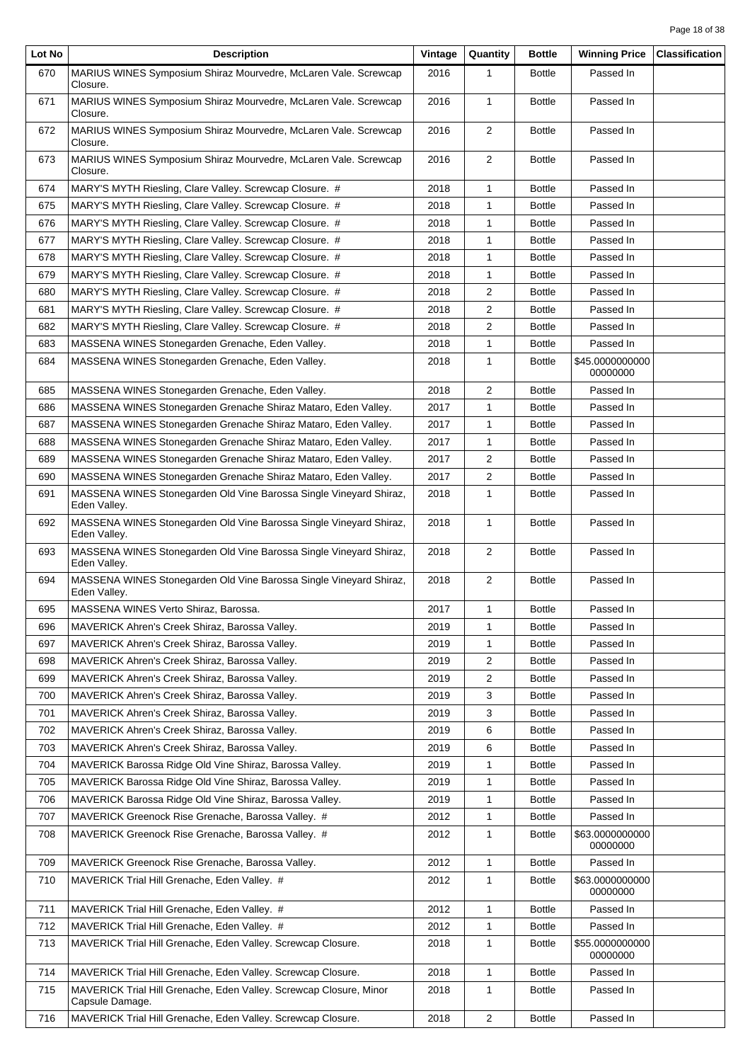| Lot No     | <b>Description</b>                                                                                       | Vintage      | Quantity          | <b>Bottle</b> | <b>Winning Price</b>        | <b>Classification</b> |
|------------|----------------------------------------------------------------------------------------------------------|--------------|-------------------|---------------|-----------------------------|-----------------------|
| 670        | MARIUS WINES Symposium Shiraz Mourvedre, McLaren Vale. Screwcap<br>Closure.                              | 2016         | 1                 | <b>Bottle</b> | Passed In                   |                       |
| 671        | MARIUS WINES Symposium Shiraz Mourvedre, McLaren Vale. Screwcap<br>Closure.                              | 2016         | $\mathbf{1}$      | <b>Bottle</b> | Passed In                   |                       |
| 672        | MARIUS WINES Symposium Shiraz Mourvedre, McLaren Vale. Screwcap<br>Closure.                              | 2016         | $\overline{2}$    | <b>Bottle</b> | Passed In                   |                       |
| 673        | MARIUS WINES Symposium Shiraz Mourvedre, McLaren Vale. Screwcap<br>Closure.                              | 2016         | $\overline{2}$    | <b>Bottle</b> | Passed In                   |                       |
| 674        | MARY'S MYTH Riesling, Clare Valley. Screwcap Closure. #                                                  | 2018         | $\mathbf{1}$      | <b>Bottle</b> | Passed In                   |                       |
| 675        | MARY'S MYTH Riesling, Clare Valley. Screwcap Closure. #                                                  | 2018         | 1                 | <b>Bottle</b> | Passed In                   |                       |
| 676        | MARY'S MYTH Riesling, Clare Valley. Screwcap Closure. #                                                  | 2018         | $\mathbf{1}$      | <b>Bottle</b> | Passed In                   |                       |
| 677        | MARY'S MYTH Riesling, Clare Valley. Screwcap Closure. #                                                  | 2018         | 1                 | <b>Bottle</b> | Passed In                   |                       |
| 678        | MARY'S MYTH Riesling, Clare Valley. Screwcap Closure. #                                                  | 2018         | $\mathbf{1}$      | <b>Bottle</b> | Passed In                   |                       |
| 679        | MARY'S MYTH Riesling, Clare Valley. Screwcap Closure. #                                                  | 2018         | $\mathbf{1}$      | <b>Bottle</b> | Passed In                   |                       |
| 680        | MARY'S MYTH Riesling, Clare Valley. Screwcap Closure. #                                                  | 2018         | 2                 | <b>Bottle</b> | Passed In                   |                       |
| 681        | MARY'S MYTH Riesling, Clare Valley. Screwcap Closure. #                                                  | 2018         | 2                 | <b>Bottle</b> | Passed In                   |                       |
| 682        | MARY'S MYTH Riesling, Clare Valley. Screwcap Closure. #                                                  | 2018         | 2                 | <b>Bottle</b> | Passed In                   |                       |
| 683        | MASSENA WINES Stonegarden Grenache, Eden Valley.                                                         | 2018         | $\mathbf{1}$      | <b>Bottle</b> | Passed In                   |                       |
| 684        | MASSENA WINES Stonegarden Grenache, Eden Valley.                                                         | 2018         | 1                 | <b>Bottle</b> | \$45.0000000000<br>00000000 |                       |
| 685        | MASSENA WINES Stonegarden Grenache, Eden Valley.                                                         | 2018         | 2                 | <b>Bottle</b> | Passed In                   |                       |
| 686        | MASSENA WINES Stonegarden Grenache Shiraz Mataro, Eden Valley.                                           | 2017         | $\mathbf{1}$      | <b>Bottle</b> | Passed In                   |                       |
| 687        | MASSENA WINES Stonegarden Grenache Shiraz Mataro, Eden Valley.                                           | 2017         | $\mathbf{1}$      | <b>Bottle</b> | Passed In                   |                       |
| 688        | MASSENA WINES Stonegarden Grenache Shiraz Mataro, Eden Valley.                                           | 2017         | $\mathbf{1}$      | <b>Bottle</b> | Passed In                   |                       |
| 689        | MASSENA WINES Stonegarden Grenache Shiraz Mataro, Eden Valley.                                           | 2017         | 2                 | <b>Bottle</b> | Passed In                   |                       |
| 690        | MASSENA WINES Stonegarden Grenache Shiraz Mataro, Eden Valley.                                           | 2017         | 2                 | <b>Bottle</b> | Passed In                   |                       |
| 691        | MASSENA WINES Stonegarden Old Vine Barossa Single Vineyard Shiraz,<br>Eden Valley.                       | 2018         | $\mathbf{1}$      | <b>Bottle</b> | Passed In                   |                       |
| 692        | MASSENA WINES Stonegarden Old Vine Barossa Single Vineyard Shiraz,<br>Eden Valley.                       | 2018         | $\mathbf{1}$      | <b>Bottle</b> | Passed In                   |                       |
| 693        | MASSENA WINES Stonegarden Old Vine Barossa Single Vineyard Shiraz,<br>Eden Valley.                       | 2018         | 2                 | <b>Bottle</b> | Passed In                   |                       |
| 694        | MASSENA WINES Stonegarden Old Vine Barossa Single Vineyard Shiraz,<br>Eden Valley.                       | 2018         | $\overline{2}$    | <b>Bottle</b> | Passed In                   |                       |
| 695        | MASSENA WINES Verto Shiraz, Barossa.                                                                     | 2017         | $\mathbf{1}$      | <b>Bottle</b> | Passed In                   |                       |
| 696        | MAVERICK Ahren's Creek Shiraz, Barossa Valley.                                                           | 2019         | 1                 | <b>Bottle</b> | Passed In                   |                       |
| 697        | MAVERICK Ahren's Creek Shiraz, Barossa Valley.                                                           | 2019         | $\mathbf{1}$      | <b>Bottle</b> | Passed In                   |                       |
| 698        | MAVERICK Ahren's Creek Shiraz, Barossa Valley.                                                           | 2019         | $\overline{2}$    | <b>Bottle</b> | Passed In                   |                       |
| 699        | MAVERICK Ahren's Creek Shiraz, Barossa Valley.                                                           | 2019         | $\overline{2}$    | <b>Bottle</b> | Passed In                   |                       |
| 700        | MAVERICK Ahren's Creek Shiraz, Barossa Valley.                                                           | 2019         | 3                 | <b>Bottle</b> | Passed In                   |                       |
| 701        | MAVERICK Ahren's Creek Shiraz, Barossa Valley.                                                           | 2019         | 3                 | <b>Bottle</b> | Passed In                   |                       |
| 702        | MAVERICK Ahren's Creek Shiraz, Barossa Valley.                                                           | 2019         | 6                 | <b>Bottle</b> | Passed In                   |                       |
| 703        | MAVERICK Ahren's Creek Shiraz, Barossa Valley.                                                           | 2019         | 6                 | <b>Bottle</b> | Passed In                   |                       |
| 704        | MAVERICK Barossa Ridge Old Vine Shiraz, Barossa Valley.                                                  | 2019         | $\mathbf{1}$      | <b>Bottle</b> | Passed In                   |                       |
| 705        | MAVERICK Barossa Ridge Old Vine Shiraz, Barossa Valley.                                                  | 2019         | 1                 | <b>Bottle</b> | Passed In                   |                       |
| 706        | MAVERICK Barossa Ridge Old Vine Shiraz, Barossa Valley.                                                  | 2019         | 1                 | <b>Bottle</b> | Passed In<br>Passed In      |                       |
| 707<br>708 | MAVERICK Greenock Rise Grenache, Barossa Valley. #<br>MAVERICK Greenock Rise Grenache, Barossa Valley. # | 2012<br>2012 | 1<br>$\mathbf{1}$ | <b>Bottle</b> | \$63.0000000000             |                       |
|            |                                                                                                          |              |                   | <b>Bottle</b> | 00000000                    |                       |
| 709        | MAVERICK Greenock Rise Grenache, Barossa Valley.                                                         | 2012         | $\mathbf{1}$      | <b>Bottle</b> | Passed In                   |                       |
| 710        | MAVERICK Trial Hill Grenache, Eden Valley. #                                                             | 2012         | 1                 | <b>Bottle</b> | \$63.0000000000<br>00000000 |                       |
| 711        | MAVERICK Trial Hill Grenache, Eden Valley. #                                                             | 2012         | $\mathbf{1}$      | <b>Bottle</b> | Passed In                   |                       |
| 712        | MAVERICK Trial Hill Grenache, Eden Valley. #                                                             | 2012         | 1                 | <b>Bottle</b> | Passed In                   |                       |
| 713        | MAVERICK Trial Hill Grenache, Eden Valley. Screwcap Closure.                                             | 2018         | 1                 | <b>Bottle</b> | \$55.0000000000<br>00000000 |                       |
| 714        | MAVERICK Trial Hill Grenache, Eden Valley. Screwcap Closure.                                             | 2018         | $\mathbf{1}$      | <b>Bottle</b> | Passed In                   |                       |
| 715        | MAVERICK Trial Hill Grenache, Eden Valley. Screwcap Closure, Minor<br>Capsule Damage.                    | 2018         | 1                 | <b>Bottle</b> | Passed In                   |                       |
| 716        | MAVERICK Trial Hill Grenache, Eden Valley. Screwcap Closure.                                             | 2018         | $\overline{c}$    | <b>Bottle</b> | Passed In                   |                       |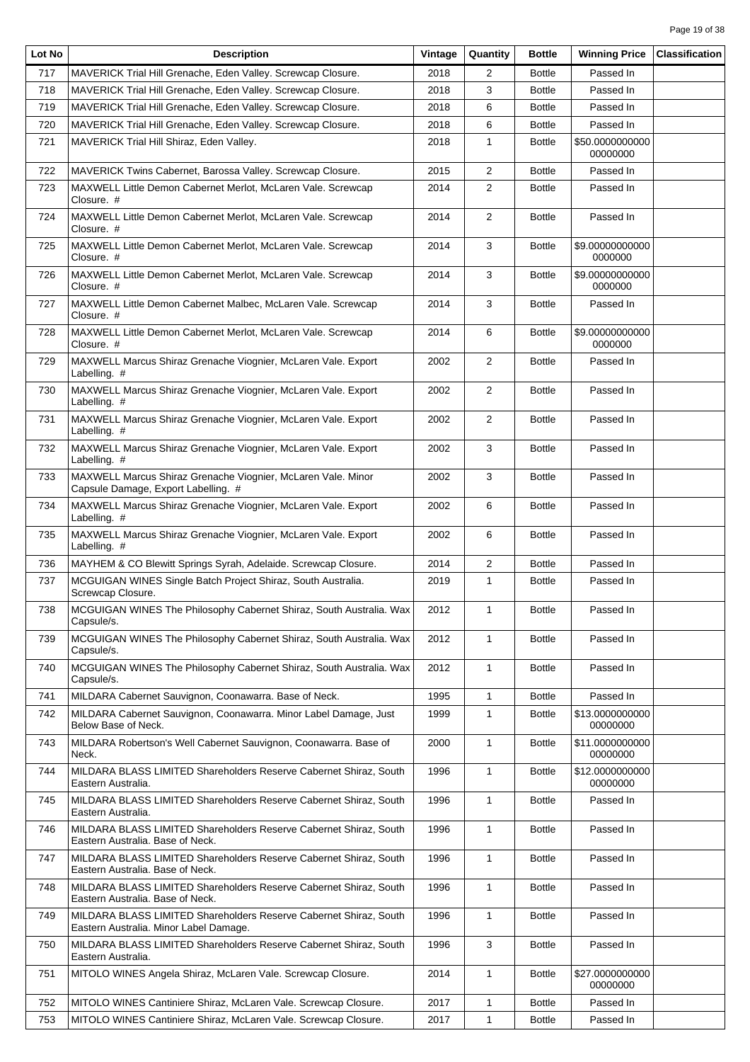| Lot No | <b>Description</b>                                                                                          | Vintage | Quantity       | <b>Bottle</b> | <b>Winning Price</b>        | <b>Classification</b> |
|--------|-------------------------------------------------------------------------------------------------------------|---------|----------------|---------------|-----------------------------|-----------------------|
| 717    | MAVERICK Trial Hill Grenache, Eden Valley. Screwcap Closure.                                                | 2018    | 2              | <b>Bottle</b> | Passed In                   |                       |
| 718    | MAVERICK Trial Hill Grenache, Eden Valley. Screwcap Closure.                                                | 2018    | 3              | <b>Bottle</b> | Passed In                   |                       |
| 719    | MAVERICK Trial Hill Grenache, Eden Valley. Screwcap Closure.                                                | 2018    | 6              | <b>Bottle</b> | Passed In                   |                       |
| 720    | MAVERICK Trial Hill Grenache, Eden Valley. Screwcap Closure.                                                | 2018    | 6              | <b>Bottle</b> | Passed In                   |                       |
| 721    | MAVERICK Trial Hill Shiraz, Eden Valley.                                                                    | 2018    | $\mathbf{1}$   | <b>Bottle</b> | \$50.0000000000<br>00000000 |                       |
| 722    | MAVERICK Twins Cabernet, Barossa Valley. Screwcap Closure.                                                  | 2015    | 2              | <b>Bottle</b> | Passed In                   |                       |
| 723    | MAXWELL Little Demon Cabernet Merlot, McLaren Vale. Screwcap<br>Closure. #                                  | 2014    | 2              | <b>Bottle</b> | Passed In                   |                       |
| 724    | MAXWELL Little Demon Cabernet Merlot, McLaren Vale. Screwcap<br>Closure. #                                  | 2014    | $\overline{2}$ | <b>Bottle</b> | Passed In                   |                       |
| 725    | MAXWELL Little Demon Cabernet Merlot, McLaren Vale. Screwcap<br>Closure. #                                  | 2014    | 3              | <b>Bottle</b> | \$9.00000000000<br>0000000  |                       |
| 726    | MAXWELL Little Demon Cabernet Merlot, McLaren Vale. Screwcap<br>Closure. #                                  | 2014    | 3              | <b>Bottle</b> | \$9.00000000000<br>0000000  |                       |
| 727    | MAXWELL Little Demon Cabernet Malbec, McLaren Vale. Screwcap<br>Closure. #                                  | 2014    | 3              | <b>Bottle</b> | Passed In                   |                       |
| 728    | MAXWELL Little Demon Cabernet Merlot, McLaren Vale. Screwcap<br>Closure. #                                  | 2014    | 6              | <b>Bottle</b> | \$9.00000000000<br>0000000  |                       |
| 729    | MAXWELL Marcus Shiraz Grenache Viognier, McLaren Vale. Export<br>Labelling. #                               | 2002    | $\overline{2}$ | <b>Bottle</b> | Passed In                   |                       |
| 730    | MAXWELL Marcus Shiraz Grenache Viognier, McLaren Vale. Export<br>Labelling. #                               | 2002    | $\overline{2}$ | <b>Bottle</b> | Passed In                   |                       |
| 731    | MAXWELL Marcus Shiraz Grenache Viognier, McLaren Vale. Export<br>Labelling. #                               | 2002    | $\overline{2}$ | <b>Bottle</b> | Passed In                   |                       |
| 732    | MAXWELL Marcus Shiraz Grenache Viognier, McLaren Vale. Export<br>Labelling. #                               | 2002    | 3              | <b>Bottle</b> | Passed In                   |                       |
| 733    | MAXWELL Marcus Shiraz Grenache Viognier, McLaren Vale. Minor<br>Capsule Damage, Export Labelling. #         | 2002    | 3              | <b>Bottle</b> | Passed In                   |                       |
| 734    | MAXWELL Marcus Shiraz Grenache Viognier, McLaren Vale. Export<br>Labelling. #                               | 2002    | 6              | <b>Bottle</b> | Passed In                   |                       |
| 735    | MAXWELL Marcus Shiraz Grenache Viognier, McLaren Vale. Export<br>Labelling. #                               | 2002    | 6              | <b>Bottle</b> | Passed In                   |                       |
| 736    | MAYHEM & CO Blewitt Springs Syrah, Adelaide. Screwcap Closure.                                              | 2014    | 2              | <b>Bottle</b> | Passed In                   |                       |
| 737    | MCGUIGAN WINES Single Batch Project Shiraz, South Australia.<br>Screwcap Closure.                           | 2019    | $\mathbf{1}$   | <b>Bottle</b> | Passed In                   |                       |
| 738    | MCGUIGAN WINES The Philosophy Cabernet Shiraz, South Australia. Wax<br>Capsule/s.                           | 2012    | $\mathbf{1}$   | <b>Bottle</b> | Passed In                   |                       |
| 739    | MCGUIGAN WINES The Philosophy Cabernet Shiraz, South Australia. Wax<br>Capsule/s.                           | 2012    | 1              | <b>Bottle</b> | Passed In                   |                       |
| 740    | MCGUIGAN WINES The Philosophy Cabernet Shiraz, South Australia. Wax<br>Capsule/s.                           | 2012    | $\mathbf{1}$   | <b>Bottle</b> | Passed In                   |                       |
| 741    | MILDARA Cabernet Sauvignon, Coonawarra. Base of Neck.                                                       | 1995    | $\mathbf{1}$   | <b>Bottle</b> | Passed In                   |                       |
| 742    | MILDARA Cabernet Sauvignon, Coonawarra. Minor Label Damage, Just<br>Below Base of Neck.                     | 1999    | $\mathbf{1}$   | <b>Bottle</b> | \$13.0000000000<br>00000000 |                       |
| 743    | MILDARA Robertson's Well Cabernet Sauvignon, Coonawarra. Base of<br>Neck.                                   | 2000    | $\mathbf{1}$   | <b>Bottle</b> | \$11.0000000000<br>00000000 |                       |
| 744    | MILDARA BLASS LIMITED Shareholders Reserve Cabernet Shiraz, South<br>Eastern Australia.                     | 1996    | $\mathbf{1}$   | <b>Bottle</b> | \$12.0000000000<br>00000000 |                       |
| 745    | MILDARA BLASS LIMITED Shareholders Reserve Cabernet Shiraz, South<br>Eastern Australia.                     | 1996    | $\mathbf{1}$   | <b>Bottle</b> | Passed In                   |                       |
| 746    | MILDARA BLASS LIMITED Shareholders Reserve Cabernet Shiraz, South<br>Eastern Australia. Base of Neck.       | 1996    | $\mathbf{1}$   | <b>Bottle</b> | Passed In                   |                       |
| 747    | MILDARA BLASS LIMITED Shareholders Reserve Cabernet Shiraz, South<br>Eastern Australia. Base of Neck.       | 1996    | $\mathbf{1}$   | <b>Bottle</b> | Passed In                   |                       |
| 748    | MILDARA BLASS LIMITED Shareholders Reserve Cabernet Shiraz, South<br>Eastern Australia. Base of Neck.       | 1996    | $\mathbf{1}$   | <b>Bottle</b> | Passed In                   |                       |
| 749    | MILDARA BLASS LIMITED Shareholders Reserve Cabernet Shiraz, South<br>Eastern Australia. Minor Label Damage. | 1996    | $\mathbf{1}$   | <b>Bottle</b> | Passed In                   |                       |
| 750    | MILDARA BLASS LIMITED Shareholders Reserve Cabernet Shiraz, South<br>Eastern Australia.                     | 1996    | 3              | <b>Bottle</b> | Passed In                   |                       |
| 751    | MITOLO WINES Angela Shiraz, McLaren Vale. Screwcap Closure.                                                 | 2014    | $\mathbf{1}$   | <b>Bottle</b> | \$27.0000000000<br>00000000 |                       |
| 752    | MITOLO WINES Cantiniere Shiraz, McLaren Vale. Screwcap Closure.                                             | 2017    | $\mathbf{1}$   | <b>Bottle</b> | Passed In                   |                       |
| 753    | MITOLO WINES Cantiniere Shiraz, McLaren Vale. Screwcap Closure.                                             | 2017    | $\mathbf{1}$   | <b>Bottle</b> | Passed In                   |                       |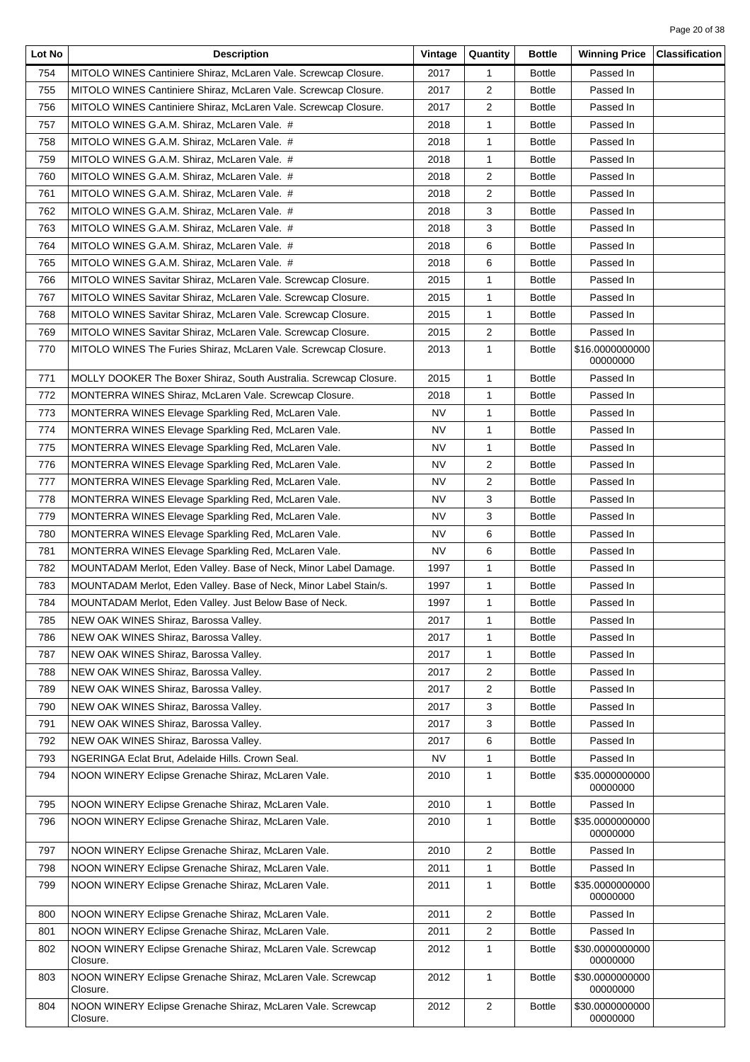| Lot No | <b>Description</b>                                                      | Vintage   | Quantity       | <b>Bottle</b> | <b>Winning Price</b>        | <b>Classification</b> |
|--------|-------------------------------------------------------------------------|-----------|----------------|---------------|-----------------------------|-----------------------|
| 754    | MITOLO WINES Cantiniere Shiraz, McLaren Vale. Screwcap Closure.         | 2017      | 1              | <b>Bottle</b> | Passed In                   |                       |
| 755    | MITOLO WINES Cantiniere Shiraz, McLaren Vale. Screwcap Closure.         | 2017      | $\overline{c}$ | <b>Bottle</b> | Passed In                   |                       |
| 756    | MITOLO WINES Cantiniere Shiraz, McLaren Vale. Screwcap Closure.         | 2017      | $\overline{2}$ | <b>Bottle</b> | Passed In                   |                       |
| 757    | MITOLO WINES G.A.M. Shiraz, McLaren Vale. #                             | 2018      | 1              | <b>Bottle</b> | Passed In                   |                       |
| 758    | MITOLO WINES G.A.M. Shiraz, McLaren Vale. #                             | 2018      | 1              | <b>Bottle</b> | Passed In                   |                       |
| 759    | MITOLO WINES G.A.M. Shiraz, McLaren Vale. #                             | 2018      | $\mathbf{1}$   | <b>Bottle</b> | Passed In                   |                       |
| 760    | MITOLO WINES G.A.M. Shiraz, McLaren Vale. #                             | 2018      | $\overline{2}$ | <b>Bottle</b> | Passed In                   |                       |
| 761    | MITOLO WINES G.A.M. Shiraz, McLaren Vale. #                             | 2018      | $\overline{2}$ | <b>Bottle</b> | Passed In                   |                       |
| 762    | MITOLO WINES G.A.M. Shiraz, McLaren Vale. #                             | 2018      | 3              | <b>Bottle</b> | Passed In                   |                       |
| 763    | MITOLO WINES G.A.M. Shiraz, McLaren Vale. #                             | 2018      | 3              | <b>Bottle</b> | Passed In                   |                       |
| 764    | MITOLO WINES G.A.M. Shiraz, McLaren Vale. #                             | 2018      | 6              | <b>Bottle</b> | Passed In                   |                       |
| 765    | MITOLO WINES G.A.M. Shiraz, McLaren Vale. #                             | 2018      | 6              | <b>Bottle</b> | Passed In                   |                       |
| 766    | MITOLO WINES Savitar Shiraz, McLaren Vale. Screwcap Closure.            | 2015      | $\mathbf{1}$   | <b>Bottle</b> | Passed In                   |                       |
| 767    | MITOLO WINES Savitar Shiraz, McLaren Vale. Screwcap Closure.            | 2015      | $\mathbf{1}$   | <b>Bottle</b> | Passed In                   |                       |
| 768    | MITOLO WINES Savitar Shiraz, McLaren Vale. Screwcap Closure.            | 2015      | 1              | <b>Bottle</b> | Passed In                   |                       |
| 769    | MITOLO WINES Savitar Shiraz, McLaren Vale. Screwcap Closure.            | 2015      | $\overline{c}$ | <b>Bottle</b> | Passed In                   |                       |
| 770    | MITOLO WINES The Furies Shiraz, McLaren Vale. Screwcap Closure.         | 2013      | $\mathbf{1}$   | <b>Bottle</b> | \$16.0000000000<br>00000000 |                       |
| 771    | MOLLY DOOKER The Boxer Shiraz, South Australia. Screwcap Closure.       | 2015      | $\mathbf{1}$   | <b>Bottle</b> | Passed In                   |                       |
| 772    | MONTERRA WINES Shiraz, McLaren Vale. Screwcap Closure.                  | 2018      | 1              | <b>Bottle</b> | Passed In                   |                       |
| 773    | MONTERRA WINES Elevage Sparkling Red, McLaren Vale.                     | NV        | 1              | <b>Bottle</b> | Passed In                   |                       |
| 774    | MONTERRA WINES Elevage Sparkling Red, McLaren Vale.                     | NV        | 1              | <b>Bottle</b> | Passed In                   |                       |
| 775    | MONTERRA WINES Elevage Sparkling Red, McLaren Vale.                     | NV        | $\mathbf{1}$   | <b>Bottle</b> | Passed In                   |                       |
| 776    | MONTERRA WINES Elevage Sparkling Red, McLaren Vale.                     | <b>NV</b> | $\overline{c}$ | <b>Bottle</b> | Passed In                   |                       |
| 777    | MONTERRA WINES Elevage Sparkling Red, McLaren Vale.                     | NV        | 2              | <b>Bottle</b> | Passed In                   |                       |
| 778    | MONTERRA WINES Elevage Sparkling Red, McLaren Vale.                     | NV        | 3              | <b>Bottle</b> | Passed In                   |                       |
| 779    | MONTERRA WINES Elevage Sparkling Red, McLaren Vale.                     | NV        | 3              | <b>Bottle</b> | Passed In                   |                       |
| 780    | MONTERRA WINES Elevage Sparkling Red, McLaren Vale.                     | NV        | 6              | <b>Bottle</b> | Passed In                   |                       |
| 781    | MONTERRA WINES Elevage Sparkling Red, McLaren Vale.                     | NV        | 6              | <b>Bottle</b> | Passed In                   |                       |
| 782    | MOUNTADAM Merlot, Eden Valley. Base of Neck, Minor Label Damage.        | 1997      | 1              | <b>Bottle</b> | Passed In                   |                       |
| 783    | MOUNTADAM Merlot, Eden Valley. Base of Neck, Minor Label Stain/s.       | 1997      | 1              | <b>Bottle</b> | Passed In                   |                       |
| 784    | MOUNTADAM Merlot, Eden Valley. Just Below Base of Neck.                 | 1997      | 1              | <b>Bottle</b> | Passed In                   |                       |
| 785    | NEW OAK WINES Shiraz, Barossa Valley.                                   | 2017      | 1              | <b>Bottle</b> | Passed In                   |                       |
| 786    | NEW OAK WINES Shiraz, Barossa Valley.                                   | 2017      | 1              | <b>Bottle</b> | Passed In                   |                       |
| 787    | NEW OAK WINES Shiraz, Barossa Valley.                                   | 2017      | 1              | <b>Bottle</b> | Passed In                   |                       |
| 788    | NEW OAK WINES Shiraz, Barossa Valley.                                   | 2017      | 2              | <b>Bottle</b> | Passed In                   |                       |
| 789    | NEW OAK WINES Shiraz, Barossa Valley.                                   | 2017      | 2              | <b>Bottle</b> | Passed In                   |                       |
| 790    | NEW OAK WINES Shiraz, Barossa Valley.                                   | 2017      | 3              | <b>Bottle</b> | Passed In                   |                       |
| 791    | NEW OAK WINES Shiraz, Barossa Valley.                                   | 2017      | 3              | <b>Bottle</b> | Passed In                   |                       |
| 792    | NEW OAK WINES Shiraz, Barossa Valley.                                   | 2017      | 6              | <b>Bottle</b> | Passed In                   |                       |
| 793    | NGERINGA Eclat Brut, Adelaide Hills. Crown Seal.                        | NV        | 1              | <b>Bottle</b> | Passed In                   |                       |
| 794    | NOON WINERY Eclipse Grenache Shiraz, McLaren Vale.                      | 2010      | 1              | <b>Bottle</b> | \$35.0000000000<br>00000000 |                       |
| 795    | NOON WINERY Eclipse Grenache Shiraz, McLaren Vale.                      | 2010      | 1              | <b>Bottle</b> | Passed In                   |                       |
| 796    | NOON WINERY Eclipse Grenache Shiraz, McLaren Vale.                      | 2010      | 1              | <b>Bottle</b> | \$35.0000000000<br>00000000 |                       |
| 797    | NOON WINERY Eclipse Grenache Shiraz, McLaren Vale.                      | 2010      | $\overline{2}$ | <b>Bottle</b> | Passed In                   |                       |
| 798    | NOON WINERY Eclipse Grenache Shiraz, McLaren Vale.                      | 2011      | 1              | <b>Bottle</b> | Passed In                   |                       |
| 799    | NOON WINERY Eclipse Grenache Shiraz, McLaren Vale.                      | 2011      | 1              | <b>Bottle</b> | \$35.0000000000<br>00000000 |                       |
| 800    | NOON WINERY Eclipse Grenache Shiraz, McLaren Vale.                      | 2011      | 2              | <b>Bottle</b> | Passed In                   |                       |
| 801    | NOON WINERY Eclipse Grenache Shiraz, McLaren Vale.                      | 2011      | 2              | <b>Bottle</b> | Passed In                   |                       |
| 802    | NOON WINERY Eclipse Grenache Shiraz, McLaren Vale. Screwcap<br>Closure. | 2012      | 1              | <b>Bottle</b> | \$30.0000000000<br>00000000 |                       |
| 803    | NOON WINERY Eclipse Grenache Shiraz, McLaren Vale. Screwcap             | 2012      | $\mathbf{1}$   | <b>Bottle</b> | \$30.0000000000             |                       |
| 804    | Closure.<br>NOON WINERY Eclipse Grenache Shiraz, McLaren Vale. Screwcap | 2012      | $\overline{c}$ | <b>Bottle</b> | 00000000<br>\$30.0000000000 |                       |
|        | Closure.                                                                |           |                |               | 00000000                    |                       |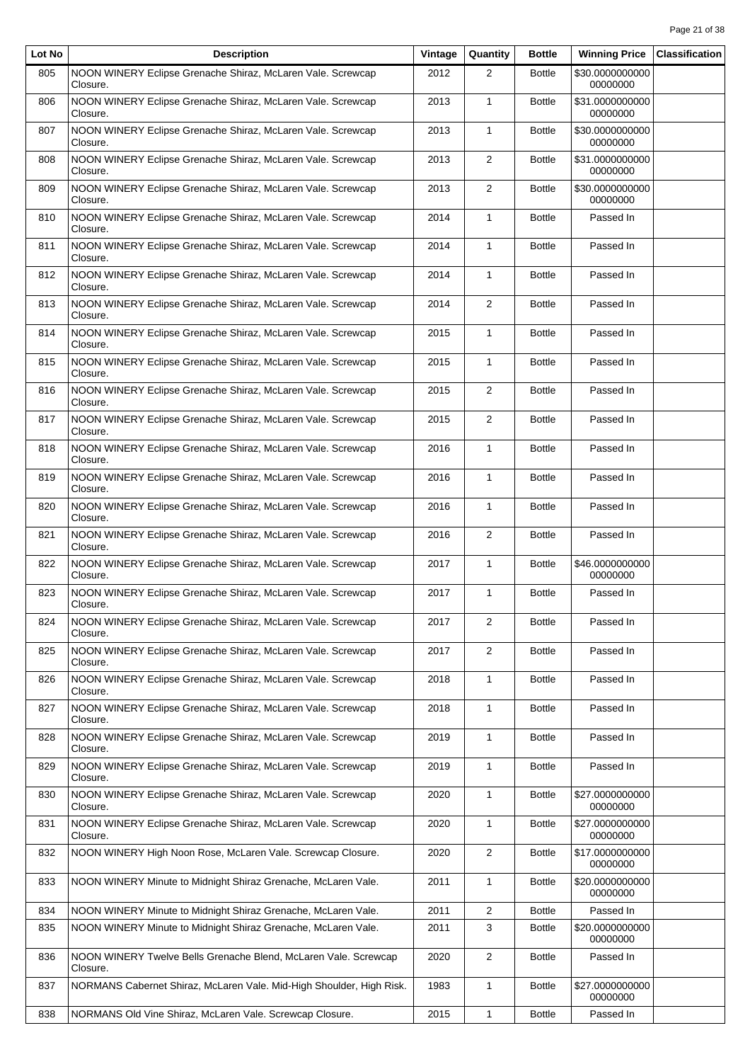| Lot No | <b>Description</b>                                                          | Vintage | Quantity       | <b>Bottle</b> | <b>Winning Price</b>        | <b>Classification</b> |
|--------|-----------------------------------------------------------------------------|---------|----------------|---------------|-----------------------------|-----------------------|
| 805    | NOON WINERY Eclipse Grenache Shiraz, McLaren Vale. Screwcap<br>Closure.     | 2012    | 2              | <b>Bottle</b> | \$30.0000000000<br>00000000 |                       |
| 806    | NOON WINERY Eclipse Grenache Shiraz, McLaren Vale. Screwcap<br>Closure.     | 2013    | $\mathbf{1}$   | <b>Bottle</b> | \$31.0000000000<br>00000000 |                       |
| 807    | NOON WINERY Eclipse Grenache Shiraz, McLaren Vale. Screwcap<br>Closure.     | 2013    | $\mathbf{1}$   | <b>Bottle</b> | \$30.0000000000<br>00000000 |                       |
| 808    | NOON WINERY Eclipse Grenache Shiraz, McLaren Vale. Screwcap<br>Closure.     | 2013    | $\overline{2}$ | <b>Bottle</b> | \$31.0000000000<br>00000000 |                       |
| 809    | NOON WINERY Eclipse Grenache Shiraz, McLaren Vale. Screwcap<br>Closure.     | 2013    | $\overline{2}$ | <b>Bottle</b> | \$30.0000000000<br>00000000 |                       |
| 810    | NOON WINERY Eclipse Grenache Shiraz, McLaren Vale. Screwcap<br>Closure.     | 2014    | $\mathbf{1}$   | <b>Bottle</b> | Passed In                   |                       |
| 811    | NOON WINERY Eclipse Grenache Shiraz, McLaren Vale. Screwcap<br>Closure.     | 2014    | $\mathbf{1}$   | <b>Bottle</b> | Passed In                   |                       |
| 812    | NOON WINERY Eclipse Grenache Shiraz, McLaren Vale. Screwcap<br>Closure.     | 2014    | $\mathbf{1}$   | <b>Bottle</b> | Passed In                   |                       |
| 813    | NOON WINERY Eclipse Grenache Shiraz, McLaren Vale. Screwcap<br>Closure.     | 2014    | $\overline{2}$ | <b>Bottle</b> | Passed In                   |                       |
| 814    | NOON WINERY Eclipse Grenache Shiraz, McLaren Vale. Screwcap<br>Closure.     | 2015    | $\mathbf{1}$   | <b>Bottle</b> | Passed In                   |                       |
| 815    | NOON WINERY Eclipse Grenache Shiraz, McLaren Vale. Screwcap<br>Closure.     | 2015    | $\mathbf{1}$   | <b>Bottle</b> | Passed In                   |                       |
| 816    | NOON WINERY Eclipse Grenache Shiraz, McLaren Vale. Screwcap<br>Closure.     | 2015    | $\overline{2}$ | <b>Bottle</b> | Passed In                   |                       |
| 817    | NOON WINERY Eclipse Grenache Shiraz, McLaren Vale. Screwcap<br>Closure.     | 2015    | $\overline{2}$ | <b>Bottle</b> | Passed In                   |                       |
| 818    | NOON WINERY Eclipse Grenache Shiraz, McLaren Vale. Screwcap<br>Closure.     | 2016    | $\mathbf{1}$   | <b>Bottle</b> | Passed In                   |                       |
| 819    | NOON WINERY Eclipse Grenache Shiraz, McLaren Vale. Screwcap<br>Closure.     | 2016    | $\mathbf{1}$   | <b>Bottle</b> | Passed In                   |                       |
| 820    | NOON WINERY Eclipse Grenache Shiraz, McLaren Vale. Screwcap<br>Closure.     | 2016    | $\mathbf{1}$   | <b>Bottle</b> | Passed In                   |                       |
| 821    | NOON WINERY Eclipse Grenache Shiraz, McLaren Vale. Screwcap<br>Closure.     | 2016    | $\overline{2}$ | <b>Bottle</b> | Passed In                   |                       |
| 822    | NOON WINERY Eclipse Grenache Shiraz, McLaren Vale. Screwcap<br>Closure.     | 2017    | $\mathbf{1}$   | <b>Bottle</b> | \$46.0000000000<br>00000000 |                       |
| 823    | NOON WINERY Eclipse Grenache Shiraz, McLaren Vale. Screwcap<br>Closure.     | 2017    | $\mathbf{1}$   | <b>Bottle</b> | Passed In                   |                       |
| 824    | NOON WINERY Eclipse Grenache Shiraz, McLaren Vale. Screwcap<br>Closure.     | 2017    | $\overline{c}$ | <b>Bottle</b> | Passed In                   |                       |
| 825    | NOON WINERY Eclipse Grenache Shiraz, McLaren Vale. Screwcap<br>Closure.     | 2017    | $\overline{2}$ | <b>Bottle</b> | Passed In                   |                       |
| 826    | NOON WINERY Eclipse Grenache Shiraz, McLaren Vale. Screwcap<br>Closure.     | 2018    | 1              | <b>Bottle</b> | Passed In                   |                       |
| 827    | NOON WINERY Eclipse Grenache Shiraz, McLaren Vale. Screwcap<br>Closure.     | 2018    | 1              | <b>Bottle</b> | Passed In                   |                       |
| 828    | NOON WINERY Eclipse Grenache Shiraz, McLaren Vale. Screwcap<br>Closure.     | 2019    | $\mathbf{1}$   | <b>Bottle</b> | Passed In                   |                       |
| 829    | NOON WINERY Eclipse Grenache Shiraz, McLaren Vale. Screwcap<br>Closure.     | 2019    | $\mathbf{1}$   | <b>Bottle</b> | Passed In                   |                       |
| 830    | NOON WINERY Eclipse Grenache Shiraz, McLaren Vale. Screwcap<br>Closure.     | 2020    | $\mathbf{1}$   | <b>Bottle</b> | \$27.0000000000<br>00000000 |                       |
| 831    | NOON WINERY Eclipse Grenache Shiraz, McLaren Vale. Screwcap<br>Closure.     | 2020    | 1              | <b>Bottle</b> | \$27.0000000000<br>00000000 |                       |
| 832    | NOON WINERY High Noon Rose, McLaren Vale. Screwcap Closure.                 | 2020    | $\overline{2}$ | <b>Bottle</b> | \$17.0000000000<br>00000000 |                       |
| 833    | NOON WINERY Minute to Midnight Shiraz Grenache, McLaren Vale.               | 2011    | 1              | <b>Bottle</b> | \$20.0000000000<br>00000000 |                       |
| 834    | NOON WINERY Minute to Midnight Shiraz Grenache, McLaren Vale.               | 2011    | $\overline{2}$ | <b>Bottle</b> | Passed In                   |                       |
| 835    | NOON WINERY Minute to Midnight Shiraz Grenache, McLaren Vale.               | 2011    | 3              | <b>Bottle</b> | \$20.0000000000<br>00000000 |                       |
| 836    | NOON WINERY Twelve Bells Grenache Blend, McLaren Vale. Screwcap<br>Closure. | 2020    | $\overline{2}$ | <b>Bottle</b> | Passed In                   |                       |
| 837    | NORMANS Cabernet Shiraz, McLaren Vale. Mid-High Shoulder, High Risk.        | 1983    | $\mathbf{1}$   | <b>Bottle</b> | \$27.0000000000<br>00000000 |                       |
| 838    | NORMANS Old Vine Shiraz, McLaren Vale. Screwcap Closure.                    | 2015    | $\mathbf{1}$   | <b>Bottle</b> | Passed In                   |                       |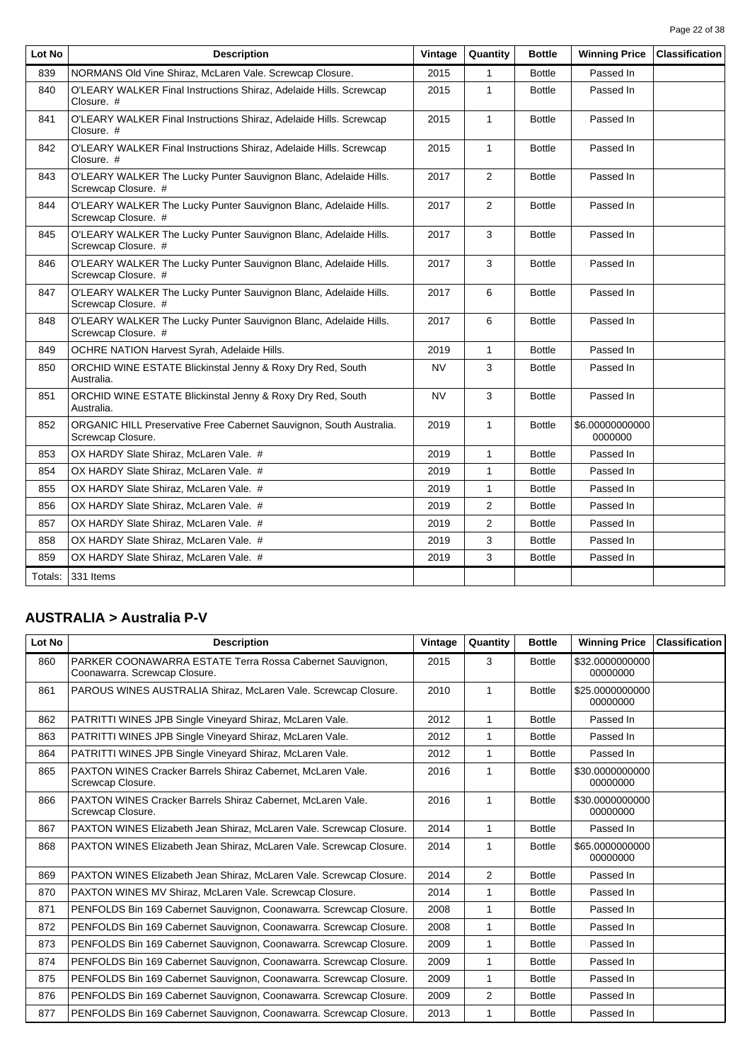| Page 22 of 38 |  |  |
|---------------|--|--|

| Lot No  | <b>Description</b>                                                                       | Vintage   | Quantity       | <b>Bottle</b> | <b>Winning Price</b>       | <b>Classification</b> |
|---------|------------------------------------------------------------------------------------------|-----------|----------------|---------------|----------------------------|-----------------------|
| 839     | NORMANS Old Vine Shiraz, McLaren Vale, Screwcap Closure.                                 | 2015      | $\mathbf{1}$   | <b>Bottle</b> | Passed In                  |                       |
| 840     | O'LEARY WALKER Final Instructions Shiraz, Adelaide Hills. Screwcap<br>Closure. #         | 2015      | $\mathbf{1}$   | <b>Bottle</b> | Passed In                  |                       |
| 841     | O'LEARY WALKER Final Instructions Shiraz, Adelaide Hills. Screwcap<br>Closure. #         | 2015      | $\mathbf{1}$   | <b>Bottle</b> | Passed In                  |                       |
| 842     | O'LEARY WALKER Final Instructions Shiraz, Adelaide Hills. Screwcap<br>Closure. #         | 2015      | $\mathbf{1}$   | <b>Bottle</b> | Passed In                  |                       |
| 843     | O'LEARY WALKER The Lucky Punter Sauvignon Blanc, Adelaide Hills.<br>Screwcap Closure. #  | 2017      | $\overline{2}$ | <b>Bottle</b> | Passed In                  |                       |
| 844     | O'LEARY WALKER The Lucky Punter Sauvignon Blanc, Adelaide Hills.<br>Screwcap Closure. #  | 2017      | 2              | <b>Bottle</b> | Passed In                  |                       |
| 845     | O'LEARY WALKER The Lucky Punter Sauvignon Blanc, Adelaide Hills.<br>Screwcap Closure. #  | 2017      | 3              | <b>Bottle</b> | Passed In                  |                       |
| 846     | O'LEARY WALKER The Lucky Punter Sauvignon Blanc, Adelaide Hills.<br>Screwcap Closure. #  | 2017      | 3              | <b>Bottle</b> | Passed In                  |                       |
| 847     | O'LEARY WALKER The Lucky Punter Sauvignon Blanc, Adelaide Hills.<br>Screwcap Closure. #  | 2017      | 6              | <b>Bottle</b> | Passed In                  |                       |
| 848     | O'LEARY WALKER The Lucky Punter Sauvignon Blanc, Adelaide Hills.<br>Screwcap Closure. #  | 2017      | 6              | <b>Bottle</b> | Passed In                  |                       |
| 849     | OCHRE NATION Harvest Syrah, Adelaide Hills.                                              | 2019      | $\mathbf{1}$   | <b>Bottle</b> | Passed In                  |                       |
| 850     | ORCHID WINE ESTATE Blickinstal Jenny & Roxy Dry Red, South<br>Australia.                 | <b>NV</b> | 3              | <b>Bottle</b> | Passed In                  |                       |
| 851     | ORCHID WINE ESTATE Blickinstal Jenny & Roxy Dry Red, South<br>Australia.                 | <b>NV</b> | 3              | <b>Bottle</b> | Passed In                  |                       |
| 852     | ORGANIC HILL Preservative Free Cabernet Sauvignon, South Australia.<br>Screwcap Closure. | 2019      | $\mathbf{1}$   | <b>Bottle</b> | \$6.00000000000<br>0000000 |                       |
| 853     | OX HARDY Slate Shiraz, McLaren Vale. #                                                   | 2019      | $\mathbf{1}$   | <b>Bottle</b> | Passed In                  |                       |
| 854     | OX HARDY Slate Shiraz, McLaren Vale. #                                                   | 2019      | $\mathbf{1}$   | <b>Bottle</b> | Passed In                  |                       |
| 855     | OX HARDY Slate Shiraz, McLaren Vale. #                                                   | 2019      | $\mathbf{1}$   | <b>Bottle</b> | Passed In                  |                       |
| 856     | OX HARDY Slate Shiraz, McLaren Vale. #                                                   | 2019      | $\overline{2}$ | Bottle        | Passed In                  |                       |
| 857     | OX HARDY Slate Shiraz, McLaren Vale. #                                                   | 2019      | 2              | <b>Bottle</b> | Passed In                  |                       |
| 858     | OX HARDY Slate Shiraz, McLaren Vale. #                                                   | 2019      | 3              | <b>Bottle</b> | Passed In                  |                       |
| 859     | OX HARDY Slate Shiraz. McLaren Vale. #                                                   | 2019      | 3              | <b>Bottle</b> | Passed In                  |                       |
| Totals: | 331 Items                                                                                |           |                |               |                            |                       |

### **AUSTRALIA > Australia P-V**

| Lot No | <b>Description</b>                                                                        | Vintage | Quantity       | <b>Bottle</b> | <b>Winning Price</b>        | <b>Classification</b> |
|--------|-------------------------------------------------------------------------------------------|---------|----------------|---------------|-----------------------------|-----------------------|
| 860    | PARKER COONAWARRA ESTATE Terra Rossa Cabernet Sauvignon,<br>Coonawarra. Screwcap Closure. | 2015    | 3              | <b>Bottle</b> | \$32.0000000000<br>00000000 |                       |
| 861    | PAROUS WINES AUSTRALIA Shiraz, McLaren Vale. Screwcap Closure.                            | 2010    | 1              | <b>Bottle</b> | \$25,0000000000<br>00000000 |                       |
| 862    | PATRITTI WINES JPB Single Vineyard Shiraz, McLaren Vale.                                  | 2012    | 1              | <b>Bottle</b> | Passed In                   |                       |
| 863    | PATRITTI WINES JPB Single Vineyard Shiraz, McLaren Vale.                                  | 2012    | 1              | <b>Bottle</b> | Passed In                   |                       |
| 864    | PATRITTI WINES JPB Single Vineyard Shiraz, McLaren Vale.                                  | 2012    | 1              | <b>Bottle</b> | Passed In                   |                       |
| 865    | PAXTON WINES Cracker Barrels Shiraz Cabernet, McLaren Vale.<br>Screwcap Closure.          | 2016    | 1              | <b>Bottle</b> | \$30.0000000000<br>00000000 |                       |
| 866    | PAXTON WINES Cracker Barrels Shiraz Cabernet, McLaren Vale.<br>Screwcap Closure.          | 2016    | 1              | <b>Bottle</b> | \$30.0000000000<br>00000000 |                       |
| 867    | PAXTON WINES Elizabeth Jean Shiraz, McLaren Vale. Screwcap Closure.                       | 2014    | $\mathbf{1}$   | <b>Bottle</b> | Passed In                   |                       |
| 868    | PAXTON WINES Elizabeth Jean Shiraz, McLaren Vale. Screwcap Closure.                       | 2014    | 1              | <b>Bottle</b> | \$65,0000000000<br>00000000 |                       |
| 869    | PAXTON WINES Elizabeth Jean Shiraz, McLaren Vale. Screwcap Closure.                       | 2014    | 2              | <b>Bottle</b> | Passed In                   |                       |
| 870    | PAXTON WINES MV Shiraz, McLaren Vale. Screwcap Closure.                                   | 2014    | 1              | <b>Bottle</b> | Passed In                   |                       |
| 871    | PENFOLDS Bin 169 Cabernet Sauvignon, Coonawarra. Screwcap Closure.                        | 2008    | 1              | <b>Bottle</b> | Passed In                   |                       |
| 872    | PENFOLDS Bin 169 Cabernet Sauvignon, Coonawarra. Screwcap Closure.                        | 2008    | 1              | <b>Bottle</b> | Passed In                   |                       |
| 873    | PENFOLDS Bin 169 Cabernet Sauvignon, Coonawarra. Screwcap Closure.                        | 2009    | 1              | <b>Bottle</b> | Passed In                   |                       |
| 874    | PENFOLDS Bin 169 Cabernet Sauvignon, Coonawarra. Screwcap Closure.                        | 2009    | 1              | <b>Bottle</b> | Passed In                   |                       |
| 875    | PENFOLDS Bin 169 Cabernet Sauvignon, Coonawarra. Screwcap Closure.                        | 2009    | 1              | <b>Bottle</b> | Passed In                   |                       |
| 876    | PENFOLDS Bin 169 Cabernet Sauvignon, Coonawarra. Screwcap Closure.                        | 2009    | $\overline{2}$ | <b>Bottle</b> | Passed In                   |                       |
| 877    | PENFOLDS Bin 169 Cabernet Sauvignon, Coonawarra. Screwcap Closure.                        | 2013    | 1              | <b>Bottle</b> | Passed In                   |                       |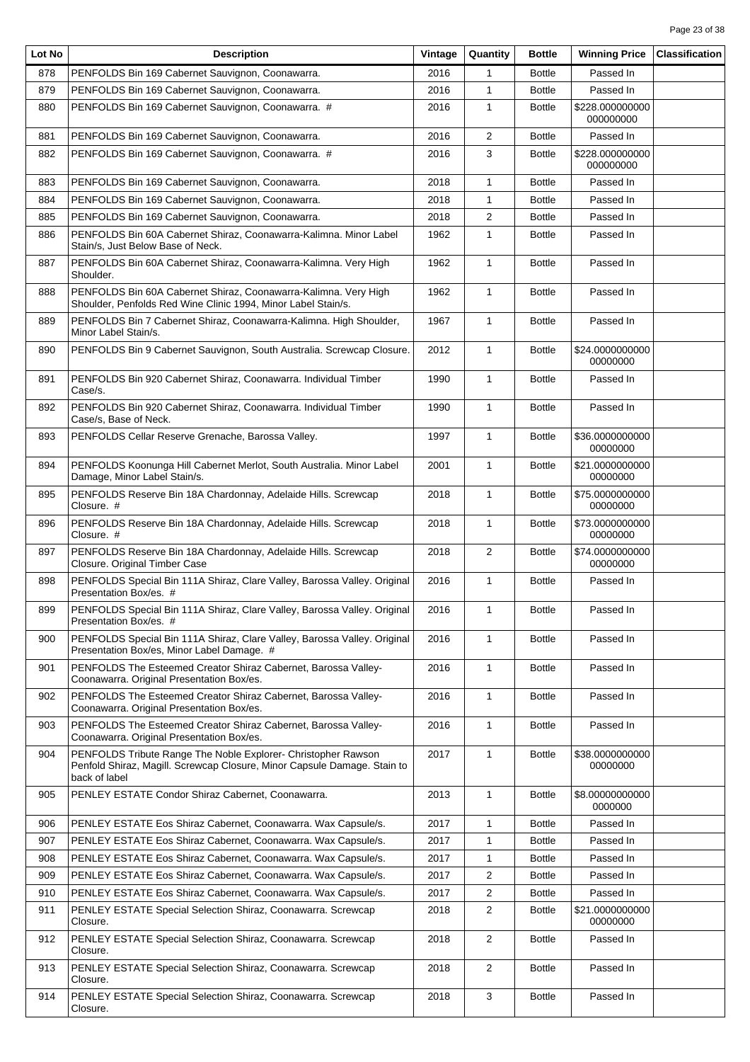| Lot No | <b>Description</b>                                                                                                                                         | Vintage | Quantity       | <b>Bottle</b> | <b>Winning Price</b>         | <b>Classification</b> |
|--------|------------------------------------------------------------------------------------------------------------------------------------------------------------|---------|----------------|---------------|------------------------------|-----------------------|
| 878    | PENFOLDS Bin 169 Cabernet Sauvignon, Coonawarra.                                                                                                           | 2016    | 1              | <b>Bottle</b> | Passed In                    |                       |
| 879    | PENFOLDS Bin 169 Cabernet Sauvignon, Coonawarra.                                                                                                           | 2016    | $\mathbf{1}$   | <b>Bottle</b> | Passed In                    |                       |
| 880    | PENFOLDS Bin 169 Cabernet Sauvignon, Coonawarra. #                                                                                                         | 2016    | $\mathbf{1}$   | <b>Bottle</b> | \$228.000000000<br>000000000 |                       |
| 881    | PENFOLDS Bin 169 Cabernet Sauvignon, Coonawarra.                                                                                                           | 2016    | $\overline{2}$ | <b>Bottle</b> | Passed In                    |                       |
| 882    | PENFOLDS Bin 169 Cabernet Sauvignon, Coonawarra. #                                                                                                         | 2016    | 3              | <b>Bottle</b> | \$228.000000000<br>000000000 |                       |
| 883    | PENFOLDS Bin 169 Cabernet Sauvignon, Coonawarra.                                                                                                           | 2018    | $\mathbf{1}$   | <b>Bottle</b> | Passed In                    |                       |
| 884    | PENFOLDS Bin 169 Cabernet Sauvignon, Coonawarra.                                                                                                           | 2018    | $\mathbf{1}$   | <b>Bottle</b> | Passed In                    |                       |
| 885    | PENFOLDS Bin 169 Cabernet Sauvignon, Coonawarra.                                                                                                           | 2018    | 2              | <b>Bottle</b> | Passed In                    |                       |
| 886    | PENFOLDS Bin 60A Cabernet Shiraz, Coonawarra-Kalimna. Minor Label<br>Stain/s, Just Below Base of Neck.                                                     | 1962    | $\mathbf{1}$   | <b>Bottle</b> | Passed In                    |                       |
| 887    | PENFOLDS Bin 60A Cabernet Shiraz, Coonawarra-Kalimna. Very High<br>Shoulder.                                                                               | 1962    | $\mathbf{1}$   | <b>Bottle</b> | Passed In                    |                       |
| 888    | PENFOLDS Bin 60A Cabernet Shiraz, Coonawarra-Kalimna. Very High<br>Shoulder, Penfolds Red Wine Clinic 1994, Minor Label Stain/s.                           | 1962    | $\mathbf{1}$   | <b>Bottle</b> | Passed In                    |                       |
| 889    | PENFOLDS Bin 7 Cabernet Shiraz, Coonawarra-Kalimna. High Shoulder,<br>Minor Label Stain/s.                                                                 | 1967    | $\mathbf{1}$   | <b>Bottle</b> | Passed In                    |                       |
| 890    | PENFOLDS Bin 9 Cabernet Sauvignon, South Australia. Screwcap Closure.                                                                                      | 2012    | $\mathbf{1}$   | <b>Bottle</b> | \$24.0000000000<br>00000000  |                       |
| 891    | PENFOLDS Bin 920 Cabernet Shiraz, Coonawarra. Individual Timber<br>Case/s.                                                                                 | 1990    | $\mathbf{1}$   | <b>Bottle</b> | Passed In                    |                       |
| 892    | PENFOLDS Bin 920 Cabernet Shiraz, Coonawarra. Individual Timber<br>Case/s, Base of Neck.                                                                   | 1990    | $\mathbf{1}$   | <b>Bottle</b> | Passed In                    |                       |
| 893    | PENFOLDS Cellar Reserve Grenache, Barossa Valley.                                                                                                          | 1997    | $\mathbf{1}$   | <b>Bottle</b> | \$36.0000000000<br>00000000  |                       |
| 894    | PENFOLDS Koonunga Hill Cabernet Merlot, South Australia. Minor Label<br>Damage, Minor Label Stain/s.                                                       | 2001    | $\mathbf{1}$   | <b>Bottle</b> | \$21.0000000000<br>00000000  |                       |
| 895    | PENFOLDS Reserve Bin 18A Chardonnay, Adelaide Hills. Screwcap<br>Closure. #                                                                                | 2018    | $\mathbf{1}$   | <b>Bottle</b> | \$75.0000000000<br>00000000  |                       |
| 896    | PENFOLDS Reserve Bin 18A Chardonnay, Adelaide Hills. Screwcap<br>Closure. #                                                                                | 2018    | $\mathbf{1}$   | <b>Bottle</b> | \$73.0000000000<br>00000000  |                       |
| 897    | PENFOLDS Reserve Bin 18A Chardonnay, Adelaide Hills. Screwcap<br>Closure. Original Timber Case                                                             | 2018    | $\overline{2}$ | <b>Bottle</b> | \$74.0000000000<br>00000000  |                       |
| 898    | PENFOLDS Special Bin 111A Shiraz, Clare Valley, Barossa Valley. Original<br>Presentation Box/es. #                                                         | 2016    | $\mathbf{1}$   | <b>Bottle</b> | Passed In                    |                       |
| 899    | PENFOLDS Special Bin 111A Shiraz, Clare Valley, Barossa Valley. Original<br>Presentation Box/es. #                                                         | 2016    | $\mathbf{1}$   | <b>Bottle</b> | Passed In                    |                       |
| 900    | PENFOLDS Special Bin 111A Shiraz, Clare Valley, Barossa Valley. Original<br>Presentation Box/es, Minor Label Damage. #                                     | 2016    | $\mathbf{1}$   | <b>Bottle</b> | Passed In                    |                       |
| 901    | PENFOLDS The Esteemed Creator Shiraz Cabernet, Barossa Valley-<br>Coonawarra. Original Presentation Box/es.                                                | 2016    | $\mathbf{1}$   | <b>Bottle</b> | Passed In                    |                       |
| 902    | PENFOLDS The Esteemed Creator Shiraz Cabernet, Barossa Valley-<br>Coonawarra. Original Presentation Box/es.                                                | 2016    | $\mathbf{1}$   | <b>Bottle</b> | Passed In                    |                       |
| 903    | PENFOLDS The Esteemed Creator Shiraz Cabernet, Barossa Valley-<br>Coonawarra. Original Presentation Box/es.                                                | 2016    | $\mathbf{1}$   | <b>Bottle</b> | Passed In                    |                       |
| 904    | PENFOLDS Tribute Range The Noble Explorer- Christopher Rawson<br>Penfold Shiraz, Magill. Screwcap Closure, Minor Capsule Damage. Stain to<br>back of label | 2017    | $\mathbf{1}$   | <b>Bottle</b> | \$38.0000000000<br>00000000  |                       |
| 905    | PENLEY ESTATE Condor Shiraz Cabernet, Coonawarra.                                                                                                          | 2013    | $\mathbf{1}$   | <b>Bottle</b> | \$8.00000000000<br>0000000   |                       |
| 906    | PENLEY ESTATE Eos Shiraz Cabernet, Coonawarra. Wax Capsule/s.                                                                                              | 2017    | $\mathbf{1}$   | <b>Bottle</b> | Passed In                    |                       |
| 907    | PENLEY ESTATE Eos Shiraz Cabernet, Coonawarra. Wax Capsule/s.                                                                                              | 2017    | $\mathbf{1}$   | <b>Bottle</b> | Passed In                    |                       |
| 908    | PENLEY ESTATE Eos Shiraz Cabernet, Coonawarra. Wax Capsule/s.                                                                                              | 2017    | 1              | <b>Bottle</b> | Passed In                    |                       |
| 909    | PENLEY ESTATE Eos Shiraz Cabernet, Coonawarra. Wax Capsule/s.                                                                                              | 2017    | 2              | <b>Bottle</b> | Passed In                    |                       |
| 910    | PENLEY ESTATE Eos Shiraz Cabernet, Coonawarra. Wax Capsule/s.                                                                                              | 2017    | $\overline{2}$ | <b>Bottle</b> | Passed In                    |                       |
| 911    | PENLEY ESTATE Special Selection Shiraz, Coonawarra. Screwcap<br>Closure.                                                                                   | 2018    | 2              | <b>Bottle</b> | \$21.0000000000<br>00000000  |                       |
| 912    | PENLEY ESTATE Special Selection Shiraz, Coonawarra. Screwcap<br>Closure.                                                                                   | 2018    | $\overline{2}$ | <b>Bottle</b> | Passed In                    |                       |
| 913    | PENLEY ESTATE Special Selection Shiraz, Coonawarra. Screwcap<br>Closure.                                                                                   | 2018    | $\overline{2}$ | <b>Bottle</b> | Passed In                    |                       |
| 914    | PENLEY ESTATE Special Selection Shiraz, Coonawarra. Screwcap<br>Closure.                                                                                   | 2018    | 3              | <b>Bottle</b> | Passed In                    |                       |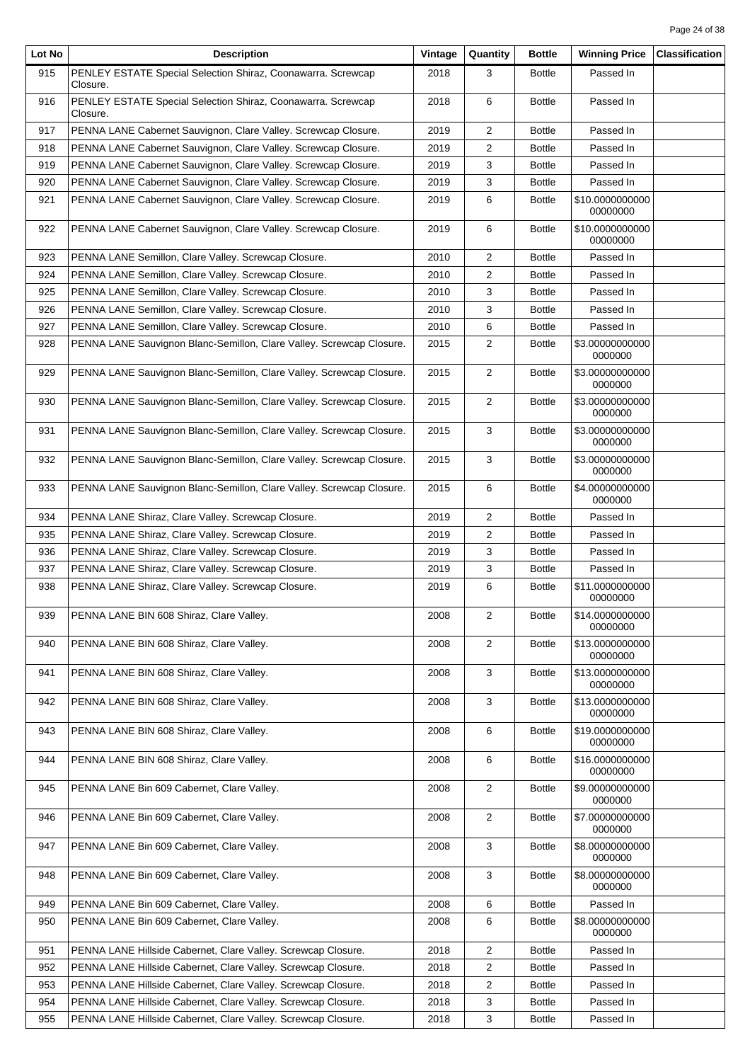| Lot No | <b>Description</b>                                                       | Vintage | Quantity                | <b>Bottle</b> | <b>Winning Price</b>        | <b>Classification</b> |
|--------|--------------------------------------------------------------------------|---------|-------------------------|---------------|-----------------------------|-----------------------|
| 915    | PENLEY ESTATE Special Selection Shiraz, Coonawarra. Screwcap<br>Closure. | 2018    | 3                       | <b>Bottle</b> | Passed In                   |                       |
| 916    | PENLEY ESTATE Special Selection Shiraz, Coonawarra. Screwcap<br>Closure. | 2018    | 6                       | <b>Bottle</b> | Passed In                   |                       |
| 917    | PENNA LANE Cabernet Sauvignon, Clare Valley. Screwcap Closure.           | 2019    | $\overline{2}$          | <b>Bottle</b> | Passed In                   |                       |
| 918    | PENNA LANE Cabernet Sauvignon, Clare Valley. Screwcap Closure.           | 2019    | 2                       | <b>Bottle</b> | Passed In                   |                       |
| 919    | PENNA LANE Cabernet Sauvignon, Clare Valley. Screwcap Closure.           | 2019    | 3                       | <b>Bottle</b> | Passed In                   |                       |
| 920    | PENNA LANE Cabernet Sauvignon, Clare Valley. Screwcap Closure.           | 2019    | 3                       | <b>Bottle</b> | Passed In                   |                       |
| 921    | PENNA LANE Cabernet Sauvignon, Clare Valley. Screwcap Closure.           | 2019    | 6                       | <b>Bottle</b> | \$10.0000000000<br>00000000 |                       |
| 922    | PENNA LANE Cabernet Sauvignon, Clare Valley. Screwcap Closure.           | 2019    | 6                       | <b>Bottle</b> | \$10.0000000000<br>00000000 |                       |
| 923    | PENNA LANE Semillon, Clare Valley. Screwcap Closure.                     | 2010    | 2                       | <b>Bottle</b> | Passed In                   |                       |
| 924    | PENNA LANE Semillon, Clare Valley. Screwcap Closure.                     | 2010    | 2                       | <b>Bottle</b> | Passed In                   |                       |
| 925    | PENNA LANE Semillon, Clare Valley. Screwcap Closure.                     | 2010    | 3                       | <b>Bottle</b> | Passed In                   |                       |
| 926    | PENNA LANE Semillon, Clare Valley. Screwcap Closure.                     | 2010    | 3                       | <b>Bottle</b> | Passed In                   |                       |
| 927    | PENNA LANE Semillon, Clare Valley. Screwcap Closure.                     | 2010    | 6                       | <b>Bottle</b> | Passed In                   |                       |
| 928    | PENNA LANE Sauvignon Blanc-Semillon, Clare Valley. Screwcap Closure.     | 2015    | $\overline{2}$          | <b>Bottle</b> | \$3.00000000000<br>0000000  |                       |
| 929    | PENNA LANE Sauvignon Blanc-Semillon, Clare Valley. Screwcap Closure.     | 2015    | $\overline{2}$          | <b>Bottle</b> | \$3.00000000000<br>0000000  |                       |
| 930    | PENNA LANE Sauvignon Blanc-Semillon, Clare Valley. Screwcap Closure.     | 2015    | $\overline{2}$          | <b>Bottle</b> | \$3.00000000000<br>0000000  |                       |
| 931    | PENNA LANE Sauvignon Blanc-Semillon, Clare Valley. Screwcap Closure.     | 2015    | 3                       | <b>Bottle</b> | \$3.00000000000<br>0000000  |                       |
| 932    | PENNA LANE Sauvignon Blanc-Semillon, Clare Valley. Screwcap Closure.     | 2015    | 3                       | <b>Bottle</b> | \$3.00000000000<br>0000000  |                       |
| 933    | PENNA LANE Sauvignon Blanc-Semillon, Clare Valley. Screwcap Closure.     | 2015    | 6                       | <b>Bottle</b> | \$4.00000000000<br>0000000  |                       |
| 934    | PENNA LANE Shiraz, Clare Valley. Screwcap Closure.                       | 2019    | 2                       | <b>Bottle</b> | Passed In                   |                       |
| 935    | PENNA LANE Shiraz, Clare Valley. Screwcap Closure.                       | 2019    | $\overline{\mathbf{c}}$ | <b>Bottle</b> | Passed In                   |                       |
| 936    | PENNA LANE Shiraz, Clare Valley. Screwcap Closure.                       | 2019    | 3                       | <b>Bottle</b> | Passed In                   |                       |
| 937    | PENNA LANE Shiraz, Clare Valley. Screwcap Closure.                       | 2019    | 3                       | <b>Bottle</b> | Passed In                   |                       |
| 938    | PENNA LANE Shiraz, Clare Valley. Screwcap Closure.                       | 2019    | 6                       | <b>Bottle</b> | \$11.0000000000<br>00000000 |                       |
| 939    | PENNA LANE BIN 608 Shiraz, Clare Valley.                                 | 2008    | $\overline{c}$          | <b>Bottle</b> | \$14.0000000000<br>00000000 |                       |
| 940    | PENNA LANE BIN 608 Shiraz, Clare Valley.                                 | 2008    | $\overline{c}$          | <b>Bottle</b> | \$13.0000000000<br>00000000 |                       |
| 941    | PENNA LANE BIN 608 Shiraz, Clare Valley.                                 | 2008    | 3                       | <b>Bottle</b> | \$13.0000000000<br>00000000 |                       |
| 942    | PENNA LANE BIN 608 Shiraz, Clare Valley.                                 | 2008    | 3                       | <b>Bottle</b> | \$13.0000000000<br>00000000 |                       |
| 943    | PENNA LANE BIN 608 Shiraz, Clare Valley.                                 | 2008    | 6                       | <b>Bottle</b> | \$19.0000000000<br>00000000 |                       |
| 944    | PENNA LANE BIN 608 Shiraz, Clare Valley.                                 | 2008    | 6                       | <b>Bottle</b> | \$16.0000000000<br>00000000 |                       |
| 945    | PENNA LANE Bin 609 Cabernet, Clare Valley.                               | 2008    | $\overline{2}$          | <b>Bottle</b> | \$9.00000000000<br>0000000  |                       |
| 946    | PENNA LANE Bin 609 Cabernet, Clare Valley.                               | 2008    | $\overline{2}$          | <b>Bottle</b> | \$7.00000000000<br>0000000  |                       |
| 947    | PENNA LANE Bin 609 Cabernet, Clare Valley.                               | 2008    | 3                       | <b>Bottle</b> | \$8.00000000000<br>0000000  |                       |
| 948    | PENNA LANE Bin 609 Cabernet, Clare Valley.                               | 2008    | 3                       | <b>Bottle</b> | \$8.00000000000<br>0000000  |                       |
| 949    | PENNA LANE Bin 609 Cabernet, Clare Valley.                               | 2008    | 6                       | <b>Bottle</b> | Passed In                   |                       |
| 950    | PENNA LANE Bin 609 Cabernet, Clare Valley.                               | 2008    | 6                       | <b>Bottle</b> | \$8.00000000000<br>0000000  |                       |
| 951    | PENNA LANE Hillside Cabernet, Clare Valley. Screwcap Closure.            | 2018    | $\overline{2}$          | <b>Bottle</b> | Passed In                   |                       |
| 952    | PENNA LANE Hillside Cabernet, Clare Valley. Screwcap Closure.            | 2018    | 2                       | <b>Bottle</b> | Passed In                   |                       |
| 953    | PENNA LANE Hillside Cabernet, Clare Valley. Screwcap Closure.            | 2018    | 2                       | <b>Bottle</b> | Passed In                   |                       |
| 954    | PENNA LANE Hillside Cabernet, Clare Valley. Screwcap Closure.            | 2018    | 3                       | <b>Bottle</b> | Passed In                   |                       |
| 955    | PENNA LANE Hillside Cabernet, Clare Valley. Screwcap Closure.            | 2018    | 3                       | <b>Bottle</b> | Passed In                   |                       |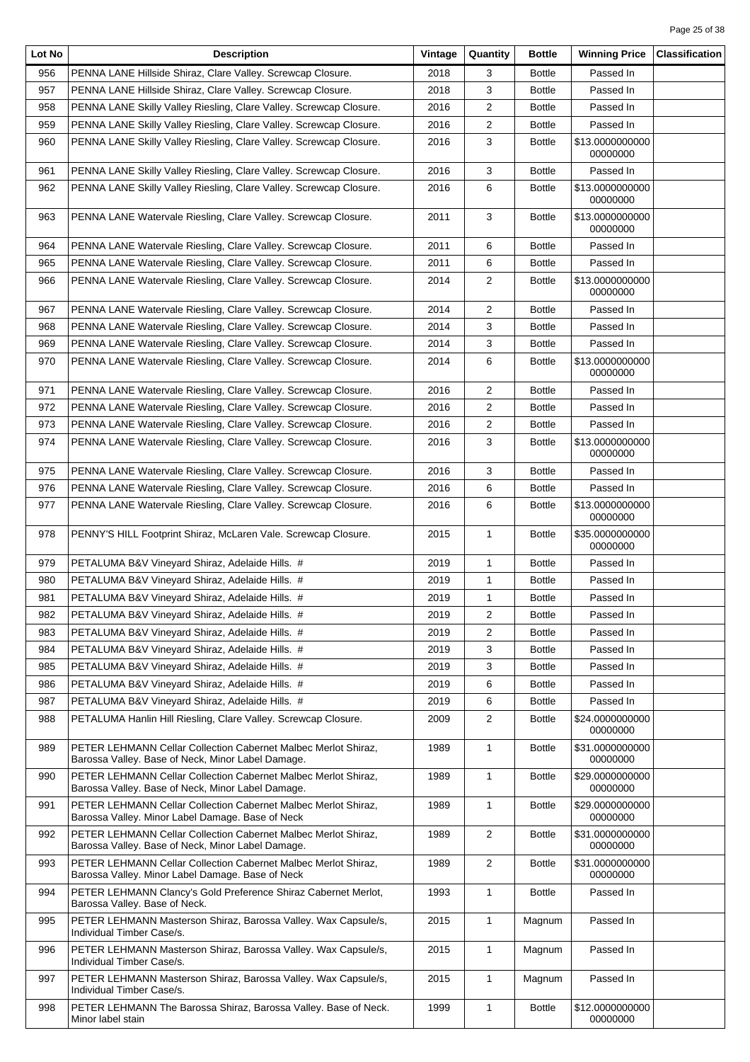| Lot No | <b>Description</b>                                                                                                  | Vintage | Quantity                | <b>Bottle</b> | <b>Winning Price</b>        | <b>Classification</b> |
|--------|---------------------------------------------------------------------------------------------------------------------|---------|-------------------------|---------------|-----------------------------|-----------------------|
| 956    | PENNA LANE Hillside Shiraz, Clare Valley. Screwcap Closure.                                                         | 2018    | 3                       | Bottle        | Passed In                   |                       |
| 957    | PENNA LANE Hillside Shiraz, Clare Valley. Screwcap Closure.                                                         | 2018    | 3                       | Bottle        | Passed In                   |                       |
| 958    | PENNA LANE Skilly Valley Riesling, Clare Valley. Screwcap Closure.                                                  | 2016    | 2                       | <b>Bottle</b> | Passed In                   |                       |
| 959    | PENNA LANE Skilly Valley Riesling, Clare Valley. Screwcap Closure.                                                  | 2016    | $\overline{2}$          | <b>Bottle</b> | Passed In                   |                       |
| 960    | PENNA LANE Skilly Valley Riesling, Clare Valley. Screwcap Closure.                                                  | 2016    | 3                       | Bottle        | \$13.0000000000<br>00000000 |                       |
| 961    | PENNA LANE Skilly Valley Riesling, Clare Valley. Screwcap Closure.                                                  | 2016    | 3                       | Bottle        | Passed In                   |                       |
| 962    | PENNA LANE Skilly Valley Riesling, Clare Valley. Screwcap Closure.                                                  | 2016    | 6                       | <b>Bottle</b> | \$13,0000000000<br>00000000 |                       |
| 963    | PENNA LANE Watervale Riesling, Clare Valley. Screwcap Closure.                                                      | 2011    | 3                       | <b>Bottle</b> | \$13.0000000000<br>00000000 |                       |
| 964    | PENNA LANE Watervale Riesling, Clare Valley. Screwcap Closure.                                                      | 2011    | 6                       | Bottle        | Passed In                   |                       |
| 965    | PENNA LANE Watervale Riesling, Clare Valley. Screwcap Closure.                                                      | 2011    | 6                       | <b>Bottle</b> | Passed In                   |                       |
| 966    | PENNA LANE Watervale Riesling, Clare Valley. Screwcap Closure.                                                      | 2014    | 2                       | <b>Bottle</b> | \$13.0000000000             |                       |
|        |                                                                                                                     |         |                         |               | 00000000                    |                       |
| 967    | PENNA LANE Watervale Riesling, Clare Valley. Screwcap Closure.                                                      | 2014    | 2                       | <b>Bottle</b> | Passed In                   |                       |
| 968    | PENNA LANE Watervale Riesling, Clare Valley. Screwcap Closure.                                                      | 2014    | 3                       | <b>Bottle</b> | Passed In                   |                       |
| 969    | PENNA LANE Watervale Riesling, Clare Valley. Screwcap Closure.                                                      | 2014    | 3                       | <b>Bottle</b> | Passed In                   |                       |
| 970    | PENNA LANE Watervale Riesling, Clare Valley. Screwcap Closure.                                                      | 2014    | 6                       | Bottle        | \$13.0000000000<br>00000000 |                       |
| 971    | PENNA LANE Watervale Riesling, Clare Valley. Screwcap Closure.                                                      | 2016    | 2                       | <b>Bottle</b> | Passed In                   |                       |
| 972    | PENNA LANE Watervale Riesling, Clare Valley. Screwcap Closure.                                                      | 2016    | 2                       | <b>Bottle</b> | Passed In                   |                       |
| 973    | PENNA LANE Watervale Riesling, Clare Valley. Screwcap Closure.                                                      | 2016    | 2                       | <b>Bottle</b> | Passed In                   |                       |
| 974    | PENNA LANE Watervale Riesling, Clare Valley. Screwcap Closure.                                                      | 2016    | 3                       | <b>Bottle</b> | \$13.0000000000<br>00000000 |                       |
| 975    | PENNA LANE Watervale Riesling, Clare Valley. Screwcap Closure.                                                      | 2016    | 3                       | <b>Bottle</b> | Passed In                   |                       |
| 976    | PENNA LANE Watervale Riesling, Clare Valley. Screwcap Closure.                                                      | 2016    | 6                       | Bottle        | Passed In                   |                       |
| 977    | PENNA LANE Watervale Riesling, Clare Valley. Screwcap Closure.                                                      | 2016    | 6                       | Bottle        | \$13.0000000000<br>00000000 |                       |
| 978    | PENNY'S HILL Footprint Shiraz, McLaren Vale. Screwcap Closure.                                                      | 2015    | $\mathbf{1}$            | <b>Bottle</b> | \$35.0000000000<br>00000000 |                       |
| 979    | PETALUMA B&V Vineyard Shiraz, Adelaide Hills. #                                                                     | 2019    | $\mathbf{1}$            | <b>Bottle</b> | Passed In                   |                       |
| 980    | PETALUMA B&V Vineyard Shiraz, Adelaide Hills. #                                                                     | 2019    | 1                       | <b>Bottle</b> | Passed In                   |                       |
| 981    | PETALUMA B&V Vineyard Shiraz, Adelaide Hills. #                                                                     | 2019    | 1                       | <b>Bottle</b> | Passed In                   |                       |
| 982    | PETALUMA B&V Vineyard Shiraz, Adelaide Hills. #                                                                     | 2019    | $\overline{\mathbf{c}}$ | <b>Bottle</b> | Passed In                   |                       |
| 983    | PETALUMA B&V Vineyard Shiraz, Adelaide Hills. #                                                                     | 2019    | 2                       | Bottle        | Passed In                   |                       |
| 984    | PETALUMA B&V Vineyard Shiraz, Adelaide Hills. #                                                                     | 2019    | 3                       | <b>Bottle</b> | Passed In                   |                       |
| 985    | PETALUMA B&V Vineyard Shiraz, Adelaide Hills. #                                                                     | 2019    | 3                       | <b>Bottle</b> | Passed In                   |                       |
| 986    | PETALUMA B&V Vineyard Shiraz, Adelaide Hills. #                                                                     | 2019    | 6                       | Bottle        | Passed In                   |                       |
| 987    | PETALUMA B&V Vineyard Shiraz, Adelaide Hills. #                                                                     | 2019    | 6                       | Bottle        | Passed In                   |                       |
| 988    | PETALUMA Hanlin Hill Riesling, Clare Valley. Screwcap Closure.                                                      | 2009    | $\overline{2}$          | <b>Bottle</b> | \$24.0000000000<br>00000000 |                       |
| 989    | PETER LEHMANN Cellar Collection Cabernet Malbec Merlot Shiraz,<br>Barossa Valley. Base of Neck, Minor Label Damage. | 1989    | $\mathbf{1}$            | Bottle        | \$31.0000000000<br>00000000 |                       |
| 990    | PETER LEHMANN Cellar Collection Cabernet Malbec Merlot Shiraz,<br>Barossa Valley. Base of Neck, Minor Label Damage. | 1989    | $\mathbf{1}$            | Bottle        | \$29.0000000000<br>00000000 |                       |
| 991    | PETER LEHMANN Cellar Collection Cabernet Malbec Merlot Shiraz,<br>Barossa Valley. Minor Label Damage. Base of Neck  | 1989    | $\mathbf{1}$            | <b>Bottle</b> | \$29.0000000000<br>00000000 |                       |
| 992    | PETER LEHMANN Cellar Collection Cabernet Malbec Merlot Shiraz,<br>Barossa Valley. Base of Neck, Minor Label Damage. | 1989    | $\overline{2}$          | <b>Bottle</b> | \$31.0000000000<br>00000000 |                       |
| 993    | PETER LEHMANN Cellar Collection Cabernet Malbec Merlot Shiraz,<br>Barossa Valley. Minor Label Damage. Base of Neck  | 1989    | 2                       | <b>Bottle</b> | \$31.0000000000<br>00000000 |                       |
| 994    | PETER LEHMANN Clancy's Gold Preference Shiraz Cabernet Merlot,<br>Barossa Valley. Base of Neck.                     | 1993    | $\mathbf{1}$            | <b>Bottle</b> | Passed In                   |                       |
| 995    | PETER LEHMANN Masterson Shiraz, Barossa Valley. Wax Capsule/s,<br>Individual Timber Case/s.                         | 2015    | $\mathbf{1}$            | Magnum        | Passed In                   |                       |
| 996    | PETER LEHMANN Masterson Shiraz, Barossa Valley. Wax Capsule/s,<br>Individual Timber Case/s.                         | 2015    | $\mathbf{1}$            | Magnum        | Passed In                   |                       |
| 997    | PETER LEHMANN Masterson Shiraz, Barossa Valley. Wax Capsule/s,<br>Individual Timber Case/s.                         | 2015    | $\mathbf{1}$            | Magnum        | Passed In                   |                       |
| 998    | PETER LEHMANN The Barossa Shiraz, Barossa Valley. Base of Neck.<br>Minor label stain                                | 1999    | $\mathbf{1}$            | <b>Bottle</b> | \$12.0000000000<br>00000000 |                       |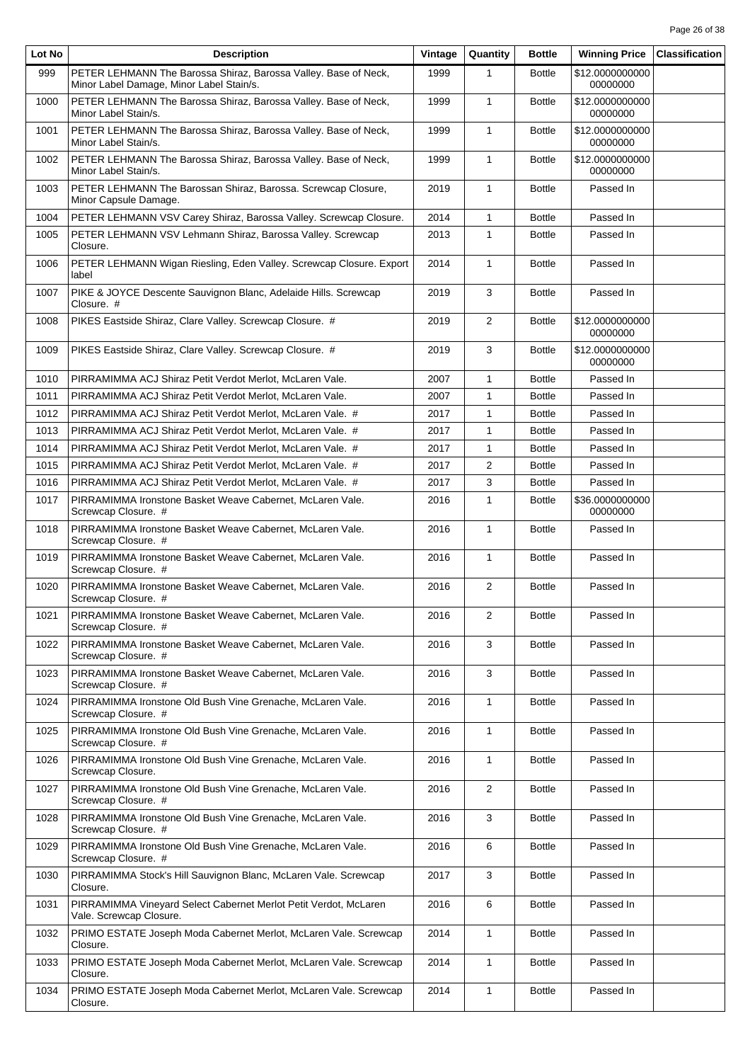| Lot No | <b>Description</b>                                                                                          | Vintage | Quantity       | <b>Bottle</b> | <b>Winning Price</b>        | <b>Classification</b> |
|--------|-------------------------------------------------------------------------------------------------------------|---------|----------------|---------------|-----------------------------|-----------------------|
| 999    | PETER LEHMANN The Barossa Shiraz, Barossa Valley. Base of Neck,<br>Minor Label Damage, Minor Label Stain/s. | 1999    | 1              | <b>Bottle</b> | \$12.0000000000<br>00000000 |                       |
| 1000   | PETER LEHMANN The Barossa Shiraz, Barossa Valley. Base of Neck,<br>Minor Label Stain/s.                     | 1999    | $\mathbf{1}$   | <b>Bottle</b> | \$12.0000000000<br>00000000 |                       |
| 1001   | PETER LEHMANN The Barossa Shiraz, Barossa Valley. Base of Neck,<br>Minor Label Stain/s.                     | 1999    | $\mathbf{1}$   | <b>Bottle</b> | \$12.0000000000<br>00000000 |                       |
| 1002   | PETER LEHMANN The Barossa Shiraz, Barossa Valley. Base of Neck,<br>Minor Label Stain/s.                     | 1999    | $\mathbf{1}$   | <b>Bottle</b> | \$12.0000000000<br>00000000 |                       |
| 1003   | PETER LEHMANN The Barossan Shiraz, Barossa. Screwcap Closure,<br>Minor Capsule Damage.                      | 2019    | $\mathbf{1}$   | <b>Bottle</b> | Passed In                   |                       |
| 1004   | PETER LEHMANN VSV Carey Shiraz, Barossa Valley. Screwcap Closure.                                           | 2014    | $\mathbf{1}$   | <b>Bottle</b> | Passed In                   |                       |
| 1005   | PETER LEHMANN VSV Lehmann Shiraz, Barossa Valley. Screwcap<br>Closure.                                      | 2013    | $\mathbf{1}$   | <b>Bottle</b> | Passed In                   |                       |
| 1006   | PETER LEHMANN Wigan Riesling, Eden Valley. Screwcap Closure. Export<br>label                                | 2014    | $\mathbf{1}$   | <b>Bottle</b> | Passed In                   |                       |
| 1007   | PIKE & JOYCE Descente Sauvignon Blanc, Adelaide Hills. Screwcap<br>Closure. #                               | 2019    | 3              | <b>Bottle</b> | Passed In                   |                       |
| 1008   | PIKES Eastside Shiraz, Clare Valley. Screwcap Closure. #                                                    | 2019    | $\overline{2}$ | <b>Bottle</b> | \$12.0000000000<br>00000000 |                       |
| 1009   | PIKES Eastside Shiraz, Clare Valley. Screwcap Closure. #                                                    | 2019    | 3              | <b>Bottle</b> | \$12.0000000000<br>00000000 |                       |
| 1010   | PIRRAMIMMA ACJ Shiraz Petit Verdot Merlot, McLaren Vale.                                                    | 2007    | $\mathbf{1}$   | <b>Bottle</b> | Passed In                   |                       |
| 1011   | PIRRAMIMMA ACJ Shiraz Petit Verdot Merlot, McLaren Vale.                                                    | 2007    | 1              | <b>Bottle</b> | Passed In                   |                       |
| 1012   | PIRRAMIMMA ACJ Shiraz Petit Verdot Merlot, McLaren Vale. #                                                  | 2017    | 1              | <b>Bottle</b> | Passed In                   |                       |
| 1013   | PIRRAMIMMA ACJ Shiraz Petit Verdot Merlot, McLaren Vale. #                                                  | 2017    | $\mathbf{1}$   | <b>Bottle</b> | Passed In                   |                       |
| 1014   | PIRRAMIMMA ACJ Shiraz Petit Verdot Merlot, McLaren Vale. #                                                  | 2017    | $\mathbf{1}$   | <b>Bottle</b> | Passed In                   |                       |
| 1015   | PIRRAMIMMA ACJ Shiraz Petit Verdot Merlot, McLaren Vale. #                                                  | 2017    | 2              | <b>Bottle</b> | Passed In                   |                       |
| 1016   | PIRRAMIMMA ACJ Shiraz Petit Verdot Merlot, McLaren Vale. #                                                  | 2017    | 3              | <b>Bottle</b> | Passed In                   |                       |
| 1017   | PIRRAMIMMA Ironstone Basket Weave Cabernet, McLaren Vale.<br>Screwcap Closure. #                            | 2016    | $\mathbf{1}$   | <b>Bottle</b> | \$36.0000000000<br>00000000 |                       |
| 1018   | PIRRAMIMMA Ironstone Basket Weave Cabernet, McLaren Vale.<br>Screwcap Closure. #                            | 2016    | $\mathbf{1}$   | <b>Bottle</b> | Passed In                   |                       |
| 1019   | PIRRAMIMMA Ironstone Basket Weave Cabernet, McLaren Vale.<br>Screwcap Closure. #                            | 2016    | $\mathbf{1}$   | <b>Bottle</b> | Passed In                   |                       |
| 1020   | PIRRAMIMMA Ironstone Basket Weave Cabernet, McLaren Vale.<br>Screwcap Closure. #                            | 2016    | 2              | <b>Bottle</b> | Passed In                   |                       |
| 1021   | PIRRAMIMMA Ironstone Basket Weave Cabernet, McLaren Vale.<br>Screwcap Closure. #                            | 2016    | $\overline{c}$ | <b>Bottle</b> | Passed In                   |                       |
| 1022   | PIRRAMIMMA Ironstone Basket Weave Cabernet, McLaren Vale.<br>Screwcap Closure. #                            | 2016    | 3              | <b>Bottle</b> | Passed In                   |                       |
| 1023   | PIRRAMIMMA Ironstone Basket Weave Cabernet, McLaren Vale.<br>Screwcap Closure. #                            | 2016    | 3              | <b>Bottle</b> | Passed In                   |                       |
| 1024   | PIRRAMIMMA Ironstone Old Bush Vine Grenache, McLaren Vale.<br>Screwcap Closure. #                           | 2016    | $\mathbf{1}$   | <b>Bottle</b> | Passed In                   |                       |
| 1025   | PIRRAMIMMA Ironstone Old Bush Vine Grenache, McLaren Vale.<br>Screwcap Closure. #                           | 2016    | $\mathbf{1}$   | <b>Bottle</b> | Passed In                   |                       |
| 1026   | PIRRAMIMMA Ironstone Old Bush Vine Grenache, McLaren Vale.<br>Screwcap Closure.                             | 2016    | 1              | <b>Bottle</b> | Passed In                   |                       |
| 1027   | PIRRAMIMMA Ironstone Old Bush Vine Grenache, McLaren Vale.<br>Screwcap Closure. #                           | 2016    | 2              | <b>Bottle</b> | Passed In                   |                       |
| 1028   | PIRRAMIMMA Ironstone Old Bush Vine Grenache, McLaren Vale.<br>Screwcap Closure. #                           | 2016    | 3              | <b>Bottle</b> | Passed In                   |                       |
| 1029   | PIRRAMIMMA Ironstone Old Bush Vine Grenache, McLaren Vale.<br>Screwcap Closure. #                           | 2016    | 6              | <b>Bottle</b> | Passed In                   |                       |
| 1030   | PIRRAMIMMA Stock's Hill Sauvignon Blanc, McLaren Vale. Screwcap<br>Closure.                                 | 2017    | 3              | <b>Bottle</b> | Passed In                   |                       |
| 1031   | PIRRAMIMMA Vineyard Select Cabernet Merlot Petit Verdot, McLaren<br>Vale. Screwcap Closure.                 | 2016    | 6              | <b>Bottle</b> | Passed In                   |                       |
| 1032   | PRIMO ESTATE Joseph Moda Cabernet Merlot, McLaren Vale. Screwcap<br>Closure.                                | 2014    | $\mathbf{1}$   | <b>Bottle</b> | Passed In                   |                       |
| 1033   | PRIMO ESTATE Joseph Moda Cabernet Merlot, McLaren Vale. Screwcap<br>Closure.                                | 2014    | $\mathbf{1}$   | <b>Bottle</b> | Passed In                   |                       |
| 1034   | PRIMO ESTATE Joseph Moda Cabernet Merlot, McLaren Vale. Screwcap<br>Closure.                                | 2014    | $\mathbf{1}$   | <b>Bottle</b> | Passed In                   |                       |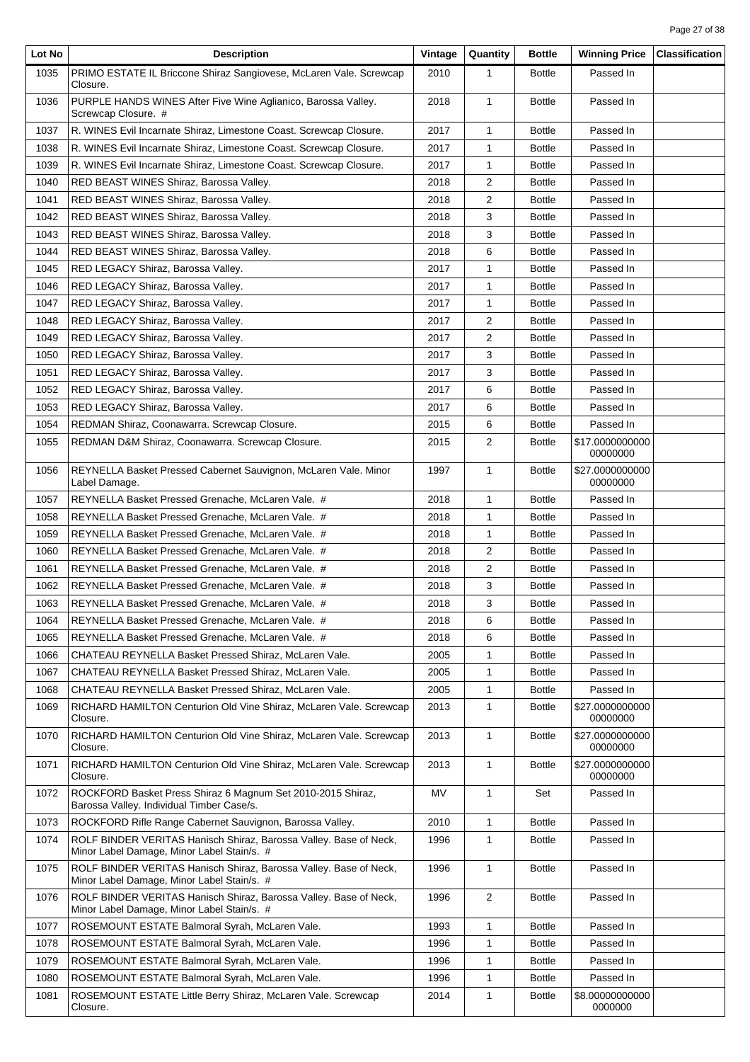| Lot No | <b>Description</b>                                                                                              | Vintage | Quantity       | <b>Bottle</b> | <b>Winning Price</b>        | <b>Classification</b> |
|--------|-----------------------------------------------------------------------------------------------------------------|---------|----------------|---------------|-----------------------------|-----------------------|
| 1035   | PRIMO ESTATE IL Briccone Shiraz Sangiovese, McLaren Vale. Screwcap<br>Closure.                                  | 2010    | 1              | <b>Bottle</b> | Passed In                   |                       |
| 1036   | PURPLE HANDS WINES After Five Wine Aglianico, Barossa Valley.<br>Screwcap Closure. #                            | 2018    | $\mathbf{1}$   | <b>Bottle</b> | Passed In                   |                       |
| 1037   | R. WINES Evil Incarnate Shiraz, Limestone Coast. Screwcap Closure.                                              | 2017    | $\mathbf{1}$   | <b>Bottle</b> | Passed In                   |                       |
| 1038   | R. WINES Evil Incarnate Shiraz, Limestone Coast. Screwcap Closure.                                              | 2017    | $\mathbf{1}$   | <b>Bottle</b> | Passed In                   |                       |
| 1039   | R. WINES Evil Incarnate Shiraz, Limestone Coast. Screwcap Closure.                                              | 2017    | 1              | <b>Bottle</b> | Passed In                   |                       |
| 1040   | RED BEAST WINES Shiraz, Barossa Valley.                                                                         | 2018    | 2              | <b>Bottle</b> | Passed In                   |                       |
| 1041   | RED BEAST WINES Shiraz, Barossa Valley.                                                                         | 2018    | 2              | <b>Bottle</b> | Passed In                   |                       |
| 1042   | RED BEAST WINES Shiraz, Barossa Valley.                                                                         | 2018    | 3              | <b>Bottle</b> | Passed In                   |                       |
| 1043   | RED BEAST WINES Shiraz, Barossa Valley.                                                                         | 2018    | 3              | <b>Bottle</b> | Passed In                   |                       |
| 1044   | RED BEAST WINES Shiraz, Barossa Valley.                                                                         | 2018    | 6              | <b>Bottle</b> | Passed In                   |                       |
| 1045   | RED LEGACY Shiraz, Barossa Valley.                                                                              | 2017    | 1              | <b>Bottle</b> | Passed In                   |                       |
| 1046   | RED LEGACY Shiraz, Barossa Valley.                                                                              | 2017    | $\mathbf{1}$   | <b>Bottle</b> | Passed In                   |                       |
| 1047   | RED LEGACY Shiraz, Barossa Valley.                                                                              | 2017    | 1              | <b>Bottle</b> | Passed In                   |                       |
| 1048   | RED LEGACY Shiraz, Barossa Valley.                                                                              | 2017    | 2              | <b>Bottle</b> | Passed In                   |                       |
| 1049   | RED LEGACY Shiraz, Barossa Valley.                                                                              | 2017    | 2              | <b>Bottle</b> | Passed In                   |                       |
| 1050   | RED LEGACY Shiraz, Barossa Valley.                                                                              | 2017    | 3              | <b>Bottle</b> | Passed In                   |                       |
| 1051   | RED LEGACY Shiraz, Barossa Valley.                                                                              | 2017    | 3              | <b>Bottle</b> | Passed In                   |                       |
| 1052   | RED LEGACY Shiraz, Barossa Valley.                                                                              | 2017    | 6              | <b>Bottle</b> | Passed In                   |                       |
| 1053   | RED LEGACY Shiraz, Barossa Valley.                                                                              | 2017    | 6              | <b>Bottle</b> | Passed In                   |                       |
| 1054   | REDMAN Shiraz, Coonawarra. Screwcap Closure.                                                                    | 2015    | 6              | <b>Bottle</b> | Passed In                   |                       |
| 1055   | REDMAN D&M Shiraz, Coonawarra. Screwcap Closure.                                                                | 2015    | $\overline{2}$ | <b>Bottle</b> | \$17.0000000000<br>00000000 |                       |
| 1056   | REYNELLA Basket Pressed Cabernet Sauvignon, McLaren Vale. Minor<br>Label Damage.                                | 1997    | $\mathbf{1}$   | <b>Bottle</b> | \$27.0000000000<br>00000000 |                       |
| 1057   | REYNELLA Basket Pressed Grenache, McLaren Vale. #                                                               | 2018    | $\mathbf{1}$   | <b>Bottle</b> | Passed In                   |                       |
| 1058   | REYNELLA Basket Pressed Grenache, McLaren Vale. #                                                               | 2018    | $\mathbf{1}$   | <b>Bottle</b> | Passed In                   |                       |
| 1059   | REYNELLA Basket Pressed Grenache, McLaren Vale. #                                                               | 2018    | 1              | <b>Bottle</b> | Passed In                   |                       |
| 1060   | REYNELLA Basket Pressed Grenache, McLaren Vale. #                                                               | 2018    | 2              | <b>Bottle</b> | Passed In                   |                       |
| 1061   | REYNELLA Basket Pressed Grenache, McLaren Vale. #                                                               | 2018    | 2              | <b>Bottle</b> | Passed In                   |                       |
| 1062   | REYNELLA Basket Pressed Grenache, McLaren Vale. #                                                               | 2018    | 3              | <b>Bottle</b> | Passed In                   |                       |
| 1063   | REYNELLA Basket Pressed Grenache, McLaren Vale. #                                                               | 2018    | 3              | <b>Bottle</b> | Passed In                   |                       |
| 1064   | REYNELLA Basket Pressed Grenache, McLaren Vale. #                                                               | 2018    | 6              | <b>Bottle</b> | Passed In                   |                       |
| 1065   | REYNELLA Basket Pressed Grenache, McLaren Vale. #                                                               | 2018    | 6              | <b>Bottle</b> | Passed In                   |                       |
| 1066   | CHATEAU REYNELLA Basket Pressed Shiraz, McLaren Vale.                                                           | 2005    | 1              | <b>Bottle</b> | Passed In                   |                       |
| 1067   | CHATEAU REYNELLA Basket Pressed Shiraz, McLaren Vale.                                                           | 2005    | 1              | <b>Bottle</b> | Passed In                   |                       |
| 1068   | CHATEAU REYNELLA Basket Pressed Shiraz, McLaren Vale.                                                           | 2005    | $\mathbf{1}$   | <b>Bottle</b> | Passed In                   |                       |
| 1069   | RICHARD HAMILTON Centurion Old Vine Shiraz, McLaren Vale. Screwcap<br>Closure.                                  | 2013    | $\mathbf{1}$   | <b>Bottle</b> | \$27.0000000000<br>00000000 |                       |
| 1070   | RICHARD HAMILTON Centurion Old Vine Shiraz, McLaren Vale. Screwcap<br>Closure.                                  | 2013    | $\mathbf{1}$   | <b>Bottle</b> | \$27.0000000000<br>00000000 |                       |
| 1071   | RICHARD HAMILTON Centurion Old Vine Shiraz, McLaren Vale. Screwcap<br>Closure.                                  | 2013    | $\mathbf{1}$   | <b>Bottle</b> | \$27.0000000000<br>00000000 |                       |
| 1072   | ROCKFORD Basket Press Shiraz 6 Magnum Set 2010-2015 Shiraz,<br>Barossa Valley. Individual Timber Case/s.        | MV      | $\mathbf{1}$   | Set           | Passed In                   |                       |
| 1073   | ROCKFORD Rifle Range Cabernet Sauvignon, Barossa Valley.                                                        | 2010    | $\mathbf{1}$   | <b>Bottle</b> | Passed In                   |                       |
| 1074   | ROLF BINDER VERITAS Hanisch Shiraz, Barossa Valley. Base of Neck,<br>Minor Label Damage, Minor Label Stain/s. # | 1996    | $\mathbf{1}$   | <b>Bottle</b> | Passed In                   |                       |
| 1075   | ROLF BINDER VERITAS Hanisch Shiraz, Barossa Valley. Base of Neck,<br>Minor Label Damage, Minor Label Stain/s. # | 1996    | $\mathbf{1}$   | <b>Bottle</b> | Passed In                   |                       |
| 1076   | ROLF BINDER VERITAS Hanisch Shiraz, Barossa Valley. Base of Neck,<br>Minor Label Damage, Minor Label Stain/s. # | 1996    | 2              | <b>Bottle</b> | Passed In                   |                       |
| 1077   | ROSEMOUNT ESTATE Balmoral Syrah, McLaren Vale.                                                                  | 1993    | $\mathbf{1}$   | <b>Bottle</b> | Passed In                   |                       |
| 1078   | ROSEMOUNT ESTATE Balmoral Syrah, McLaren Vale.                                                                  | 1996    | $\mathbf{1}$   | <b>Bottle</b> | Passed In                   |                       |
| 1079   | ROSEMOUNT ESTATE Balmoral Syrah, McLaren Vale.                                                                  | 1996    | $\mathbf{1}$   | <b>Bottle</b> | Passed In                   |                       |
| 1080   | ROSEMOUNT ESTATE Balmoral Syrah, McLaren Vale.                                                                  | 1996    | $\mathbf{1}$   | <b>Bottle</b> | Passed In                   |                       |
| 1081   | ROSEMOUNT ESTATE Little Berry Shiraz, McLaren Vale. Screwcap<br>Closure.                                        | 2014    | 1              | <b>Bottle</b> | \$8.00000000000<br>0000000  |                       |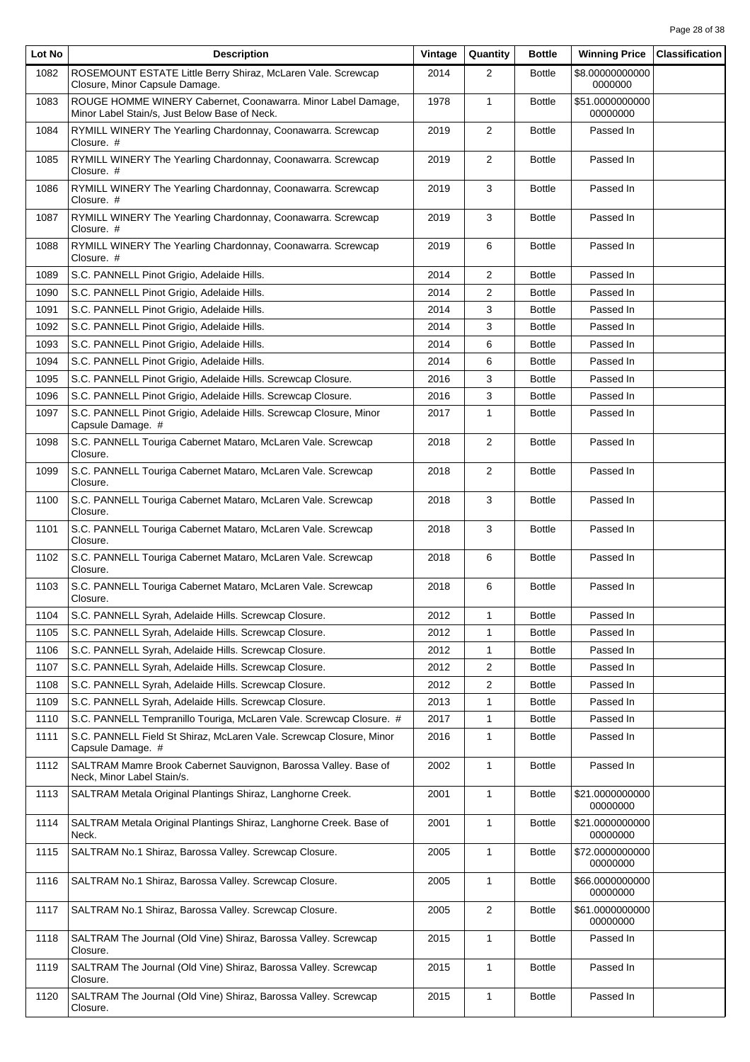| Lot No | <b>Description</b>                                                                                            | Vintage | Quantity       | <b>Bottle</b> | <b>Winning Price</b>        | <b>Classification</b> |
|--------|---------------------------------------------------------------------------------------------------------------|---------|----------------|---------------|-----------------------------|-----------------------|
| 1082   | ROSEMOUNT ESTATE Little Berry Shiraz, McLaren Vale. Screwcap<br>Closure, Minor Capsule Damage.                | 2014    | $\overline{2}$ | <b>Bottle</b> | \$8.00000000000<br>0000000  |                       |
| 1083   | ROUGE HOMME WINERY Cabernet, Coonawarra. Minor Label Damage,<br>Minor Label Stain/s, Just Below Base of Neck. | 1978    | $\mathbf{1}$   | <b>Bottle</b> | \$51.0000000000<br>00000000 |                       |
| 1084   | RYMILL WINERY The Yearling Chardonnay, Coonawarra. Screwcap<br>Closure. #                                     | 2019    | $\overline{2}$ | <b>Bottle</b> | Passed In                   |                       |
| 1085   | RYMILL WINERY The Yearling Chardonnay, Coonawarra. Screwcap<br>Closure. #                                     | 2019    | $\overline{2}$ | <b>Bottle</b> | Passed In                   |                       |
| 1086   | RYMILL WINERY The Yearling Chardonnay, Coonawarra. Screwcap<br>Closure. #                                     | 2019    | 3              | <b>Bottle</b> | Passed In                   |                       |
| 1087   | RYMILL WINERY The Yearling Chardonnay, Coonawarra. Screwcap<br>Closure. #                                     | 2019    | 3              | <b>Bottle</b> | Passed In                   |                       |
| 1088   | RYMILL WINERY The Yearling Chardonnay, Coonawarra. Screwcap<br>Closure. #                                     | 2019    | 6              | <b>Bottle</b> | Passed In                   |                       |
| 1089   | S.C. PANNELL Pinot Grigio, Adelaide Hills.                                                                    | 2014    | 2              | <b>Bottle</b> | Passed In                   |                       |
| 1090   | S.C. PANNELL Pinot Grigio, Adelaide Hills.                                                                    | 2014    | 2              | <b>Bottle</b> | Passed In                   |                       |
| 1091   | S.C. PANNELL Pinot Grigio, Adelaide Hills.                                                                    | 2014    | 3              | <b>Bottle</b> | Passed In                   |                       |
| 1092   | S.C. PANNELL Pinot Grigio, Adelaide Hills.                                                                    | 2014    | 3              | <b>Bottle</b> | Passed In                   |                       |
| 1093   | S.C. PANNELL Pinot Grigio, Adelaide Hills.                                                                    | 2014    | 6              | <b>Bottle</b> | Passed In                   |                       |
| 1094   | S.C. PANNELL Pinot Grigio, Adelaide Hills.                                                                    | 2014    | 6              | <b>Bottle</b> | Passed In                   |                       |
| 1095   | S.C. PANNELL Pinot Grigio, Adelaide Hills. Screwcap Closure.                                                  | 2016    | 3              | <b>Bottle</b> | Passed In                   |                       |
| 1096   | S.C. PANNELL Pinot Grigio, Adelaide Hills. Screwcap Closure.                                                  | 2016    | 3              | <b>Bottle</b> | Passed In                   |                       |
| 1097   | S.C. PANNELL Pinot Grigio, Adelaide Hills. Screwcap Closure, Minor<br>Capsule Damage. #                       | 2017    | 1              | <b>Bottle</b> | Passed In                   |                       |
| 1098   | S.C. PANNELL Touriga Cabernet Mataro, McLaren Vale. Screwcap<br>Closure.                                      | 2018    | $\overline{2}$ | <b>Bottle</b> | Passed In                   |                       |
| 1099   | S.C. PANNELL Touriga Cabernet Mataro, McLaren Vale. Screwcap<br>Closure.                                      | 2018    | $\overline{2}$ | <b>Bottle</b> | Passed In                   |                       |
| 1100   | S.C. PANNELL Touriga Cabernet Mataro, McLaren Vale. Screwcap<br>Closure.                                      | 2018    | 3              | <b>Bottle</b> | Passed In                   |                       |
| 1101   | S.C. PANNELL Touriga Cabernet Mataro, McLaren Vale. Screwcap<br>Closure.                                      | 2018    | 3              | <b>Bottle</b> | Passed In                   |                       |
| 1102   | S.C. PANNELL Touriga Cabernet Mataro, McLaren Vale. Screwcap<br>Closure.                                      | 2018    | 6              | <b>Bottle</b> | Passed In                   |                       |
| 1103   | S.C. PANNELL Touriga Cabernet Mataro, McLaren Vale. Screwcap<br>Closure.                                      | 2018    | 6              | <b>Bottle</b> | Passed In                   |                       |
| 1104   | S.C. PANNELL Syrah, Adelaide Hills. Screwcap Closure.                                                         | 2012    | $\mathbf{1}$   | Bottle        | Passed In                   |                       |
| 1105   | S.C. PANNELL Syrah, Adelaide Hills. Screwcap Closure.                                                         | 2012    | 1              | <b>Bottle</b> | Passed In                   |                       |
| 1106   | S.C. PANNELL Syrah, Adelaide Hills. Screwcap Closure.                                                         | 2012    | 1              | <b>Bottle</b> | Passed In                   |                       |
| 1107   | S.C. PANNELL Syrah, Adelaide Hills. Screwcap Closure.                                                         | 2012    | 2              | <b>Bottle</b> | Passed In                   |                       |
| 1108   | S.C. PANNELL Syrah, Adelaide Hills. Screwcap Closure.                                                         | 2012    | 2              | <b>Bottle</b> | Passed In                   |                       |
| 1109   | S.C. PANNELL Syrah, Adelaide Hills. Screwcap Closure.                                                         | 2013    | 1              | <b>Bottle</b> | Passed In                   |                       |
| 1110   | S.C. PANNELL Tempranillo Touriga, McLaren Vale. Screwcap Closure. #                                           | 2017    | 1              | <b>Bottle</b> | Passed In                   |                       |
| 1111   | S.C. PANNELL Field St Shiraz, McLaren Vale. Screwcap Closure, Minor<br>Capsule Damage. #                      | 2016    | 1              | <b>Bottle</b> | Passed In                   |                       |
| 1112   | SALTRAM Mamre Brook Cabernet Sauvignon, Barossa Valley. Base of<br>Neck, Minor Label Stain/s.                 | 2002    | $\mathbf{1}$   | <b>Bottle</b> | Passed In                   |                       |
| 1113   | SALTRAM Metala Original Plantings Shiraz, Langhorne Creek.                                                    | 2001    | 1              | <b>Bottle</b> | \$21.0000000000<br>00000000 |                       |
| 1114   | SALTRAM Metala Original Plantings Shiraz, Langhorne Creek. Base of<br>Neck.                                   | 2001    | 1              | <b>Bottle</b> | \$21.0000000000<br>00000000 |                       |
| 1115   | SALTRAM No.1 Shiraz, Barossa Valley. Screwcap Closure.                                                        | 2005    | $\mathbf{1}$   | <b>Bottle</b> | \$72.0000000000<br>00000000 |                       |
| 1116   | SALTRAM No.1 Shiraz, Barossa Valley. Screwcap Closure.                                                        | 2005    | $\mathbf{1}$   | <b>Bottle</b> | \$66.0000000000<br>00000000 |                       |
| 1117   | SALTRAM No.1 Shiraz, Barossa Valley. Screwcap Closure.                                                        | 2005    | $\overline{2}$ | <b>Bottle</b> | \$61.0000000000<br>00000000 |                       |
| 1118   | SALTRAM The Journal (Old Vine) Shiraz, Barossa Valley. Screwcap<br>Closure.                                   | 2015    | 1              | <b>Bottle</b> | Passed In                   |                       |
| 1119   | SALTRAM The Journal (Old Vine) Shiraz, Barossa Valley. Screwcap<br>Closure.                                   | 2015    | 1              | <b>Bottle</b> | Passed In                   |                       |
| 1120   | SALTRAM The Journal (Old Vine) Shiraz, Barossa Valley. Screwcap<br>Closure.                                   | 2015    | 1              | <b>Bottle</b> | Passed In                   |                       |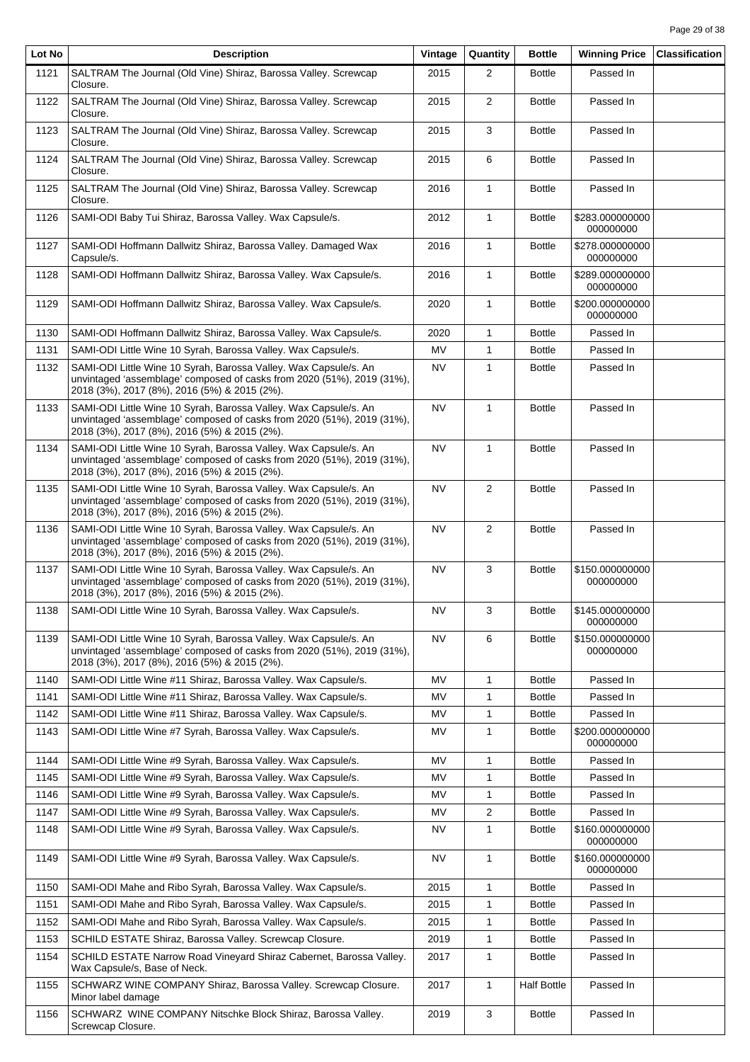| Lot No | <b>Description</b>                                                                                                                                                                         | Vintage   | Quantity       | <b>Bottle</b>      | <b>Winning Price</b>         | <b>Classification</b> |
|--------|--------------------------------------------------------------------------------------------------------------------------------------------------------------------------------------------|-----------|----------------|--------------------|------------------------------|-----------------------|
| 1121   | SALTRAM The Journal (Old Vine) Shiraz, Barossa Valley. Screwcap<br>Closure.                                                                                                                | 2015      | $\overline{2}$ | <b>Bottle</b>      | Passed In                    |                       |
| 1122   | SALTRAM The Journal (Old Vine) Shiraz, Barossa Valley. Screwcap<br>Closure.                                                                                                                | 2015      | $\overline{2}$ | <b>Bottle</b>      | Passed In                    |                       |
| 1123   | SALTRAM The Journal (Old Vine) Shiraz, Barossa Valley. Screwcap<br>Closure.                                                                                                                | 2015      | 3              | <b>Bottle</b>      | Passed In                    |                       |
| 1124   | SALTRAM The Journal (Old Vine) Shiraz, Barossa Valley. Screwcap<br>Closure.                                                                                                                | 2015      | 6              | <b>Bottle</b>      | Passed In                    |                       |
| 1125   | SALTRAM The Journal (Old Vine) Shiraz, Barossa Valley. Screwcap<br>Closure.                                                                                                                | 2016      | $\mathbf{1}$   | <b>Bottle</b>      | Passed In                    |                       |
| 1126   | SAMI-ODI Baby Tui Shiraz, Barossa Valley. Wax Capsule/s.                                                                                                                                   | 2012      | $\mathbf{1}$   | <b>Bottle</b>      | \$283.000000000<br>000000000 |                       |
| 1127   | SAMI-ODI Hoffmann Dallwitz Shiraz, Barossa Valley. Damaged Wax<br>Capsule/s.                                                                                                               | 2016      | $\mathbf{1}$   | <b>Bottle</b>      | \$278.000000000<br>000000000 |                       |
| 1128   | SAMI-ODI Hoffmann Dallwitz Shiraz, Barossa Valley. Wax Capsule/s.                                                                                                                          | 2016      | $\mathbf{1}$   | <b>Bottle</b>      | \$289.000000000<br>000000000 |                       |
| 1129   | SAMI-ODI Hoffmann Dallwitz Shiraz, Barossa Valley. Wax Capsule/s.                                                                                                                          | 2020      | $\mathbf{1}$   | <b>Bottle</b>      | \$200.000000000<br>000000000 |                       |
| 1130   | SAMI-ODI Hoffmann Dallwitz Shiraz, Barossa Valley. Wax Capsule/s.                                                                                                                          | 2020      | $\mathbf{1}$   | <b>Bottle</b>      | Passed In                    |                       |
| 1131   | SAMI-ODI Little Wine 10 Syrah, Barossa Valley. Wax Capsule/s.                                                                                                                              | MV        | $\mathbf{1}$   | <b>Bottle</b>      | Passed In                    |                       |
| 1132   | SAMI-ODI Little Wine 10 Syrah, Barossa Valley. Wax Capsule/s. An                                                                                                                           | <b>NV</b> | $\mathbf{1}$   | <b>Bottle</b>      | Passed In                    |                       |
|        | unvintaged 'assemblage' composed of casks from 2020 (51%), 2019 (31%),<br>2018 (3%), 2017 (8%), 2016 (5%) & 2015 (2%).                                                                     |           |                |                    |                              |                       |
| 1133   | SAMI-ODI Little Wine 10 Syrah, Barossa Valley. Wax Capsule/s. An<br>unvintaged 'assemblage' composed of casks from 2020 (51%), 2019 (31%),<br>2018 (3%), 2017 (8%), 2016 (5%) & 2015 (2%). | <b>NV</b> | $\mathbf{1}$   | <b>Bottle</b>      | Passed In                    |                       |
| 1134   | SAMI-ODI Little Wine 10 Syrah, Barossa Valley. Wax Capsule/s. An<br>unvintaged 'assemblage' composed of casks from 2020 (51%), 2019 (31%),<br>2018 (3%), 2017 (8%), 2016 (5%) & 2015 (2%). | <b>NV</b> | $\mathbf{1}$   | <b>Bottle</b>      | Passed In                    |                       |
| 1135   | SAMI-ODI Little Wine 10 Syrah, Barossa Valley. Wax Capsule/s. An<br>unvintaged 'assemblage' composed of casks from 2020 (51%), 2019 (31%),<br>2018 (3%), 2017 (8%), 2016 (5%) & 2015 (2%). | <b>NV</b> | $\mathbf{2}$   | <b>Bottle</b>      | Passed In                    |                       |
| 1136   | SAMI-ODI Little Wine 10 Syrah, Barossa Valley. Wax Capsule/s. An<br>unvintaged 'assemblage' composed of casks from 2020 (51%), 2019 (31%),<br>2018 (3%), 2017 (8%), 2016 (5%) & 2015 (2%). | <b>NV</b> | $\overline{2}$ | <b>Bottle</b>      | Passed In                    |                       |
| 1137   | SAMI-ODI Little Wine 10 Syrah, Barossa Valley. Wax Capsule/s. An<br>unvintaged 'assemblage' composed of casks from 2020 (51%), 2019 (31%),<br>2018 (3%), 2017 (8%), 2016 (5%) & 2015 (2%). | <b>NV</b> | 3              | <b>Bottle</b>      | \$150.000000000<br>000000000 |                       |
| 1138   | SAMI-ODI Little Wine 10 Syrah, Barossa Valley. Wax Capsule/s.                                                                                                                              | <b>NV</b> | 3              | <b>Bottle</b>      | \$145.000000000<br>000000000 |                       |
| 1139   | SAMI-ODI Little Wine 10 Syrah, Barossa Valley. Wax Capsule/s. An<br>unvintaged 'assemblage' composed of casks from 2020 (51%), 2019 (31%),<br>2018 (3%), 2017 (8%), 2016 (5%) & 2015 (2%). | <b>NV</b> | 6              | <b>Bottle</b>      | \$150.000000000<br>000000000 |                       |
| 1140   | SAMI-ODI Little Wine #11 Shiraz, Barossa Valley. Wax Capsule/s.                                                                                                                            | <b>MV</b> | $\mathbf{1}$   | <b>Bottle</b>      | Passed In                    |                       |
| 1141   | SAMI-ODI Little Wine #11 Shiraz, Barossa Valley. Wax Capsule/s.                                                                                                                            | MV        | $\mathbf{1}$   | <b>Bottle</b>      | Passed In                    |                       |
| 1142   | SAMI-ODI Little Wine #11 Shiraz, Barossa Valley. Wax Capsule/s.                                                                                                                            | MV        | 1              | <b>Bottle</b>      | Passed In                    |                       |
| 1143   | SAMI-ODI Little Wine #7 Syrah, Barossa Valley. Wax Capsule/s.                                                                                                                              | MV        | 1              | <b>Bottle</b>      | \$200.000000000<br>000000000 |                       |
| 1144   | SAMI-ODI Little Wine #9 Syrah, Barossa Valley. Wax Capsule/s.                                                                                                                              | <b>MV</b> | $\mathbf{1}$   | <b>Bottle</b>      | Passed In                    |                       |
| 1145   | SAMI-ODI Little Wine #9 Syrah, Barossa Valley. Wax Capsule/s.                                                                                                                              | MV        | $\mathbf{1}$   | <b>Bottle</b>      | Passed In                    |                       |
| 1146   | SAMI-ODI Little Wine #9 Syrah, Barossa Valley. Wax Capsule/s.                                                                                                                              | MV        | $\mathbf{1}$   | <b>Bottle</b>      | Passed In                    |                       |
| 1147   | SAMI-ODI Little Wine #9 Syrah, Barossa Valley. Wax Capsule/s.                                                                                                                              | MV        | $\overline{2}$ | <b>Bottle</b>      | Passed In                    |                       |
| 1148   | SAMI-ODI Little Wine #9 Syrah, Barossa Valley. Wax Capsule/s.                                                                                                                              | NV        | $\mathbf{1}$   | <b>Bottle</b>      | \$160.000000000<br>000000000 |                       |
| 1149   | SAMI-ODI Little Wine #9 Syrah, Barossa Valley. Wax Capsule/s.                                                                                                                              | <b>NV</b> | $\mathbf{1}$   | <b>Bottle</b>      | \$160.000000000<br>000000000 |                       |
| 1150   | SAMI-ODI Mahe and Ribo Syrah, Barossa Valley. Wax Capsule/s.                                                                                                                               | 2015      | $\mathbf{1}$   | <b>Bottle</b>      | Passed In                    |                       |
| 1151   | SAMI-ODI Mahe and Ribo Syrah, Barossa Valley. Wax Capsule/s.                                                                                                                               | 2015      | 1              | <b>Bottle</b>      | Passed In                    |                       |
| 1152   | SAMI-ODI Mahe and Ribo Syrah, Barossa Valley. Wax Capsule/s.                                                                                                                               | 2015      | $\mathbf{1}$   | <b>Bottle</b>      | Passed In                    |                       |
| 1153   | SCHILD ESTATE Shiraz, Barossa Valley. Screwcap Closure.                                                                                                                                    | 2019      | $\mathbf{1}$   | <b>Bottle</b>      | Passed In                    |                       |
| 1154   | SCHILD ESTATE Narrow Road Vineyard Shiraz Cabernet, Barossa Valley.<br>Wax Capsule/s, Base of Neck.                                                                                        | 2017      | $\mathbf{1}$   | <b>Bottle</b>      | Passed In                    |                       |
| 1155   | SCHWARZ WINE COMPANY Shiraz, Barossa Valley. Screwcap Closure.<br>Minor label damage                                                                                                       | 2017      | $\mathbf{1}$   | <b>Half Bottle</b> | Passed In                    |                       |
| 1156   | SCHWARZ WINE COMPANY Nitschke Block Shiraz, Barossa Valley.<br>Screwcap Closure.                                                                                                           | 2019      | 3              | <b>Bottle</b>      | Passed In                    |                       |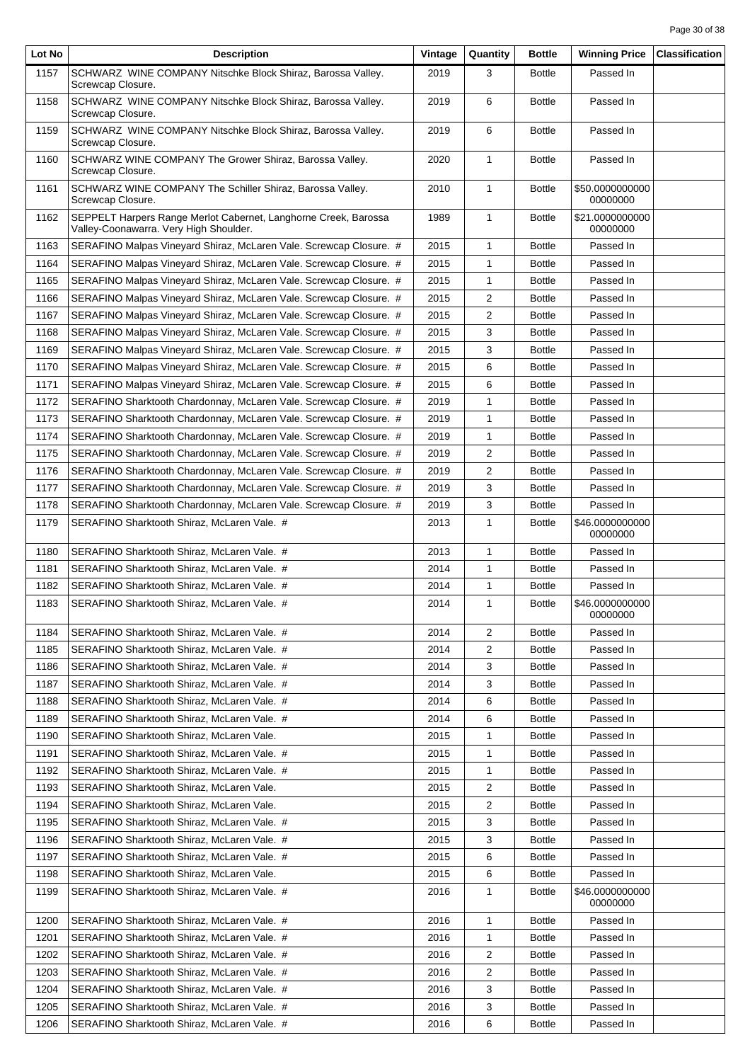| Lot No | <b>Description</b>                                                                                        | Vintage | Quantity                | <b>Bottle</b> | <b>Winning Price</b>        | <b>Classification</b> |
|--------|-----------------------------------------------------------------------------------------------------------|---------|-------------------------|---------------|-----------------------------|-----------------------|
| 1157   | SCHWARZ WINE COMPANY Nitschke Block Shiraz, Barossa Valley.<br>Screwcap Closure.                          | 2019    | 3                       | <b>Bottle</b> | Passed In                   |                       |
| 1158   | SCHWARZ WINE COMPANY Nitschke Block Shiraz, Barossa Valley.<br>Screwcap Closure.                          | 2019    | 6                       | <b>Bottle</b> | Passed In                   |                       |
| 1159   | SCHWARZ WINE COMPANY Nitschke Block Shiraz, Barossa Valley.<br>Screwcap Closure.                          | 2019    | 6                       | <b>Bottle</b> | Passed In                   |                       |
| 1160   | SCHWARZ WINE COMPANY The Grower Shiraz, Barossa Valley.<br>Screwcap Closure.                              | 2020    | $\mathbf{1}$            | <b>Bottle</b> | Passed In                   |                       |
| 1161   | SCHWARZ WINE COMPANY The Schiller Shiraz, Barossa Valley.<br>Screwcap Closure.                            | 2010    | $\mathbf{1}$            | <b>Bottle</b> | \$50.0000000000<br>00000000 |                       |
| 1162   | SEPPELT Harpers Range Merlot Cabernet, Langhorne Creek, Barossa<br>Valley-Coonawarra. Very High Shoulder. | 1989    | $\mathbf{1}$            | <b>Bottle</b> | \$21.0000000000<br>00000000 |                       |
| 1163   | SERAFINO Malpas Vineyard Shiraz, McLaren Vale. Screwcap Closure. #                                        | 2015    | $\mathbf{1}$            | <b>Bottle</b> | Passed In                   |                       |
| 1164   | SERAFINO Malpas Vineyard Shiraz, McLaren Vale. Screwcap Closure. #                                        | 2015    | 1                       | <b>Bottle</b> | Passed In                   |                       |
| 1165   | SERAFINO Malpas Vineyard Shiraz, McLaren Vale. Screwcap Closure. #                                        | 2015    | 1                       | <b>Bottle</b> | Passed In                   |                       |
| 1166   | SERAFINO Malpas Vineyard Shiraz, McLaren Vale. Screwcap Closure. #                                        | 2015    | 2                       | <b>Bottle</b> | Passed In                   |                       |
| 1167   | SERAFINO Malpas Vineyard Shiraz, McLaren Vale. Screwcap Closure. #                                        | 2015    | 2                       | <b>Bottle</b> | Passed In                   |                       |
| 1168   | SERAFINO Malpas Vineyard Shiraz, McLaren Vale. Screwcap Closure. #                                        | 2015    | 3                       | <b>Bottle</b> | Passed In                   |                       |
| 1169   | SERAFINO Malpas Vineyard Shiraz, McLaren Vale. Screwcap Closure. #                                        | 2015    | 3                       | <b>Bottle</b> | Passed In                   |                       |
| 1170   | SERAFINO Malpas Vineyard Shiraz, McLaren Vale. Screwcap Closure. #                                        | 2015    | 6                       | <b>Bottle</b> | Passed In                   |                       |
| 1171   | SERAFINO Malpas Vineyard Shiraz, McLaren Vale. Screwcap Closure. #                                        | 2015    | 6                       | <b>Bottle</b> | Passed In                   |                       |
| 1172   | SERAFINO Sharktooth Chardonnay, McLaren Vale. Screwcap Closure. #                                         | 2019    | 1                       | <b>Bottle</b> | Passed In                   |                       |
|        |                                                                                                           |         |                         |               | Passed In                   |                       |
| 1173   | SERAFINO Sharktooth Chardonnay, McLaren Vale. Screwcap Closure. #                                         | 2019    | 1                       | <b>Bottle</b> | Passed In                   |                       |
| 1174   | SERAFINO Sharktooth Chardonnay, McLaren Vale. Screwcap Closure. #                                         | 2019    | $\mathbf{1}$            | <b>Bottle</b> |                             |                       |
| 1175   | SERAFINO Sharktooth Chardonnay, McLaren Vale. Screwcap Closure. #                                         | 2019    | 2                       | <b>Bottle</b> | Passed In                   |                       |
| 1176   | SERAFINO Sharktooth Chardonnay, McLaren Vale. Screwcap Closure. #                                         | 2019    | 2                       | <b>Bottle</b> | Passed In                   |                       |
| 1177   | SERAFINO Sharktooth Chardonnay, McLaren Vale. Screwcap Closure. #                                         | 2019    | 3                       | <b>Bottle</b> | Passed In                   |                       |
| 1178   | SERAFINO Sharktooth Chardonnay, McLaren Vale. Screwcap Closure. #                                         | 2019    | 3                       | <b>Bottle</b> | Passed In                   |                       |
| 1179   | SERAFINO Sharktooth Shiraz, McLaren Vale. #                                                               | 2013    | 1                       | <b>Bottle</b> | \$46.0000000000<br>00000000 |                       |
| 1180   | SERAFINO Sharktooth Shiraz, McLaren Vale. #                                                               | 2013    | 1                       | <b>Bottle</b> | Passed In                   |                       |
| 1181   | SERAFINO Sharktooth Shiraz. McLaren Vale. #                                                               | 2014    | $\mathbf{1}$            | <b>Bottle</b> | Passed In                   |                       |
| 1182   | SERAFINO Sharktooth Shiraz, McLaren Vale. #                                                               | 2014    | 1                       | <b>Bottle</b> | Passed In                   |                       |
| 1183   | SERAFINO Sharktooth Shiraz, McLaren Vale. #                                                               | 2014    | 1                       | <b>Bottle</b> | \$46.0000000000<br>00000000 |                       |
| 1184   | SERAFINO Sharktooth Shiraz, McLaren Vale. #                                                               | 2014    | $\overline{\mathbf{c}}$ | <b>Bottle</b> | Passed In                   |                       |
| 1185   | SERAFINO Sharktooth Shiraz, McLaren Vale. #                                                               | 2014    | 2                       | <b>Bottle</b> | Passed In                   |                       |
| 1186   | SERAFINO Sharktooth Shiraz, McLaren Vale. #                                                               | 2014    | 3                       | <b>Bottle</b> | Passed In                   |                       |
| 1187   | SERAFINO Sharktooth Shiraz. McLaren Vale. #                                                               | 2014    | 3                       | <b>Bottle</b> | Passed In                   |                       |
| 1188   | SERAFINO Sharktooth Shiraz, McLaren Vale. #                                                               | 2014    | 6                       | <b>Bottle</b> | Passed In                   |                       |
| 1189   | SERAFINO Sharktooth Shiraz, McLaren Vale. #                                                               | 2014    | 6                       | <b>Bottle</b> | Passed In                   |                       |
| 1190   | SERAFINO Sharktooth Shiraz, McLaren Vale.                                                                 | 2015    | 1                       | <b>Bottle</b> | Passed In                   |                       |
| 1191   | SERAFINO Sharktooth Shiraz, McLaren Vale. #                                                               | 2015    | 1                       | <b>Bottle</b> | Passed In                   |                       |
| 1192   | SERAFINO Sharktooth Shiraz, McLaren Vale. #                                                               | 2015    | 1                       | <b>Bottle</b> | Passed In                   |                       |
| 1193   | SERAFINO Sharktooth Shiraz, McLaren Vale.                                                                 | 2015    | 2                       | <b>Bottle</b> | Passed In                   |                       |
| 1194   | SERAFINO Sharktooth Shiraz, McLaren Vale.                                                                 | 2015    | 2                       | <b>Bottle</b> | Passed In                   |                       |
| 1195   | SERAFINO Sharktooth Shiraz, McLaren Vale. #                                                               | 2015    | 3                       | <b>Bottle</b> | Passed In                   |                       |
| 1196   | SERAFINO Sharktooth Shiraz, McLaren Vale. #                                                               | 2015    | 3                       | <b>Bottle</b> | Passed In                   |                       |
| 1197   | SERAFINO Sharktooth Shiraz, McLaren Vale. #                                                               | 2015    | 6                       | <b>Bottle</b> | Passed In                   |                       |
| 1198   | SERAFINO Sharktooth Shiraz, McLaren Vale.                                                                 | 2015    | 6                       | <b>Bottle</b> | Passed In                   |                       |
| 1199   | SERAFINO Sharktooth Shiraz, McLaren Vale. #                                                               | 2016    | 1                       | <b>Bottle</b> | \$46.0000000000<br>00000000 |                       |
| 1200   | SERAFINO Sharktooth Shiraz, McLaren Vale. #                                                               | 2016    | 1                       | <b>Bottle</b> | Passed In                   |                       |
| 1201   | SERAFINO Sharktooth Shiraz, McLaren Vale. #                                                               | 2016    | 1                       | <b>Bottle</b> | Passed In                   |                       |
| 1202   | SERAFINO Sharktooth Shiraz, McLaren Vale. #                                                               | 2016    | $\overline{2}$          | <b>Bottle</b> | Passed In                   |                       |
| 1203   | SERAFINO Sharktooth Shiraz, McLaren Vale. #                                                               | 2016    | 2                       | <b>Bottle</b> | Passed In                   |                       |
| 1204   | SERAFINO Sharktooth Shiraz, McLaren Vale. #                                                               | 2016    | 3                       | <b>Bottle</b> | Passed In                   |                       |
| 1205   | SERAFINO Sharktooth Shiraz, McLaren Vale. #                                                               | 2016    | 3                       | <b>Bottle</b> | Passed In                   |                       |
|        |                                                                                                           |         |                         |               |                             |                       |
| 1206   | SERAFINO Sharktooth Shiraz, McLaren Vale. #                                                               | 2016    | 6                       | <b>Bottle</b> | Passed In                   |                       |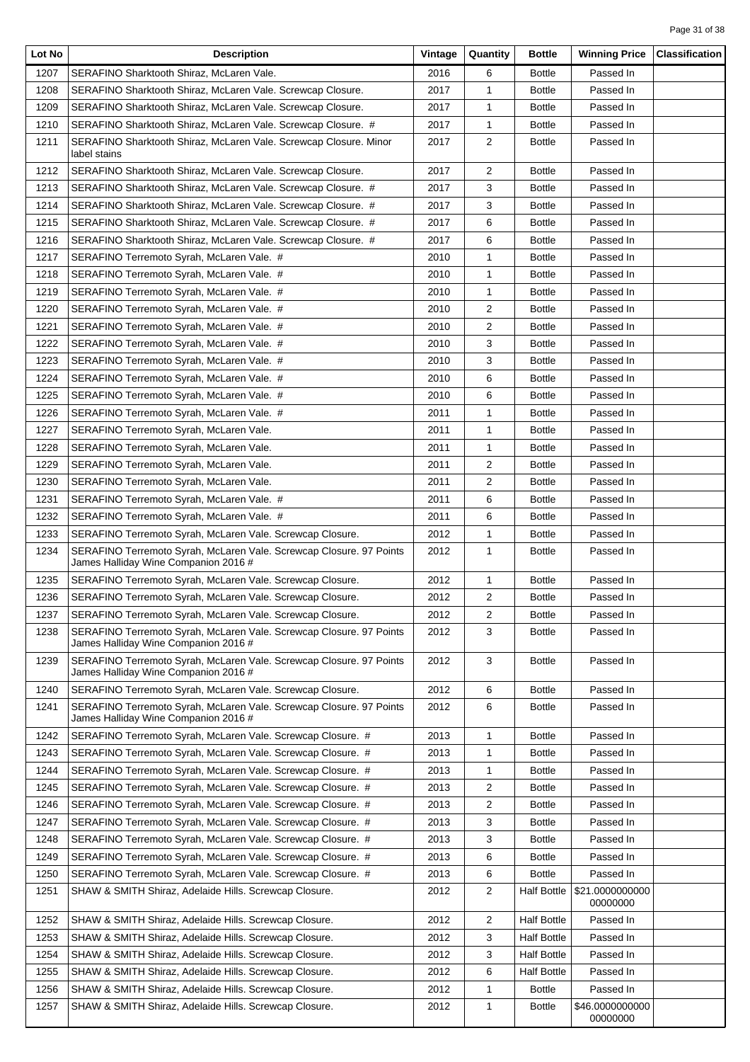| Lot No | <b>Description</b>                                                                                          | Vintage | Quantity       | <b>Bottle</b>      | <b>Winning Price</b>        | <b>Classification</b> |
|--------|-------------------------------------------------------------------------------------------------------------|---------|----------------|--------------------|-----------------------------|-----------------------|
| 1207   | SERAFINO Sharktooth Shiraz, McLaren Vale.                                                                   | 2016    | 6              | <b>Bottle</b>      | Passed In                   |                       |
| 1208   | SERAFINO Sharktooth Shiraz, McLaren Vale. Screwcap Closure.                                                 | 2017    | $\mathbf{1}$   | <b>Bottle</b>      | Passed In                   |                       |
| 1209   | SERAFINO Sharktooth Shiraz, McLaren Vale. Screwcap Closure.                                                 | 2017    | 1              | <b>Bottle</b>      | Passed In                   |                       |
| 1210   | SERAFINO Sharktooth Shiraz, McLaren Vale. Screwcap Closure. #                                               | 2017    | 1              | <b>Bottle</b>      | Passed In                   |                       |
| 1211   | SERAFINO Sharktooth Shiraz, McLaren Vale. Screwcap Closure. Minor<br>label stains                           | 2017    | 2              | <b>Bottle</b>      | Passed In                   |                       |
| 1212   | SERAFINO Sharktooth Shiraz, McLaren Vale. Screwcap Closure.                                                 | 2017    | 2              | <b>Bottle</b>      | Passed In                   |                       |
| 1213   | SERAFINO Sharktooth Shiraz, McLaren Vale. Screwcap Closure. #                                               | 2017    | 3              | <b>Bottle</b>      | Passed In                   |                       |
| 1214   | SERAFINO Sharktooth Shiraz, McLaren Vale. Screwcap Closure. #                                               | 2017    | 3              | <b>Bottle</b>      | Passed In                   |                       |
| 1215   | SERAFINO Sharktooth Shiraz, McLaren Vale. Screwcap Closure. #                                               | 2017    | 6              | <b>Bottle</b>      | Passed In                   |                       |
| 1216   | SERAFINO Sharktooth Shiraz, McLaren Vale. Screwcap Closure. #                                               | 2017    | 6              | <b>Bottle</b>      | Passed In                   |                       |
| 1217   | SERAFINO Terremoto Syrah, McLaren Vale. #                                                                   | 2010    | 1              | <b>Bottle</b>      | Passed In                   |                       |
| 1218   | SERAFINO Terremoto Syrah, McLaren Vale. #                                                                   | 2010    | 1              | <b>Bottle</b>      | Passed In                   |                       |
| 1219   | SERAFINO Terremoto Syrah, McLaren Vale. #                                                                   | 2010    | 1              | <b>Bottle</b>      | Passed In                   |                       |
| 1220   | SERAFINO Terremoto Syrah, McLaren Vale. #                                                                   | 2010    | 2              | <b>Bottle</b>      | Passed In                   |                       |
| 1221   | SERAFINO Terremoto Syrah, McLaren Vale. #                                                                   | 2010    | 2              | <b>Bottle</b>      | Passed In                   |                       |
| 1222   | SERAFINO Terremoto Syrah, McLaren Vale. #                                                                   | 2010    | 3              | <b>Bottle</b>      | Passed In                   |                       |
| 1223   | SERAFINO Terremoto Syrah, McLaren Vale. #                                                                   | 2010    | 3              | <b>Bottle</b>      | Passed In                   |                       |
| 1224   | SERAFINO Terremoto Syrah, McLaren Vale. #                                                                   | 2010    | 6              | <b>Bottle</b>      | Passed In                   |                       |
| 1225   | SERAFINO Terremoto Syrah, McLaren Vale. #                                                                   | 2010    | 6              | <b>Bottle</b>      | Passed In                   |                       |
| 1226   | SERAFINO Terremoto Syrah, McLaren Vale. #                                                                   | 2011    | 1              | <b>Bottle</b>      | Passed In                   |                       |
| 1227   | SERAFINO Terremoto Syrah, McLaren Vale.                                                                     | 2011    | $\mathbf{1}$   | <b>Bottle</b>      | Passed In                   |                       |
| 1228   | SERAFINO Terremoto Syrah, McLaren Vale.                                                                     | 2011    | 1              | <b>Bottle</b>      | Passed In                   |                       |
| 1229   | SERAFINO Terremoto Syrah, McLaren Vale.                                                                     | 2011    | 2              | <b>Bottle</b>      | Passed In                   |                       |
|        |                                                                                                             |         |                |                    |                             |                       |
| 1230   | SERAFINO Terremoto Syrah, McLaren Vale.                                                                     | 2011    | 2              | <b>Bottle</b>      | Passed In                   |                       |
| 1231   | SERAFINO Terremoto Syrah, McLaren Vale. #                                                                   | 2011    | 6              | <b>Bottle</b>      | Passed In                   |                       |
| 1232   | SERAFINO Terremoto Syrah, McLaren Vale. #                                                                   | 2011    | 6              | <b>Bottle</b>      | Passed In                   |                       |
| 1233   | SERAFINO Terremoto Syrah, McLaren Vale. Screwcap Closure.                                                   | 2012    | 1              | <b>Bottle</b>      | Passed In                   |                       |
| 1234   | SERAFINO Terremoto Syrah, McLaren Vale. Screwcap Closure. 97 Points<br>James Halliday Wine Companion 2016 # | 2012    | $\mathbf{1}$   | <b>Bottle</b>      | Passed In                   |                       |
| 1235   | SERAFINO Terremoto Syrah, McLaren Vale. Screwcap Closure.                                                   | 2012    | $\mathbf{1}$   | <b>Bottle</b>      | Passed In                   |                       |
| 1236   | SERAFINO Terremoto Syrah, McLaren Vale. Screwcap Closure.                                                   | 2012    | $\overline{2}$ | <b>Bottle</b>      | Passed In                   |                       |
| 1237   | SERAFINO Terremoto Syrah, McLaren Vale. Screwcap Closure.                                                   | 2012    | $\mathbf 2$    | <b>Bottle</b>      | Passed In                   |                       |
| 1238   | SERAFINO Terremoto Syrah, McLaren Vale. Screwcap Closure. 97 Points<br>James Halliday Wine Companion 2016 # | 2012    | 3              | <b>Bottle</b>      | Passed In                   |                       |
| 1239   | SERAFINO Terremoto Syrah, McLaren Vale. Screwcap Closure. 97 Points<br>James Halliday Wine Companion 2016 # | 2012    | 3              | <b>Bottle</b>      | Passed In                   |                       |
| 1240   | SERAFINO Terremoto Syrah, McLaren Vale. Screwcap Closure.                                                   | 2012    | 6              | <b>Bottle</b>      | Passed In                   |                       |
| 1241   | SERAFINO Terremoto Syrah, McLaren Vale. Screwcap Closure. 97 Points<br>James Halliday Wine Companion 2016 # | 2012    | 6              | <b>Bottle</b>      | Passed In                   |                       |
| 1242   | SERAFINO Terremoto Syrah, McLaren Vale. Screwcap Closure. #                                                 | 2013    | 1              | <b>Bottle</b>      | Passed In                   |                       |
| 1243   | SERAFINO Terremoto Syrah, McLaren Vale. Screwcap Closure. #                                                 | 2013    | 1              | <b>Bottle</b>      | Passed In                   |                       |
| 1244   | SERAFINO Terremoto Syrah, McLaren Vale. Screwcap Closure. #                                                 | 2013    | 1              | <b>Bottle</b>      | Passed In                   |                       |
| 1245   | SERAFINO Terremoto Syrah, McLaren Vale. Screwcap Closure. #                                                 | 2013    | 2              | <b>Bottle</b>      | Passed In                   |                       |
| 1246   | SERAFINO Terremoto Syrah, McLaren Vale. Screwcap Closure. #                                                 | 2013    | $\overline{2}$ | <b>Bottle</b>      | Passed In                   |                       |
| 1247   | SERAFINO Terremoto Syrah, McLaren Vale. Screwcap Closure. #                                                 | 2013    | 3              | <b>Bottle</b>      | Passed In                   |                       |
| 1248   | SERAFINO Terremoto Syrah, McLaren Vale. Screwcap Closure. #                                                 | 2013    | 3              | <b>Bottle</b>      | Passed In                   |                       |
| 1249   | SERAFINO Terremoto Syrah, McLaren Vale. Screwcap Closure. #                                                 | 2013    | 6              | <b>Bottle</b>      | Passed In                   |                       |
| 1250   | SERAFINO Terremoto Syrah, McLaren Vale. Screwcap Closure. #                                                 | 2013    | 6              | <b>Bottle</b>      | Passed In                   |                       |
| 1251   | SHAW & SMITH Shiraz, Adelaide Hills. Screwcap Closure.                                                      | 2012    | 2              | <b>Half Bottle</b> | \$21.0000000000<br>00000000 |                       |
| 1252   | SHAW & SMITH Shiraz, Adelaide Hills. Screwcap Closure.                                                      | 2012    | 2              | <b>Half Bottle</b> | Passed In                   |                       |
| 1253   | SHAW & SMITH Shiraz, Adelaide Hills. Screwcap Closure.                                                      | 2012    | 3              | <b>Half Bottle</b> | Passed In                   |                       |
| 1254   | SHAW & SMITH Shiraz, Adelaide Hills. Screwcap Closure.                                                      | 2012    | 3              | <b>Half Bottle</b> | Passed In                   |                       |
| 1255   | SHAW & SMITH Shiraz, Adelaide Hills. Screwcap Closure.                                                      | 2012    | 6              | <b>Half Bottle</b> | Passed In                   |                       |
| 1256   | SHAW & SMITH Shiraz, Adelaide Hills. Screwcap Closure.                                                      | 2012    | 1              | <b>Bottle</b>      | Passed In                   |                       |
| 1257   | SHAW & SMITH Shiraz, Adelaide Hills. Screwcap Closure.                                                      | 2012    | 1              | <b>Bottle</b>      | \$46.0000000000<br>00000000 |                       |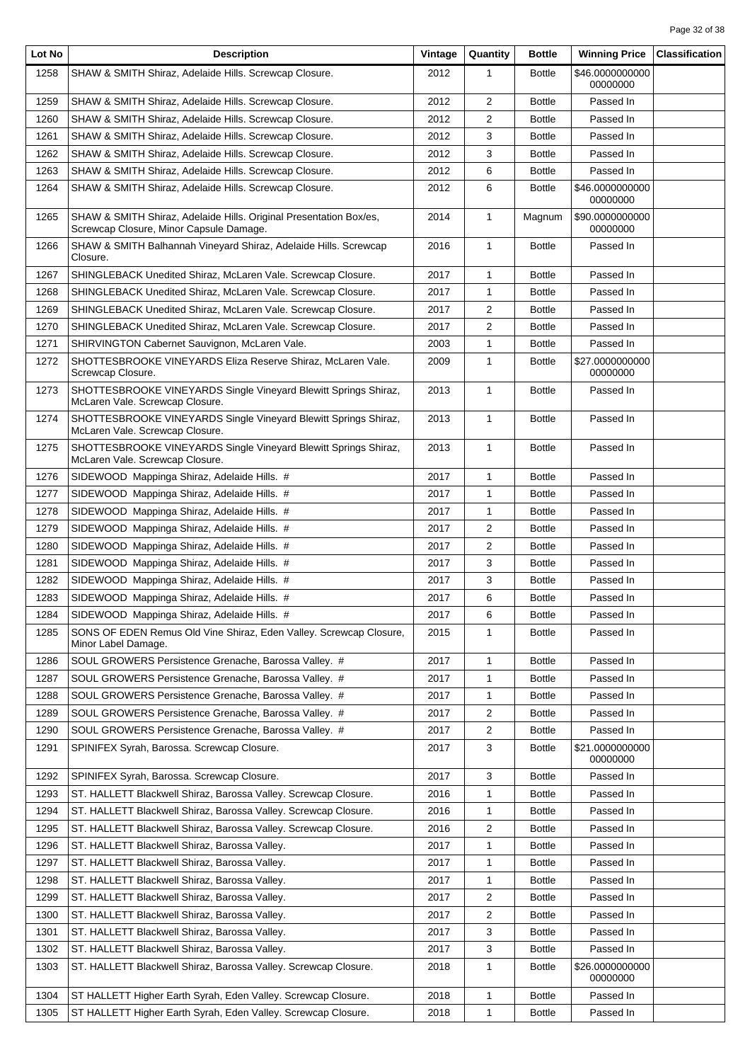| Lot No | <b>Description</b>                                                                                            | Vintage | Quantity       | <b>Bottle</b> | <b>Winning Price</b>        | <b>Classification</b> |
|--------|---------------------------------------------------------------------------------------------------------------|---------|----------------|---------------|-----------------------------|-----------------------|
| 1258   | SHAW & SMITH Shiraz, Adelaide Hills. Screwcap Closure.                                                        | 2012    | 1              | <b>Bottle</b> | \$46.0000000000<br>00000000 |                       |
| 1259   | SHAW & SMITH Shiraz, Adelaide Hills. Screwcap Closure.                                                        | 2012    | 2              | <b>Bottle</b> | Passed In                   |                       |
| 1260   | SHAW & SMITH Shiraz, Adelaide Hills. Screwcap Closure.                                                        | 2012    | 2              | <b>Bottle</b> | Passed In                   |                       |
| 1261   | SHAW & SMITH Shiraz, Adelaide Hills. Screwcap Closure.                                                        | 2012    | 3              | <b>Bottle</b> | Passed In                   |                       |
| 1262   | SHAW & SMITH Shiraz, Adelaide Hills. Screwcap Closure.                                                        | 2012    | 3              | <b>Bottle</b> | Passed In                   |                       |
| 1263   | SHAW & SMITH Shiraz, Adelaide Hills. Screwcap Closure.                                                        | 2012    | 6              | <b>Bottle</b> | Passed In                   |                       |
| 1264   | SHAW & SMITH Shiraz, Adelaide Hills. Screwcap Closure.                                                        | 2012    | 6              | <b>Bottle</b> | \$46.0000000000<br>00000000 |                       |
| 1265   | SHAW & SMITH Shiraz, Adelaide Hills. Original Presentation Box/es,<br>Screwcap Closure, Minor Capsule Damage. | 2014    | $\mathbf{1}$   | Magnum        | \$90.0000000000<br>00000000 |                       |
| 1266   | SHAW & SMITH Balhannah Vineyard Shiraz, Adelaide Hills. Screwcap<br>Closure.                                  | 2016    | $\mathbf{1}$   | <b>Bottle</b> | Passed In                   |                       |
| 1267   | SHINGLEBACK Unedited Shiraz, McLaren Vale. Screwcap Closure.                                                  | 2017    | 1              | <b>Bottle</b> | Passed In                   |                       |
| 1268   | SHINGLEBACK Unedited Shiraz, McLaren Vale. Screwcap Closure.                                                  | 2017    | 1              | <b>Bottle</b> | Passed In                   |                       |
| 1269   | SHINGLEBACK Unedited Shiraz, McLaren Vale. Screwcap Closure.                                                  | 2017    | 2              | <b>Bottle</b> | Passed In                   |                       |
| 1270   | SHINGLEBACK Unedited Shiraz, McLaren Vale. Screwcap Closure.                                                  | 2017    | 2              | <b>Bottle</b> | Passed In                   |                       |
| 1271   | SHIRVINGTON Cabernet Sauvignon, McLaren Vale.                                                                 | 2003    | 1              | <b>Bottle</b> | Passed In                   |                       |
| 1272   | SHOTTESBROOKE VINEYARDS Eliza Reserve Shiraz, McLaren Vale.<br>Screwcap Closure.                              | 2009    | $\mathbf{1}$   | <b>Bottle</b> | \$27.0000000000<br>00000000 |                       |
| 1273   | SHOTTESBROOKE VINEYARDS Single Vineyard Blewitt Springs Shiraz,<br>McLaren Vale. Screwcap Closure.            | 2013    | $\mathbf{1}$   | <b>Bottle</b> | Passed In                   |                       |
| 1274   | SHOTTESBROOKE VINEYARDS Single Vineyard Blewitt Springs Shiraz,<br>McLaren Vale. Screwcap Closure.            | 2013    | 1              | <b>Bottle</b> | Passed In                   |                       |
| 1275   | SHOTTESBROOKE VINEYARDS Single Vineyard Blewitt Springs Shiraz,<br>McLaren Vale. Screwcap Closure.            | 2013    | $\mathbf{1}$   | <b>Bottle</b> | Passed In                   |                       |
| 1276   | SIDEWOOD Mappinga Shiraz, Adelaide Hills. #                                                                   | 2017    | $\mathbf{1}$   | <b>Bottle</b> | Passed In                   |                       |
| 1277   | SIDEWOOD Mappinga Shiraz, Adelaide Hills. #                                                                   | 2017    | $\mathbf{1}$   | <b>Bottle</b> | Passed In                   |                       |
| 1278   | SIDEWOOD Mappinga Shiraz, Adelaide Hills. #                                                                   | 2017    | $\mathbf{1}$   | <b>Bottle</b> | Passed In                   |                       |
| 1279   | SIDEWOOD Mappinga Shiraz, Adelaide Hills. #                                                                   | 2017    | 2              | <b>Bottle</b> | Passed In                   |                       |
| 1280   | SIDEWOOD Mappinga Shiraz, Adelaide Hills. #                                                                   | 2017    | 2              | <b>Bottle</b> | Passed In                   |                       |
| 1281   | SIDEWOOD Mappinga Shiraz, Adelaide Hills. #                                                                   | 2017    | 3              | <b>Bottle</b> | Passed In                   |                       |
| 1282   | SIDEWOOD Mappinga Shiraz, Adelaide Hills. #                                                                   | 2017    | 3              | <b>Bottle</b> | Passed In                   |                       |
| 1283   | SIDEWOOD Mappinga Shiraz, Adelaide Hills. #                                                                   | 2017    | 6              | <b>Bottle</b> | Passed In                   |                       |
| 1284   | SIDEWOOD Mappinga Shiraz, Adelaide Hills. #                                                                   | 2017    | 6              | <b>Bottle</b> | Passed In                   |                       |
| 1285   | SONS OF EDEN Remus Old Vine Shiraz, Eden Valley. Screwcap Closure,<br>Minor Label Damage.                     | 2015    | 1              | <b>Bottle</b> | Passed In                   |                       |
| 1286   | SOUL GROWERS Persistence Grenache, Barossa Valley. #                                                          | 2017    | 1              | <b>Bottle</b> | Passed In                   |                       |
| 1287   | SOUL GROWERS Persistence Grenache, Barossa Valley. #                                                          | 2017    | 1              | <b>Bottle</b> | Passed In                   |                       |
| 1288   | SOUL GROWERS Persistence Grenache, Barossa Valley. #                                                          | 2017    | 1              | <b>Bottle</b> | Passed In                   |                       |
| 1289   | SOUL GROWERS Persistence Grenache, Barossa Valley. #                                                          | 2017    | $\overline{2}$ | <b>Bottle</b> | Passed In                   |                       |
| 1290   | SOUL GROWERS Persistence Grenache, Barossa Valley. #                                                          | 2017    | $\overline{2}$ | <b>Bottle</b> | Passed In                   |                       |
| 1291   | SPINIFEX Syrah, Barossa. Screwcap Closure.                                                                    | 2017    | 3              | <b>Bottle</b> | \$21.0000000000<br>00000000 |                       |
| 1292   | SPINIFEX Syrah, Barossa. Screwcap Closure.                                                                    | 2017    | 3              | <b>Bottle</b> | Passed In                   |                       |
| 1293   | ST. HALLETT Blackwell Shiraz, Barossa Valley. Screwcap Closure.                                               | 2016    | 1              | <b>Bottle</b> | Passed In                   |                       |
| 1294   | ST. HALLETT Blackwell Shiraz, Barossa Valley. Screwcap Closure.                                               | 2016    | 1              | <b>Bottle</b> | Passed In                   |                       |
| 1295   | ST. HALLETT Blackwell Shiraz, Barossa Valley. Screwcap Closure.                                               | 2016    | 2              | <b>Bottle</b> | Passed In                   |                       |
| 1296   | ST. HALLETT Blackwell Shiraz, Barossa Valley.                                                                 | 2017    | 1              | <b>Bottle</b> | Passed In                   |                       |
| 1297   | ST. HALLETT Blackwell Shiraz, Barossa Valley.                                                                 | 2017    | 1              | <b>Bottle</b> | Passed In                   |                       |
| 1298   | ST. HALLETT Blackwell Shiraz, Barossa Valley.                                                                 | 2017    | 1              | <b>Bottle</b> | Passed In                   |                       |
| 1299   | ST. HALLETT Blackwell Shiraz, Barossa Valley.                                                                 | 2017    | $\overline{2}$ | <b>Bottle</b> | Passed In                   |                       |
| 1300   | ST. HALLETT Blackwell Shiraz, Barossa Valley.                                                                 | 2017    | 2              | <b>Bottle</b> | Passed In                   |                       |
| 1301   | ST. HALLETT Blackwell Shiraz, Barossa Valley.                                                                 | 2017    | 3              | <b>Bottle</b> | Passed In                   |                       |
| 1302   | ST. HALLETT Blackwell Shiraz, Barossa Valley.                                                                 | 2017    | 3              | <b>Bottle</b> | Passed In                   |                       |
| 1303   | ST. HALLETT Blackwell Shiraz, Barossa Valley. Screwcap Closure.                                               | 2018    | 1              | <b>Bottle</b> | \$26.0000000000<br>00000000 |                       |
| 1304   | ST HALLETT Higher Earth Syrah, Eden Valley. Screwcap Closure.                                                 | 2018    | 1              | <b>Bottle</b> | Passed In                   |                       |
| 1305   | ST HALLETT Higher Earth Syrah, Eden Valley. Screwcap Closure.                                                 | 2018    | 1              | <b>Bottle</b> | Passed In                   |                       |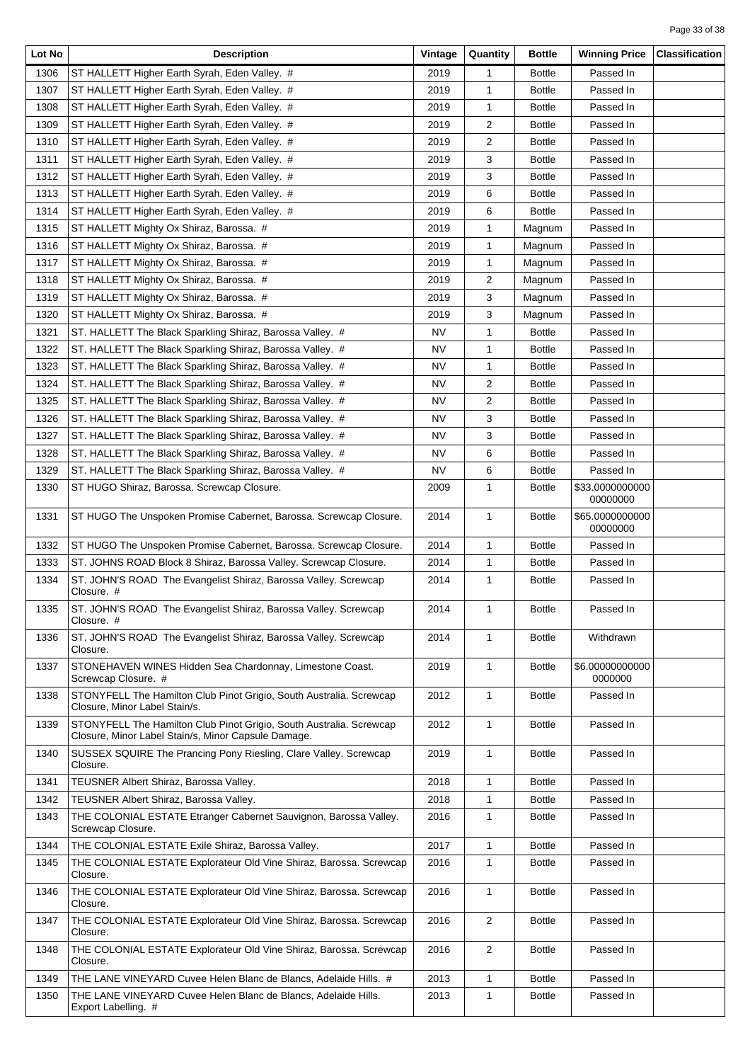| Lot No | <b>Description</b>                                                                                                         | Vintage | Quantity       | <b>Bottle</b> | <b>Winning Price</b>        | <b>Classification</b> |
|--------|----------------------------------------------------------------------------------------------------------------------------|---------|----------------|---------------|-----------------------------|-----------------------|
| 1306   | ST HALLETT Higher Earth Syrah, Eden Valley. #                                                                              | 2019    | 1              | <b>Bottle</b> | Passed In                   |                       |
| 1307   | ST HALLETT Higher Earth Syrah, Eden Valley. #                                                                              | 2019    | $\mathbf{1}$   | <b>Bottle</b> | Passed In                   |                       |
| 1308   | ST HALLETT Higher Earth Syrah, Eden Valley. #                                                                              | 2019    | 1              | <b>Bottle</b> | Passed In                   |                       |
| 1309   | ST HALLETT Higher Earth Syrah, Eden Valley. #                                                                              | 2019    | 2              | <b>Bottle</b> | Passed In                   |                       |
| 1310   | ST HALLETT Higher Earth Syrah, Eden Valley. #                                                                              | 2019    | 2              | <b>Bottle</b> | Passed In                   |                       |
| 1311   | ST HALLETT Higher Earth Syrah, Eden Valley. #                                                                              | 2019    | 3              | <b>Bottle</b> | Passed In                   |                       |
| 1312   | ST HALLETT Higher Earth Syrah, Eden Valley. #                                                                              | 2019    | 3              | <b>Bottle</b> | Passed In                   |                       |
| 1313   | ST HALLETT Higher Earth Syrah, Eden Valley. #                                                                              | 2019    | 6              | <b>Bottle</b> | Passed In                   |                       |
| 1314   | ST HALLETT Higher Earth Syrah, Eden Valley. #                                                                              | 2019    | 6              | <b>Bottle</b> | Passed In                   |                       |
| 1315   | ST HALLETT Mighty Ox Shiraz, Barossa. #                                                                                    | 2019    | 1              | Magnum        | Passed In                   |                       |
| 1316   | ST HALLETT Mighty Ox Shiraz, Barossa. #                                                                                    | 2019    | 1              | Magnum        | Passed In                   |                       |
| 1317   | ST HALLETT Mighty Ox Shiraz, Barossa. #                                                                                    | 2019    | 1              | Magnum        | Passed In                   |                       |
| 1318   | ST HALLETT Mighty Ox Shiraz, Barossa. #                                                                                    | 2019    | $\overline{2}$ | Magnum        | Passed In                   |                       |
| 1319   | ST HALLETT Mighty Ox Shiraz, Barossa. #                                                                                    | 2019    | 3              | Magnum        | Passed In                   |                       |
| 1320   | ST HALLETT Mighty Ox Shiraz, Barossa. #                                                                                    | 2019    | 3              | Magnum        | Passed In                   |                       |
| 1321   | ST. HALLETT The Black Sparkling Shiraz, Barossa Valley. #                                                                  | NV      | 1              | <b>Bottle</b> | Passed In                   |                       |
| 1322   | ST. HALLETT The Black Sparkling Shiraz, Barossa Valley. #                                                                  | NV      | $\mathbf{1}$   | <b>Bottle</b> | Passed In                   |                       |
| 1323   | ST. HALLETT The Black Sparkling Shiraz, Barossa Valley. #                                                                  | NV      | 1              | <b>Bottle</b> | Passed In                   |                       |
| 1324   | ST. HALLETT The Black Sparkling Shiraz, Barossa Valley. #                                                                  | NV      | $\overline{2}$ | <b>Bottle</b> | Passed In                   |                       |
| 1325   | ST. HALLETT The Black Sparkling Shiraz, Barossa Valley. #                                                                  | NV      | 2              | <b>Bottle</b> | Passed In                   |                       |
| 1326   | ST. HALLETT The Black Sparkling Shiraz, Barossa Valley. #                                                                  | NV      | 3              | <b>Bottle</b> | Passed In                   |                       |
| 1327   | ST. HALLETT The Black Sparkling Shiraz, Barossa Valley. #                                                                  | NV      | 3              | <b>Bottle</b> | Passed In                   |                       |
| 1328   | ST. HALLETT The Black Sparkling Shiraz, Barossa Valley. #                                                                  | NV      | 6              | <b>Bottle</b> | Passed In                   |                       |
| 1329   | ST. HALLETT The Black Sparkling Shiraz, Barossa Valley. #                                                                  | NV      | 6              | <b>Bottle</b> | Passed In                   |                       |
| 1330   | ST HUGO Shiraz, Barossa. Screwcap Closure.                                                                                 | 2009    | $\mathbf{1}$   | <b>Bottle</b> | \$33.0000000000<br>00000000 |                       |
| 1331   | ST HUGO The Unspoken Promise Cabernet, Barossa. Screwcap Closure.                                                          | 2014    | $\mathbf{1}$   | <b>Bottle</b> | \$65.0000000000<br>00000000 |                       |
| 1332   | ST HUGO The Unspoken Promise Cabernet, Barossa. Screwcap Closure.                                                          | 2014    | 1              | <b>Bottle</b> | Passed In                   |                       |
| 1333   | ST. JOHNS ROAD Block 8 Shiraz, Barossa Valley. Screwcap Closure.                                                           | 2014    | 1              | <b>Bottle</b> | Passed In                   |                       |
| 1334   | ST. JOHN'S ROAD The Evangelist Shiraz, Barossa Valley. Screwcap<br>Closure. #                                              | 2014    | $\mathbf{1}$   | <b>Bottle</b> | Passed In                   |                       |
| 1335   | ST. JOHN'S ROAD The Evangelist Shiraz, Barossa Valley. Screwcap<br>Closure. #                                              | 2014    | $\mathbf{1}$   | <b>Bottle</b> | Passed In                   |                       |
| 1336   | ST. JOHN'S ROAD The Evangelist Shiraz, Barossa Valley. Screwcap<br>Closure.                                                | 2014    | $\mathbf{1}$   | <b>Bottle</b> | Withdrawn                   |                       |
| 1337   | STONEHAVEN WINES Hidden Sea Chardonnay, Limestone Coast.<br>Screwcap Closure. #                                            | 2019    | $\mathbf{1}$   | <b>Bottle</b> | \$6.00000000000<br>0000000  |                       |
| 1338   | STONYFELL The Hamilton Club Pinot Grigio, South Australia. Screwcap<br>Closure, Minor Label Stain/s.                       | 2012    | $\mathbf{1}$   | <b>Bottle</b> | Passed In                   |                       |
| 1339   | STONYFELL The Hamilton Club Pinot Grigio, South Australia. Screwcap<br>Closure, Minor Label Stain/s, Minor Capsule Damage. | 2012    | 1              | <b>Bottle</b> | Passed In                   |                       |
| 1340   | SUSSEX SQUIRE The Prancing Pony Riesling, Clare Valley. Screwcap<br>Closure.                                               | 2019    | $\mathbf{1}$   | <b>Bottle</b> | Passed In                   |                       |
| 1341   | TEUSNER Albert Shiraz, Barossa Valley.                                                                                     | 2018    | 1              | <b>Bottle</b> | Passed In                   |                       |
| 1342   | TEUSNER Albert Shiraz, Barossa Valley.                                                                                     | 2018    | 1              | <b>Bottle</b> | Passed In                   |                       |
| 1343   | THE COLONIAL ESTATE Etranger Cabernet Sauvignon, Barossa Valley.<br>Screwcap Closure.                                      | 2016    | 1              | <b>Bottle</b> | Passed In                   |                       |
| 1344   | THE COLONIAL ESTATE Exile Shiraz, Barossa Valley.                                                                          | 2017    | 1              | <b>Bottle</b> | Passed In                   |                       |
| 1345   | THE COLONIAL ESTATE Explorateur Old Vine Shiraz, Barossa. Screwcap<br>Closure.                                             | 2016    | 1              | <b>Bottle</b> | Passed In                   |                       |
| 1346   | THE COLONIAL ESTATE Explorateur Old Vine Shiraz, Barossa. Screwcap<br>Closure.                                             | 2016    | $\mathbf{1}$   | <b>Bottle</b> | Passed In                   |                       |
| 1347   | THE COLONIAL ESTATE Explorateur Old Vine Shiraz, Barossa. Screwcap<br>Closure.                                             | 2016    | 2              | <b>Bottle</b> | Passed In                   |                       |
| 1348   | THE COLONIAL ESTATE Explorateur Old Vine Shiraz, Barossa. Screwcap<br>Closure.                                             | 2016    | 2              | <b>Bottle</b> | Passed In                   |                       |
| 1349   | THE LANE VINEYARD Cuvee Helen Blanc de Blancs, Adelaide Hills. #                                                           | 2013    | $\mathbf{1}$   | <b>Bottle</b> | Passed In                   |                       |
| 1350   | THE LANE VINEYARD Cuvee Helen Blanc de Blancs, Adelaide Hills.<br>Export Labelling. #                                      | 2013    | 1              | <b>Bottle</b> | Passed In                   |                       |
|        |                                                                                                                            |         |                |               |                             |                       |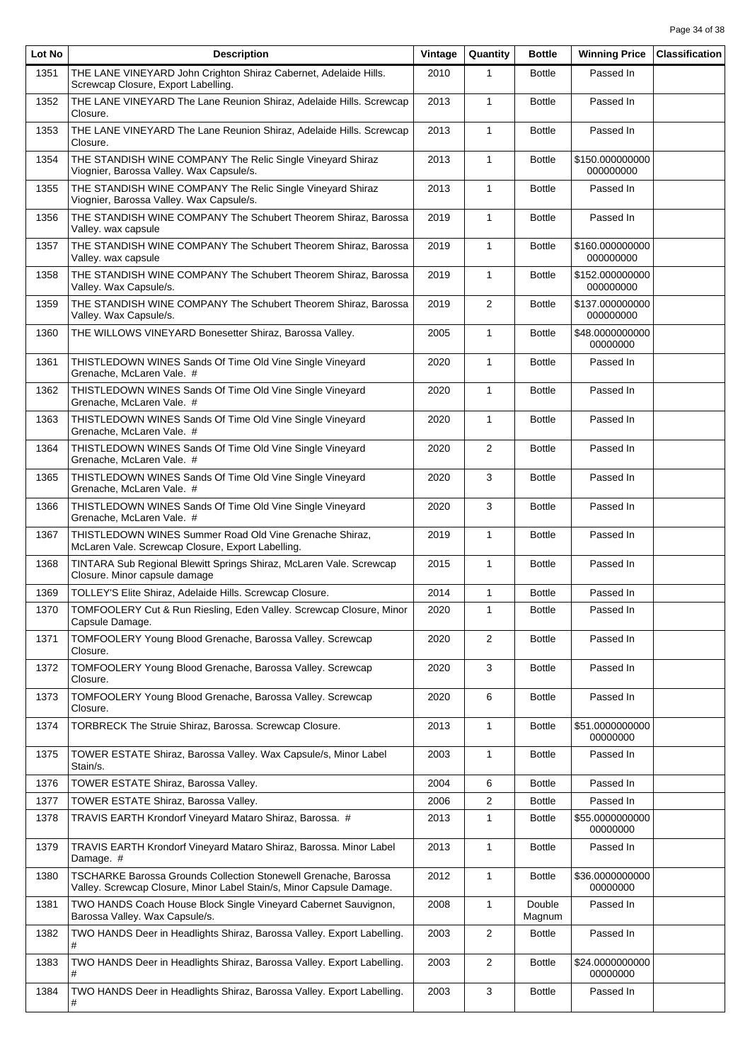| Lot No | <b>Description</b>                                                                                                                      | Vintage | Quantity     | <b>Bottle</b>    | <b>Winning Price</b>         | <b>Classification</b> |
|--------|-----------------------------------------------------------------------------------------------------------------------------------------|---------|--------------|------------------|------------------------------|-----------------------|
| 1351   | THE LANE VINEYARD John Crighton Shiraz Cabernet, Adelaide Hills.<br>Screwcap Closure, Export Labelling.                                 | 2010    | $\mathbf{1}$ | <b>Bottle</b>    | Passed In                    |                       |
| 1352   | THE LANE VINEYARD The Lane Reunion Shiraz, Adelaide Hills. Screwcap<br>Closure.                                                         | 2013    | $\mathbf{1}$ | <b>Bottle</b>    | Passed In                    |                       |
| 1353   | THE LANE VINEYARD The Lane Reunion Shiraz, Adelaide Hills. Screwcap<br>Closure.                                                         | 2013    | $\mathbf{1}$ | <b>Bottle</b>    | Passed In                    |                       |
| 1354   | THE STANDISH WINE COMPANY The Relic Single Vineyard Shiraz<br>Viognier, Barossa Valley. Wax Capsule/s.                                  | 2013    | $\mathbf{1}$ | <b>Bottle</b>    | \$150.000000000<br>000000000 |                       |
| 1355   | THE STANDISH WINE COMPANY The Relic Single Vineyard Shiraz<br>Viognier, Barossa Valley. Wax Capsule/s.                                  | 2013    | $\mathbf{1}$ | <b>Bottle</b>    | Passed In                    |                       |
| 1356   | THE STANDISH WINE COMPANY The Schubert Theorem Shiraz, Barossa<br>Valley. wax capsule                                                   | 2019    | $\mathbf{1}$ | <b>Bottle</b>    | Passed In                    |                       |
| 1357   | THE STANDISH WINE COMPANY The Schubert Theorem Shiraz, Barossa<br>Valley. wax capsule                                                   | 2019    | $\mathbf{1}$ | <b>Bottle</b>    | \$160.000000000<br>000000000 |                       |
| 1358   | THE STANDISH WINE COMPANY The Schubert Theorem Shiraz, Barossa<br>Valley. Wax Capsule/s.                                                | 2019    | $\mathbf{1}$ | <b>Bottle</b>    | \$152.000000000<br>000000000 |                       |
| 1359   | THE STANDISH WINE COMPANY The Schubert Theorem Shiraz, Barossa<br>Valley. Wax Capsule/s.                                                | 2019    | 2            | <b>Bottle</b>    | \$137.000000000<br>000000000 |                       |
| 1360   | THE WILLOWS VINEYARD Bonesetter Shiraz, Barossa Valley.                                                                                 | 2005    | $\mathbf{1}$ | <b>Bottle</b>    | \$48.0000000000<br>00000000  |                       |
| 1361   | THISTLEDOWN WINES Sands Of Time Old Vine Single Vineyard<br>Grenache, McLaren Vale. #                                                   | 2020    | $\mathbf{1}$ | <b>Bottle</b>    | Passed In                    |                       |
| 1362   | THISTLEDOWN WINES Sands Of Time Old Vine Single Vineyard<br>Grenache, McLaren Vale. #                                                   | 2020    | $\mathbf{1}$ | <b>Bottle</b>    | Passed In                    |                       |
| 1363   | THISTLEDOWN WINES Sands Of Time Old Vine Single Vineyard<br>Grenache, McLaren Vale. #                                                   | 2020    | $\mathbf{1}$ | <b>Bottle</b>    | Passed In                    |                       |
| 1364   | THISTLEDOWN WINES Sands Of Time Old Vine Single Vineyard<br>Grenache, McLaren Vale. #                                                   | 2020    | 2            | <b>Bottle</b>    | Passed In                    |                       |
| 1365   | THISTLEDOWN WINES Sands Of Time Old Vine Single Vineyard<br>Grenache, McLaren Vale. #                                                   | 2020    | 3            | <b>Bottle</b>    | Passed In                    |                       |
| 1366   | THISTLEDOWN WINES Sands Of Time Old Vine Single Vineyard<br>Grenache, McLaren Vale. #                                                   | 2020    | 3            | <b>Bottle</b>    | Passed In                    |                       |
| 1367   | THISTLEDOWN WINES Summer Road Old Vine Grenache Shiraz,<br>McLaren Vale. Screwcap Closure, Export Labelling.                            | 2019    | $\mathbf{1}$ | <b>Bottle</b>    | Passed In                    |                       |
| 1368   | TINTARA Sub Regional Blewitt Springs Shiraz, McLaren Vale. Screwcap<br>Closure. Minor capsule damage                                    | 2015    | $\mathbf{1}$ | <b>Bottle</b>    | Passed In                    |                       |
| 1369   | TOLLEY'S Elite Shiraz, Adelaide Hills. Screwcap Closure.                                                                                | 2014    | $\mathbf{1}$ | <b>Bottle</b>    | Passed In                    |                       |
| 1370   | TOMFOOLERY Cut & Run Riesling, Eden Valley. Screwcap Closure, Minor<br>Capsule Damage.                                                  | 2020    | $\mathbf{1}$ | <b>Bottle</b>    | Passed In                    |                       |
| 1371   | TOMFOOLERY Young Blood Grenache, Barossa Valley. Screwcap<br>Closure.                                                                   | 2020    | 2            | <b>Bottle</b>    | Passed In                    |                       |
| 1372   | TOMFOOLERY Young Blood Grenache, Barossa Valley. Screwcap<br>Closure.                                                                   | 2020    | 3            | <b>Bottle</b>    | Passed In                    |                       |
| 1373   | TOMFOOLERY Young Blood Grenache, Barossa Valley. Screwcap<br>Closure.                                                                   | 2020    | 6            | <b>Bottle</b>    | Passed In                    |                       |
| 1374   | TORBRECK The Struie Shiraz, Barossa. Screwcap Closure.                                                                                  | 2013    | 1            | <b>Bottle</b>    | \$51.0000000000<br>00000000  |                       |
| 1375   | TOWER ESTATE Shiraz, Barossa Valley. Wax Capsule/s, Minor Label<br>Stain/s.                                                             | 2003    | $\mathbf{1}$ | <b>Bottle</b>    | Passed In                    |                       |
| 1376   | TOWER ESTATE Shiraz, Barossa Valley.                                                                                                    | 2004    | 6            | <b>Bottle</b>    | Passed In                    |                       |
| 1377   | TOWER ESTATE Shiraz, Barossa Valley.                                                                                                    | 2006    | 2            | <b>Bottle</b>    | Passed In                    |                       |
| 1378   | TRAVIS EARTH Krondorf Vineyard Mataro Shiraz, Barossa. #                                                                                | 2013    | $\mathbf{1}$ | <b>Bottle</b>    | \$55.0000000000<br>00000000  |                       |
| 1379   | TRAVIS EARTH Krondorf Vineyard Mataro Shiraz, Barossa. Minor Label<br>Damage. #                                                         | 2013    | $\mathbf{1}$ | <b>Bottle</b>    | Passed In                    |                       |
| 1380   | TSCHARKE Barossa Grounds Collection Stonewell Grenache, Barossa<br>Valley. Screwcap Closure, Minor Label Stain/s, Minor Capsule Damage. | 2012    | $\mathbf{1}$ | <b>Bottle</b>    | \$36.0000000000<br>00000000  |                       |
| 1381   | TWO HANDS Coach House Block Single Vineyard Cabernet Sauvignon,<br>Barossa Valley. Wax Capsule/s.                                       | 2008    | $\mathbf{1}$ | Double<br>Magnum | Passed In                    |                       |
| 1382   | TWO HANDS Deer in Headlights Shiraz, Barossa Valley. Export Labelling.<br>#                                                             | 2003    | 2            | <b>Bottle</b>    | Passed In                    |                       |
| 1383   | TWO HANDS Deer in Headlights Shiraz, Barossa Valley. Export Labelling.                                                                  | 2003    | 2            | <b>Bottle</b>    | \$24.0000000000<br>00000000  |                       |
| 1384   | TWO HANDS Deer in Headlights Shiraz, Barossa Valley. Export Labelling.                                                                  | 2003    | 3            | <b>Bottle</b>    | Passed In                    |                       |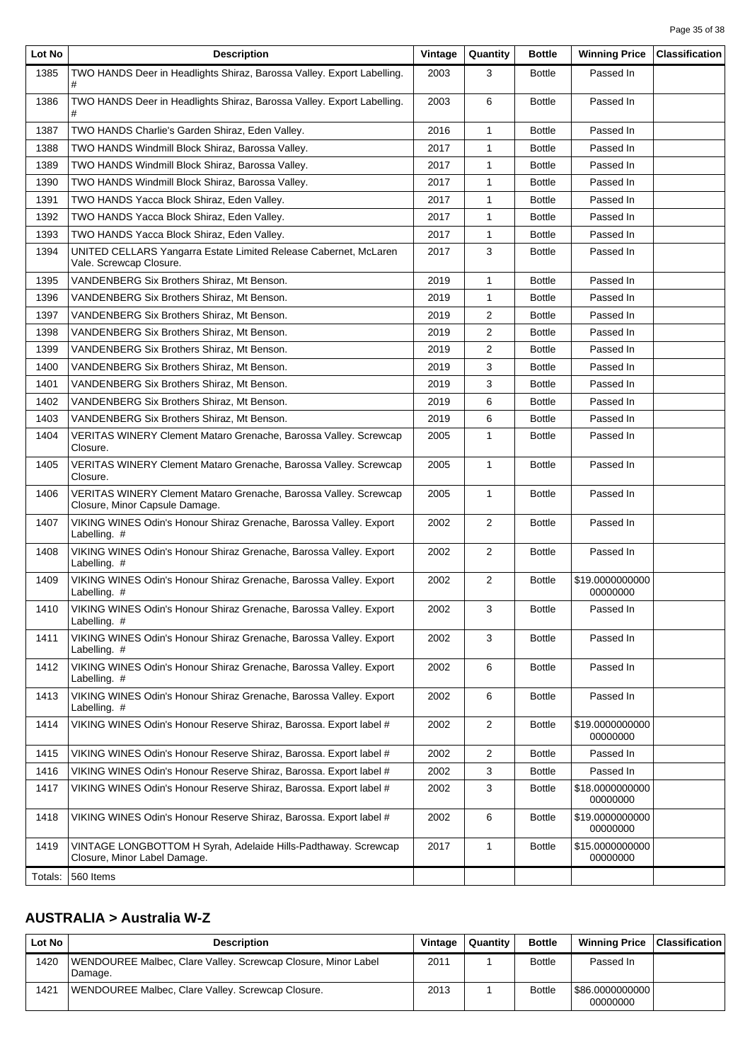| Lot No  | <b>Description</b>                                                                                 | Vintage | Quantity       | <b>Bottle</b> | <b>Winning Price</b>        | <b>Classification</b> |
|---------|----------------------------------------------------------------------------------------------------|---------|----------------|---------------|-----------------------------|-----------------------|
| 1385    | TWO HANDS Deer in Headlights Shiraz, Barossa Valley. Export Labelling.                             | 2003    | 3              | <b>Bottle</b> | Passed In                   |                       |
| 1386    | TWO HANDS Deer in Headlights Shiraz, Barossa Valley. Export Labelling.                             | 2003    | 6              | <b>Bottle</b> | Passed In                   |                       |
| 1387    | TWO HANDS Charlie's Garden Shiraz, Eden Valley.                                                    | 2016    | 1              | <b>Bottle</b> | Passed In                   |                       |
| 1388    | TWO HANDS Windmill Block Shiraz, Barossa Valley.                                                   | 2017    | $\mathbf{1}$   | <b>Bottle</b> | Passed In                   |                       |
| 1389    | TWO HANDS Windmill Block Shiraz, Barossa Valley.                                                   | 2017    | 1              | <b>Bottle</b> | Passed In                   |                       |
| 1390    | TWO HANDS Windmill Block Shiraz, Barossa Valley.                                                   | 2017    | 1              | <b>Bottle</b> | Passed In                   |                       |
| 1391    | TWO HANDS Yacca Block Shiraz, Eden Valley.                                                         | 2017    | 1              | <b>Bottle</b> | Passed In                   |                       |
| 1392    | TWO HANDS Yacca Block Shiraz, Eden Valley.                                                         | 2017    | $\mathbf{1}$   | <b>Bottle</b> | Passed In                   |                       |
| 1393    | TWO HANDS Yacca Block Shiraz, Eden Valley.                                                         | 2017    | 1              | <b>Bottle</b> | Passed In                   |                       |
| 1394    | UNITED CELLARS Yangarra Estate Limited Release Cabernet, McLaren<br>Vale. Screwcap Closure.        | 2017    | 3              | <b>Bottle</b> | Passed In                   |                       |
| 1395    | VANDENBERG Six Brothers Shiraz, Mt Benson.                                                         | 2019    | 1              | <b>Bottle</b> | Passed In                   |                       |
| 1396    | VANDENBERG Six Brothers Shiraz, Mt Benson.                                                         | 2019    | $\mathbf{1}$   | <b>Bottle</b> | Passed In                   |                       |
| 1397    | VANDENBERG Six Brothers Shiraz, Mt Benson.                                                         | 2019    | 2              | <b>Bottle</b> | Passed In                   |                       |
| 1398    | VANDENBERG Six Brothers Shiraz, Mt Benson.                                                         | 2019    | 2              | <b>Bottle</b> | Passed In                   |                       |
| 1399    | VANDENBERG Six Brothers Shiraz, Mt Benson.                                                         | 2019    | 2              | <b>Bottle</b> | Passed In                   |                       |
| 1400    | VANDENBERG Six Brothers Shiraz, Mt Benson.                                                         | 2019    | 3              | <b>Bottle</b> | Passed In                   |                       |
| 1401    | VANDENBERG Six Brothers Shiraz, Mt Benson.                                                         | 2019    | 3              | <b>Bottle</b> | Passed In                   |                       |
| 1402    | VANDENBERG Six Brothers Shiraz. Mt Benson.                                                         | 2019    | 6              | <b>Bottle</b> | Passed In                   |                       |
| 1403    | VANDENBERG Six Brothers Shiraz, Mt Benson.                                                         | 2019    | 6              | <b>Bottle</b> | Passed In                   |                       |
| 1404    | VERITAS WINERY Clement Mataro Grenache, Barossa Valley. Screwcap<br>Closure.                       | 2005    | $\mathbf{1}$   | <b>Bottle</b> | Passed In                   |                       |
| 1405    | VERITAS WINERY Clement Mataro Grenache, Barossa Valley. Screwcap<br>Closure.                       | 2005    | $\mathbf{1}$   | <b>Bottle</b> | Passed In                   |                       |
| 1406    | VERITAS WINERY Clement Mataro Grenache, Barossa Valley. Screwcap<br>Closure, Minor Capsule Damage. | 2005    | 1              | <b>Bottle</b> | Passed In                   |                       |
| 1407    | VIKING WINES Odin's Honour Shiraz Grenache, Barossa Valley. Export<br>Labelling. #                 | 2002    | 2              | <b>Bottle</b> | Passed In                   |                       |
| 1408    | VIKING WINES Odin's Honour Shiraz Grenache, Barossa Valley. Export<br>Labelling. #                 | 2002    | 2              | <b>Bottle</b> | Passed In                   |                       |
| 1409    | VIKING WINES Odin's Honour Shiraz Grenache, Barossa Valley. Export<br>Labelling. #                 | 2002    | $\overline{2}$ | <b>Bottle</b> | \$19.0000000000<br>00000000 |                       |
| 1410    | VIKING WINES Odin's Honour Shiraz Grenache, Barossa Valley. Export<br>Labelling. #                 | 2002    | 3              | <b>Bottle</b> | Passed In                   |                       |
| 1411    | VIKING WINES Odin's Honour Shiraz Grenache, Barossa Valley. Export<br>Labelling. #                 | 2002    | 3              | <b>Bottle</b> | Passed In                   |                       |
| 1412    | VIKING WINES Odin's Honour Shiraz Grenache, Barossa Valley. Export<br>Labelling. #                 | 2002    | 6              | Bottle        | Passed In                   |                       |
| 1413    | VIKING WINES Odin's Honour Shiraz Grenache, Barossa Valley. Export<br>Labelling. #                 | 2002    | 6              | <b>Bottle</b> | Passed In                   |                       |
| 1414    | VIKING WINES Odin's Honour Reserve Shiraz, Barossa. Export label #                                 | 2002    | $\overline{2}$ | <b>Bottle</b> | \$19.0000000000<br>00000000 |                       |
| 1415    | VIKING WINES Odin's Honour Reserve Shiraz, Barossa. Export label #                                 | 2002    | $\overline{2}$ | <b>Bottle</b> | Passed In                   |                       |
| 1416    | VIKING WINES Odin's Honour Reserve Shiraz, Barossa. Export label #                                 | 2002    | 3              | <b>Bottle</b> | Passed In                   |                       |
| 1417    | VIKING WINES Odin's Honour Reserve Shiraz, Barossa. Export label #                                 | 2002    | 3              | Bottle        | \$18.0000000000<br>00000000 |                       |
| 1418    | VIKING WINES Odin's Honour Reserve Shiraz, Barossa. Export label #                                 | 2002    | 6              | <b>Bottle</b> | \$19.0000000000<br>00000000 |                       |
| 1419    | VINTAGE LONGBOTTOM H Syrah, Adelaide Hills-Padthaway. Screwcap<br>Closure, Minor Label Damage.     | 2017    | $\mathbf{1}$   | <b>Bottle</b> | \$15.0000000000<br>00000000 |                       |
| Totals: | 560 Items                                                                                          |         |                |               |                             |                       |

#### **AUSTRALIA > Australia W-Z**

| Lot No | <b>Description</b>                                                       | Vintage | Quantity | <b>Bottle</b> | Winning Price   Classification |  |
|--------|--------------------------------------------------------------------------|---------|----------|---------------|--------------------------------|--|
| 1420   | WENDOUREE Malbec, Clare Valley. Screwcap Closure, Minor Label<br>Damage. | 2011    |          | <b>Bottle</b> | Passed In                      |  |
| 1421   | WENDOUREE Malbec, Clare Valley. Screwcap Closure.                        | 2013    |          | <b>Bottle</b> | \$86.0000000000  <br>00000000  |  |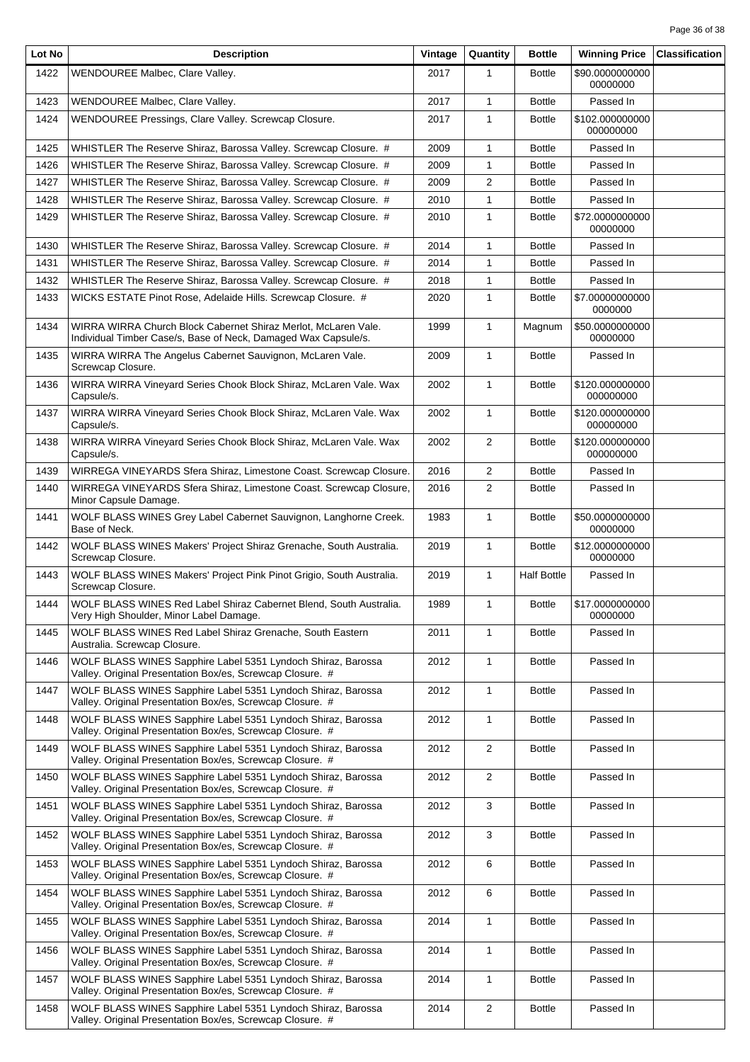| Lot No | <b>Description</b>                                                                                                               | Vintage | Quantity       | <b>Bottle</b>      | <b>Winning Price</b>         | <b>Classification</b> |
|--------|----------------------------------------------------------------------------------------------------------------------------------|---------|----------------|--------------------|------------------------------|-----------------------|
| 1422   | WENDOUREE Malbec, Clare Valley.                                                                                                  | 2017    | 1              | <b>Bottle</b>      | \$90.0000000000<br>00000000  |                       |
| 1423   | WENDOUREE Malbec, Clare Valley.                                                                                                  | 2017    | 1              | <b>Bottle</b>      | Passed In                    |                       |
| 1424   | WENDOUREE Pressings, Clare Valley. Screwcap Closure.                                                                             | 2017    | 1              | <b>Bottle</b>      | \$102.000000000<br>000000000 |                       |
| 1425   | WHISTLER The Reserve Shiraz, Barossa Valley. Screwcap Closure. #                                                                 | 2009    | 1              | <b>Bottle</b>      | Passed In                    |                       |
| 1426   | WHISTLER The Reserve Shiraz, Barossa Valley. Screwcap Closure. #                                                                 | 2009    | $\mathbf{1}$   | <b>Bottle</b>      | Passed In                    |                       |
| 1427   | WHISTLER The Reserve Shiraz, Barossa Valley. Screwcap Closure. #                                                                 | 2009    | $\overline{2}$ | <b>Bottle</b>      | Passed In                    |                       |
| 1428   | WHISTLER The Reserve Shiraz, Barossa Valley. Screwcap Closure. #                                                                 | 2010    | 1              | <b>Bottle</b>      | Passed In                    |                       |
| 1429   | WHISTLER The Reserve Shiraz, Barossa Valley. Screwcap Closure. #                                                                 | 2010    | 1              | <b>Bottle</b>      | \$72.0000000000<br>00000000  |                       |
| 1430   | WHISTLER The Reserve Shiraz, Barossa Valley. Screwcap Closure. #                                                                 | 2014    | 1              | <b>Bottle</b>      | Passed In                    |                       |
| 1431   | WHISTLER The Reserve Shiraz, Barossa Valley. Screwcap Closure. #                                                                 | 2014    | 1              | <b>Bottle</b>      | Passed In                    |                       |
| 1432   | WHISTLER The Reserve Shiraz, Barossa Valley. Screwcap Closure. #                                                                 | 2018    | 1              | <b>Bottle</b>      | Passed In                    |                       |
| 1433   | WICKS ESTATE Pinot Rose, Adelaide Hills. Screwcap Closure. #                                                                     | 2020    | 1              | <b>Bottle</b>      | \$7.00000000000<br>0000000   |                       |
| 1434   | WIRRA WIRRA Church Block Cabernet Shiraz Merlot, McLaren Vale.<br>Individual Timber Case/s, Base of Neck, Damaged Wax Capsule/s. | 1999    | $\mathbf{1}$   | Magnum             | \$50.0000000000<br>00000000  |                       |
| 1435   | WIRRA WIRRA The Angelus Cabernet Sauvignon, McLaren Vale.<br>Screwcap Closure.                                                   | 2009    | $\mathbf{1}$   | <b>Bottle</b>      | Passed In                    |                       |
| 1436   | WIRRA WIRRA Vineyard Series Chook Block Shiraz, McLaren Vale. Wax<br>Capsule/s.                                                  | 2002    | $\mathbf{1}$   | <b>Bottle</b>      | \$120.000000000<br>000000000 |                       |
| 1437   | WIRRA WIRRA Vineyard Series Chook Block Shiraz, McLaren Vale. Wax<br>Capsule/s.                                                  | 2002    | 1              | <b>Bottle</b>      | \$120.000000000<br>000000000 |                       |
| 1438   | WIRRA WIRRA Vineyard Series Chook Block Shiraz, McLaren Vale. Wax<br>Capsule/s.                                                  | 2002    | $\overline{2}$ | <b>Bottle</b>      | \$120.000000000<br>000000000 |                       |
| 1439   | WIRREGA VINEYARDS Sfera Shiraz, Limestone Coast. Screwcap Closure.                                                               | 2016    | 2              | <b>Bottle</b>      | Passed In                    |                       |
| 1440   | WIRREGA VINEYARDS Sfera Shiraz, Limestone Coast. Screwcap Closure,<br>Minor Capsule Damage.                                      | 2016    | 2              | <b>Bottle</b>      | Passed In                    |                       |
| 1441   | WOLF BLASS WINES Grey Label Cabernet Sauvignon, Langhorne Creek.<br>Base of Neck.                                                | 1983    | 1              | <b>Bottle</b>      | \$50.0000000000<br>00000000  |                       |
| 1442   | WOLF BLASS WINES Makers' Project Shiraz Grenache, South Australia.<br>Screwcap Closure.                                          | 2019    | $\mathbf{1}$   | <b>Bottle</b>      | \$12.0000000000<br>00000000  |                       |
| 1443   | WOLF BLASS WINES Makers' Project Pink Pinot Grigio, South Australia.<br>Screwcap Closure.                                        | 2019    | $\mathbf{1}$   | <b>Half Bottle</b> | Passed In                    |                       |
| 1444   | WOLF BLASS WINES Red Label Shiraz Cabernet Blend, South Australia.<br>Very High Shoulder, Minor Label Damage.                    | 1989    | $\mathbf{1}$   | <b>Bottle</b>      | \$17.0000000000<br>00000000  |                       |
| 1445   | WOLF BLASS WINES Red Label Shiraz Grenache, South Eastern<br>Australia. Screwcap Closure.                                        | 2011    | 1              | <b>Bottle</b>      | Passed In                    |                       |
| 1446   | WOLF BLASS WINES Sapphire Label 5351 Lyndoch Shiraz, Barossa<br>Valley. Original Presentation Box/es, Screwcap Closure. #        | 2012    | 1              | <b>Bottle</b>      | Passed In                    |                       |
| 1447   | WOLF BLASS WINES Sapphire Label 5351 Lyndoch Shiraz, Barossa<br>Valley. Original Presentation Box/es, Screwcap Closure. #        | 2012    | $\mathbf{1}$   | <b>Bottle</b>      | Passed In                    |                       |
| 1448   | WOLF BLASS WINES Sapphire Label 5351 Lyndoch Shiraz, Barossa<br>Valley. Original Presentation Box/es, Screwcap Closure. #        | 2012    | $\mathbf{1}$   | <b>Bottle</b>      | Passed In                    |                       |
| 1449   | WOLF BLASS WINES Sapphire Label 5351 Lyndoch Shiraz, Barossa<br>Valley. Original Presentation Box/es, Screwcap Closure. #        | 2012    | $\overline{2}$ | <b>Bottle</b>      | Passed In                    |                       |
| 1450   | WOLF BLASS WINES Sapphire Label 5351 Lyndoch Shiraz, Barossa<br>Valley. Original Presentation Box/es, Screwcap Closure. #        | 2012    | $\overline{2}$ | <b>Bottle</b>      | Passed In                    |                       |
| 1451   | WOLF BLASS WINES Sapphire Label 5351 Lyndoch Shiraz, Barossa<br>Valley. Original Presentation Box/es, Screwcap Closure. #        | 2012    | 3              | <b>Bottle</b>      | Passed In                    |                       |
| 1452   | WOLF BLASS WINES Sapphire Label 5351 Lyndoch Shiraz, Barossa<br>Valley. Original Presentation Box/es, Screwcap Closure. #        | 2012    | 3              | <b>Bottle</b>      | Passed In                    |                       |
| 1453   | WOLF BLASS WINES Sapphire Label 5351 Lyndoch Shiraz, Barossa<br>Valley. Original Presentation Box/es, Screwcap Closure. #        | 2012    | 6              | <b>Bottle</b>      | Passed In                    |                       |
| 1454   | WOLF BLASS WINES Sapphire Label 5351 Lyndoch Shiraz, Barossa<br>Valley. Original Presentation Box/es, Screwcap Closure. #        | 2012    | 6              | <b>Bottle</b>      | Passed In                    |                       |
| 1455   | WOLF BLASS WINES Sapphire Label 5351 Lyndoch Shiraz, Barossa<br>Valley. Original Presentation Box/es, Screwcap Closure. #        | 2014    | $\mathbf{1}$   | <b>Bottle</b>      | Passed In                    |                       |
| 1456   | WOLF BLASS WINES Sapphire Label 5351 Lyndoch Shiraz, Barossa<br>Valley. Original Presentation Box/es, Screwcap Closure. #        | 2014    | 1              | <b>Bottle</b>      | Passed In                    |                       |
| 1457   | WOLF BLASS WINES Sapphire Label 5351 Lyndoch Shiraz, Barossa<br>Valley. Original Presentation Box/es, Screwcap Closure. #        | 2014    | $\mathbf{1}$   | <b>Bottle</b>      | Passed In                    |                       |
| 1458   | WOLF BLASS WINES Sapphire Label 5351 Lyndoch Shiraz, Barossa<br>Valley. Original Presentation Box/es, Screwcap Closure. #        | 2014    | $\overline{2}$ | <b>Bottle</b>      | Passed In                    |                       |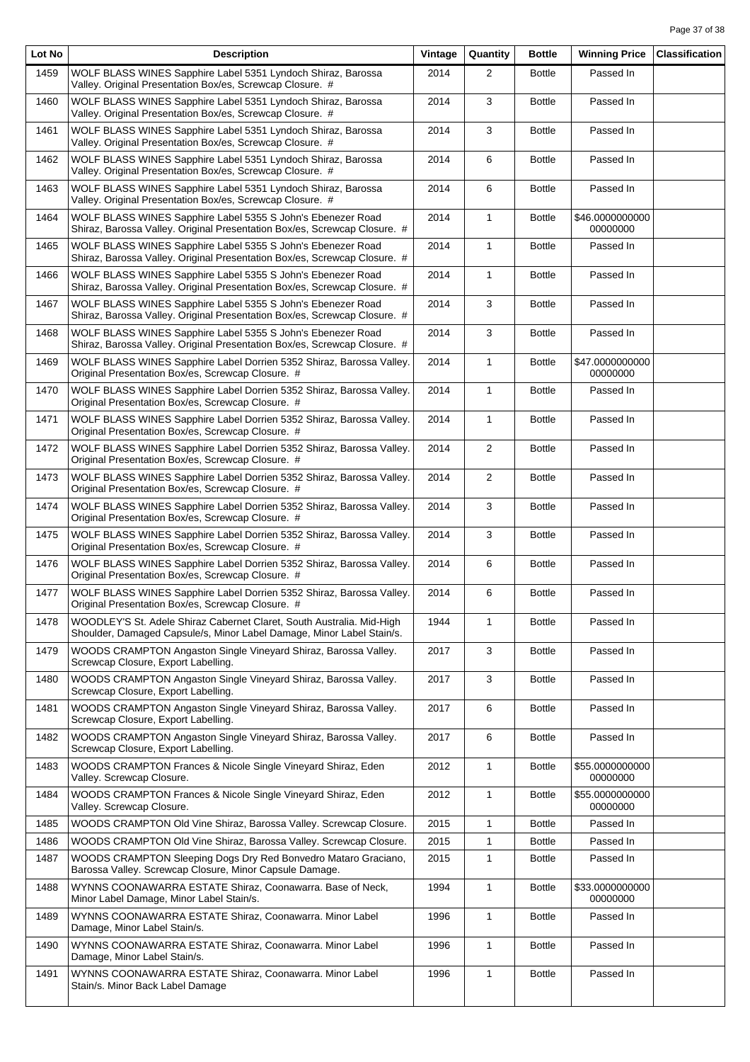| Lot No | <b>Description</b>                                                                                                                             | Vintage | Quantity       | <b>Bottle</b> | <b>Winning Price</b>        | <b>Classification</b> |
|--------|------------------------------------------------------------------------------------------------------------------------------------------------|---------|----------------|---------------|-----------------------------|-----------------------|
| 1459   | WOLF BLASS WINES Sapphire Label 5351 Lyndoch Shiraz, Barossa<br>Valley. Original Presentation Box/es, Screwcap Closure. #                      | 2014    | 2              | <b>Bottle</b> | Passed In                   |                       |
| 1460   | WOLF BLASS WINES Sapphire Label 5351 Lyndoch Shiraz, Barossa<br>Valley. Original Presentation Box/es, Screwcap Closure. #                      | 2014    | 3              | Bottle        | Passed In                   |                       |
| 1461   | WOLF BLASS WINES Sapphire Label 5351 Lyndoch Shiraz, Barossa<br>Valley. Original Presentation Box/es, Screwcap Closure. #                      | 2014    | 3              | Bottle        | Passed In                   |                       |
| 1462   | WOLF BLASS WINES Sapphire Label 5351 Lyndoch Shiraz, Barossa<br>Valley. Original Presentation Box/es, Screwcap Closure. #                      | 2014    | 6              | <b>Bottle</b> | Passed In                   |                       |
| 1463   | WOLF BLASS WINES Sapphire Label 5351 Lyndoch Shiraz, Barossa<br>Valley. Original Presentation Box/es, Screwcap Closure. #                      | 2014    | 6              | Bottle        | Passed In                   |                       |
| 1464   | WOLF BLASS WINES Sapphire Label 5355 S John's Ebenezer Road<br>Shiraz, Barossa Valley. Original Presentation Box/es, Screwcap Closure. #       | 2014    | 1              | Bottle        | \$46.0000000000<br>00000000 |                       |
| 1465   | WOLF BLASS WINES Sapphire Label 5355 S John's Ebenezer Road<br>Shiraz, Barossa Valley. Original Presentation Box/es, Screwcap Closure. #       | 2014    | $\mathbf{1}$   | <b>Bottle</b> | Passed In                   |                       |
| 1466   | WOLF BLASS WINES Sapphire Label 5355 S John's Ebenezer Road<br>Shiraz, Barossa Valley. Original Presentation Box/es, Screwcap Closure. #       | 2014    | $\mathbf{1}$   | <b>Bottle</b> | Passed In                   |                       |
| 1467   | WOLF BLASS WINES Sapphire Label 5355 S John's Ebenezer Road<br>Shiraz, Barossa Valley. Original Presentation Box/es, Screwcap Closure. #       | 2014    | 3              | Bottle        | Passed In                   |                       |
| 1468   | WOLF BLASS WINES Sapphire Label 5355 S John's Ebenezer Road<br>Shiraz, Barossa Valley. Original Presentation Box/es, Screwcap Closure. #       | 2014    | 3              | Bottle        | Passed In                   |                       |
| 1469   | WOLF BLASS WINES Sapphire Label Dorrien 5352 Shiraz, Barossa Valley.<br>Original Presentation Box/es, Screwcap Closure. #                      | 2014    | $\mathbf{1}$   | Bottle        | \$47.0000000000<br>00000000 |                       |
| 1470   | WOLF BLASS WINES Sapphire Label Dorrien 5352 Shiraz, Barossa Valley.<br>Original Presentation Box/es, Screwcap Closure. #                      | 2014    | $\mathbf{1}$   | Bottle        | Passed In                   |                       |
| 1471   | WOLF BLASS WINES Sapphire Label Dorrien 5352 Shiraz, Barossa Valley.<br>Original Presentation Box/es, Screwcap Closure. #                      | 2014    | $\mathbf{1}$   | Bottle        | Passed In                   |                       |
| 1472   | WOLF BLASS WINES Sapphire Label Dorrien 5352 Shiraz, Barossa Valley.<br>Original Presentation Box/es, Screwcap Closure. #                      | 2014    | $\overline{2}$ | Bottle        | Passed In                   |                       |
| 1473   | WOLF BLASS WINES Sapphire Label Dorrien 5352 Shiraz, Barossa Valley.<br>Original Presentation Box/es, Screwcap Closure. #                      | 2014    | $\overline{2}$ | Bottle        | Passed In                   |                       |
| 1474   | WOLF BLASS WINES Sapphire Label Dorrien 5352 Shiraz, Barossa Valley.<br>Original Presentation Box/es, Screwcap Closure. #                      | 2014    | 3              | Bottle        | Passed In                   |                       |
| 1475   | WOLF BLASS WINES Sapphire Label Dorrien 5352 Shiraz, Barossa Valley.<br>Original Presentation Box/es, Screwcap Closure. #                      | 2014    | 3              | Bottle        | Passed In                   |                       |
| 1476   | WOLF BLASS WINES Sapphire Label Dorrien 5352 Shiraz, Barossa Valley.<br>Original Presentation Box/es, Screwcap Closure. #                      | 2014    | 6              | <b>Bottle</b> | Passed In                   |                       |
| 1477   | WOLF BLASS WINES Sapphire Label Dorrien 5352 Shiraz, Barossa Valley.<br>Original Presentation Box/es, Screwcap Closure. #                      | 2014    | 6              | <b>Bottle</b> | Passed In                   |                       |
| 1478   | WOODLEY'S St. Adele Shiraz Cabernet Claret, South Australia. Mid-High<br>Shoulder, Damaged Capsule/s, Minor Label Damage, Minor Label Stain/s. | 1944    | $\mathbf{1}$   | <b>Bottle</b> | Passed In                   |                       |
| 1479   | WOODS CRAMPTON Angaston Single Vineyard Shiraz, Barossa Valley.<br>Screwcap Closure, Export Labelling.                                         | 2017    | 3              | <b>Bottle</b> | Passed In                   |                       |
| 1480   | WOODS CRAMPTON Angaston Single Vineyard Shiraz, Barossa Valley.<br>Screwcap Closure, Export Labelling.                                         | 2017    | 3              | <b>Bottle</b> | Passed In                   |                       |
| 1481   | WOODS CRAMPTON Angaston Single Vineyard Shiraz, Barossa Valley.<br>Screwcap Closure, Export Labelling.                                         | 2017    | 6              | <b>Bottle</b> | Passed In                   |                       |
| 1482   | WOODS CRAMPTON Angaston Single Vineyard Shiraz, Barossa Valley.<br>Screwcap Closure, Export Labelling.                                         | 2017    | 6              | Bottle        | Passed In                   |                       |
| 1483   | WOODS CRAMPTON Frances & Nicole Single Vineyard Shiraz, Eden<br>Valley. Screwcap Closure.                                                      | 2012    | $\mathbf{1}$   | <b>Bottle</b> | \$55.0000000000<br>00000000 |                       |
| 1484   | WOODS CRAMPTON Frances & Nicole Single Vineyard Shiraz, Eden<br>Valley. Screwcap Closure.                                                      | 2012    | 1              | <b>Bottle</b> | \$55.0000000000<br>00000000 |                       |
| 1485   | WOODS CRAMPTON Old Vine Shiraz, Barossa Valley. Screwcap Closure.                                                                              | 2015    | 1              | Bottle        | Passed In                   |                       |
| 1486   | WOODS CRAMPTON Old Vine Shiraz, Barossa Valley. Screwcap Closure.                                                                              | 2015    | 1              | <b>Bottle</b> | Passed In                   |                       |
| 1487   | WOODS CRAMPTON Sleeping Dogs Dry Red Bonvedro Mataro Graciano,<br>Barossa Valley. Screwcap Closure, Minor Capsule Damage.                      | 2015    | 1              | Bottle        | Passed In                   |                       |
| 1488   | WYNNS COONAWARRA ESTATE Shiraz, Coonawarra. Base of Neck,<br>Minor Label Damage, Minor Label Stain/s.                                          | 1994    | $\mathbf{1}$   | <b>Bottle</b> | \$33.0000000000<br>00000000 |                       |
| 1489   | WYNNS COONAWARRA ESTATE Shiraz, Coonawarra. Minor Label<br>Damage, Minor Label Stain/s.                                                        | 1996    | 1              | Bottle        | Passed In                   |                       |
| 1490   | WYNNS COONAWARRA ESTATE Shiraz, Coonawarra. Minor Label<br>Damage, Minor Label Stain/s.                                                        | 1996    | 1              | Bottle        | Passed In                   |                       |
| 1491   | WYNNS COONAWARRA ESTATE Shiraz, Coonawarra. Minor Label<br>Stain/s. Minor Back Label Damage                                                    | 1996    | 1              | Bottle        | Passed In                   |                       |